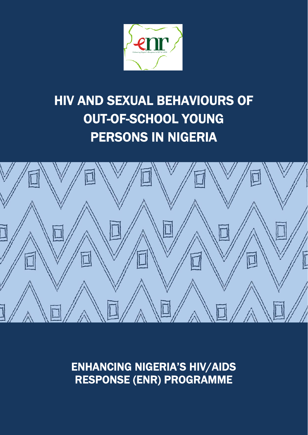

# HIV AND SEXUAL BEHAVIOURS OF OUT-OF-SCHOOL YOUNG PERSONS IN NIGERIA



ENHANCING NIGERIA'S HIV/AIDS RESPONSE (ENR) PROGRAMME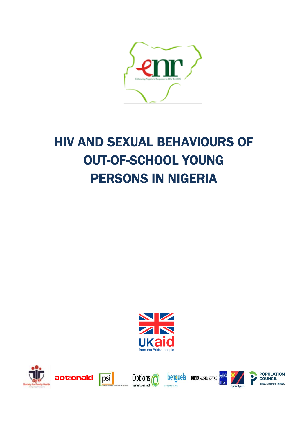

# HIV AND SEXUAL BEHAVIOURS OF OUT-OF-SCHOOL YOUNG PERSONS IN NIGERIA





benguela **B B C** WORLD SERVICE





**POPULATION COUNCIL** Ideas, Evidence, Impact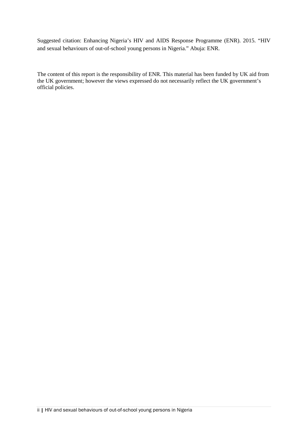Suggested citation: Enhancing Nigeria's HIV and AIDS Response Programme (ENR). 2015. "HIV and sexual behaviours of out-of-school young persons in Nigeria." Abuja: ENR.

The content of this report is the responsibility of ENR. This material has been funded by UK aid from the UK government; however the views expressed do not necessarily reflect the UK government's official policies.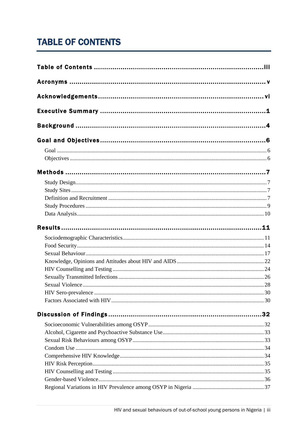# <span id="page-4-0"></span>**TABLE OF CONTENTS**

| HIV Sero-prevalence |  |
|---------------------|--|
|                     |  |
|                     |  |
|                     |  |
|                     |  |
|                     |  |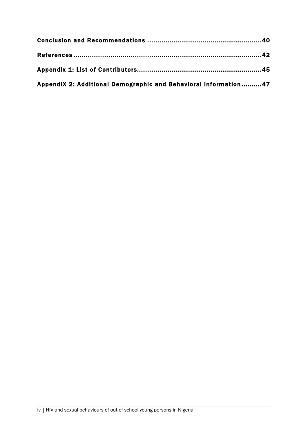| AppendiX 2: Additional Demographic and Behavioral Information47 |  |
|-----------------------------------------------------------------|--|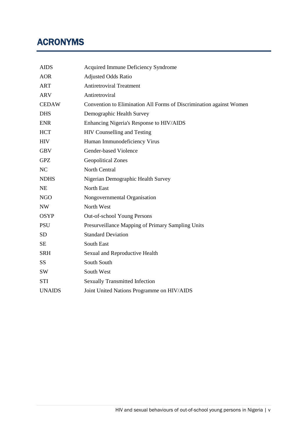# <span id="page-6-0"></span>ACRONYMS

| <b>AIDS</b>   | Acquired Immune Deficiency Syndrome                                 |
|---------------|---------------------------------------------------------------------|
| <b>AOR</b>    | <b>Adjusted Odds Ratio</b>                                          |
| <b>ART</b>    | <b>Antiretroviral Treatment</b>                                     |
| <b>ARV</b>    | Antiretroviral                                                      |
| <b>CEDAW</b>  | Convention to Elimination All Forms of Discrimination against Women |
| <b>DHS</b>    | Demographic Health Survey                                           |
| <b>ENR</b>    | Enhancing Nigeria's Response to HIV/AIDS                            |
| <b>HCT</b>    | HIV Counselling and Testing                                         |
| <b>HIV</b>    | Human Immunodeficiency Virus                                        |
| <b>GBV</b>    | Gender-based Violence                                               |
| <b>GPZ</b>    | <b>Geopolitical Zones</b>                                           |
| NC            | North Central                                                       |
| <b>NDHS</b>   | Nigerian Demographic Health Survey                                  |
| <b>NE</b>     | <b>North East</b>                                                   |
| <b>NGO</b>    | Nongovernmental Organisation                                        |
| <b>NW</b>     | North West                                                          |
| <b>OSYP</b>   | Out-of-school Young Persons                                         |
| <b>PSU</b>    | Presurveillance Mapping of Primary Sampling Units                   |
| <b>SD</b>     | <b>Standard Deviation</b>                                           |
| <b>SE</b>     | South East                                                          |
| <b>SRH</b>    | Sexual and Reproductive Health                                      |
| <b>SS</b>     | South South                                                         |
| SW            | South West                                                          |
| <b>STI</b>    | <b>Sexually Transmitted Infection</b>                               |
| <b>UNAIDS</b> | Joint United Nations Programme on HIV/AIDS                          |
|               |                                                                     |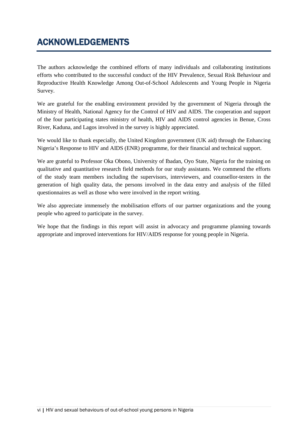# <span id="page-7-0"></span>ACKNOWLEDGEMENTS

The authors acknowledge the combined efforts of many individuals and collaborating institutions efforts who contributed to the successful conduct of the HIV Prevalence, Sexual Risk Behaviour and Reproductive Health Knowledge Among Out-of-School Adolescents and Young People in Nigeria Survey.

We are grateful for the enabling environment provided by the government of Nigeria through the Ministry of Health, National Agency for the Control of HIV and AIDS. The cooperation and support of the four participating states ministry of health, HIV and AIDS control agencies in Benue, Cross River, Kaduna, and Lagos involved in the survey is highly appreciated.

We would like to thank especially, the United Kingdom government (UK aid) through the Enhancing Nigeria's Response to HIV and AIDS (ENR) programme, for their financial and technical support.

We are grateful to Professor Oka Obono, University of Ibadan, Oyo State, Nigeria for the training on qualitative and quantitative research field methods for our study assistants. We commend the efforts of the study team members including the supervisors, interviewers, and counsellor-testers in the generation of high quality data, the persons involved in the data entry and analysis of the filled questionnaires as well as those who were involved in the report writing.

We also appreciate immensely the mobilisation efforts of our partner organizations and the young people who agreed to participate in the survey.

We hope that the findings in this report will assist in advocacy and programme planning towards appropriate and improved interventions for HIV/AIDS response for young people in Nigeria.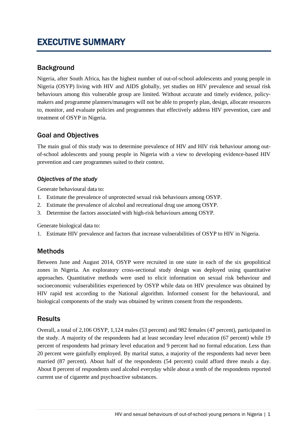# <span id="page-8-0"></span>EXECUTIVE SUMMARY

# **Background**

Nigeria, after South Africa, has the highest number of out-of-school adolescents and young people in Nigeria (OSYP) living with HIV and AIDS globally, yet studies on HIV prevalence and sexual risk behaviours among this vulnerable group are limited. Without accurate and timely evidence, policymakers and programme planners/managers will not be able to properly plan, design, allocate resources to, monitor, and evaluate policies and programmes that effectively address HIV prevention, care and treatment of OSYP in Nigeria.

# Goal and Objectives

The main goal of this study was to determine prevalence of HIV and HIV risk behaviour among outof-school adolescents and young people in Nigeria with a view to developing evidence-based HIV prevention and care programmes suited to their context.

#### *Objectives of the study*

Generate behavioural data to:

- 1. Estimate the prevalence of unprotected sexual risk behaviours among OSYP.
- 2. Estimate the prevalence of alcohol and recreational drug use among OSYP.
- 3. Determine the factors associated with high-risk behaviours among OSYP.

Generate biological data to:

1. Estimate HIV prevalence and factors that increase vulnerabilities of OSYP to HIV in Nigeria.

# Methods

Between June and August 2014, OSYP were recruited in one state in each of the six geopolitical zones in Nigeria. An exploratory cross-sectional study design was deployed using quantitative approaches. Quantitative methods were used to elicit information on sexual risk behaviour and socioeconomic vulnerabilities experienced by OSYP while data on HIV prevalence was obtained by HIV rapid test according to the National algorithm. Informed consent for the behavioural, and biological components of the study was obtained by written consent from the respondents.

# **Results**

Overall, a total of 2,106 OSYP, 1,124 males (53 percent) and 982 females (47 percent), participated in the study. A majority of the respondents had at least secondary level education (67 percent) while 19 percent of respondents had primary level education and 9 percent had no formal education. Less than 20 percent were gainfully employed. By marital status, a majority of the respondents had never been married (87 percent). About half of the respondents (54 percent) could afford three meals a day. About 8 percent of respondents used alcohol everyday while about a tenth of the respondents reported current use of cigarette and psychoactive substances.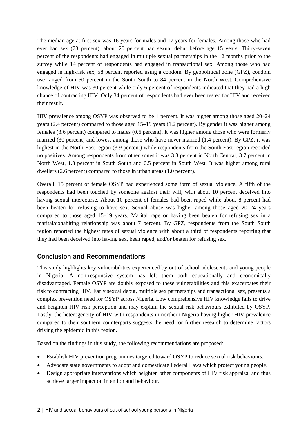The median age at first sex was 16 years for males and 17 years for females. Among those who had ever had sex (73 percent), about 20 percent had sexual debut before age 15 years. Thirty-seven percent of the respondents had engaged in multiple sexual partnerships in the 12 months prior to the survey while 14 percent of respondents had engaged in transactional sex. Among those who had engaged in high-risk sex, 58 percent reported using a condom. By geopolitical zone (GPZ), condom use ranged from 50 percent in the South South to 84 percent in the North West. Comprehensive knowledge of HIV was 30 percent while only 6 percent of respondents indicated that they had a high chance of contracting HIV. Only 34 percent of respondents had ever been tested for HIV and received their result.

HIV prevalence among OSYP was observed to be 1 percent. It was higher among those aged 20–24 years (2.4 percent) compared to those aged 15–19 years (1.2 percent). By gender it was higher among females (3.6 percent) compared to males (0.6 percent). It was higher among those who were formerly married (30 percent) and lowest among those who have never married (1.4 percent). By GPZ, it was highest in the North East region (3.9 percent) while respondents from the South East region recorded no positives. Among respondents from other zones it was 3.3 percent in North Central, 3.7 percent in North West, 1.3 percent in South South and 0.5 percent in South West. It was higher among rural dwellers (2.6 percent) compared to those in urban areas (1.0 percent).

Overall, 15 percent of female OSYP had experienced some form of sexual violence. A fifth of the respondents had been touched by someone against their will, with about 10 percent deceived into having sexual intercourse. About 10 percent of females had been raped while about 8 percent had been beaten for refusing to have sex. Sexual abuse was higher among those aged 20–24 years compared to those aged 15–19 years. Marital rape or having been beaten for refusing sex in a marital/cohabiting relationship was about 7 percent. By GPZ, respondents from the South South region reported the highest rates of sexual violence with about a third of respondents reporting that they had been deceived into having sex, been raped, and/or beaten for refusing sex.

# Conclusion and Recommendations

This study highlights key vulnerabilities experienced by out of school adolescents and young people in Nigeria. A non-responsive system has left them both educationally and economically disadvantaged. Female OSYP are doubly exposed to these vulnerabilities and this exacerbates their risk to contracting HIV. Early sexual debut, multiple sex partnerships and transactional sex, presents a complex prevention need for OSYP across Nigeria. Low comprehensive HIV knowledge fails to drive and heighten HIV risk perception and may explain the sexual risk behaviours exhibited by OSYP. Lastly, the heterogeneity of HIV with respondents in northern Nigeria having higher HIV prevalence compared to their southern counterparts suggests the need for further research to determine factors driving the epidemic in this region.

Based on the findings in this study, the following recommendations are proposed:

- Establish HIV prevention programmes targeted toward OSYP to reduce sexual risk behaviours.
- Advocate state governments to adopt and domesticate Federal Laws which protect young people.
- Design appropriate interventions which heighten other components of HIV risk appraisal and thus achieve larger impact on intention and behaviour.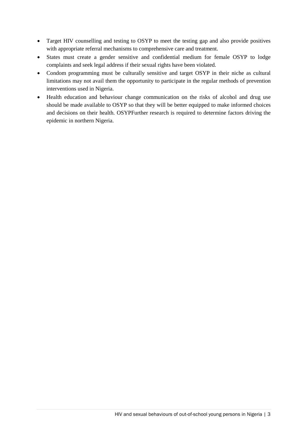- Target HIV counselling and testing to OSYP to meet the testing gap and also provide positives with appropriate referral mechanisms to comprehensive care and treatment.
- States must create a gender sensitive and confidential medium for female OSYP to lodge complaints and seek legal address if their sexual rights have been violated.
- Condom programming must be culturally sensitive and target OSYP in their niche as cultural limitations may not avail them the opportunity to participate in the regular methods of prevention interventions used in Nigeria.
- Health education and behaviour change communication on the risks of alcohol and drug use should be made available to OSYP so that they will be better equipped to make informed choices and decisions on their health. OSYPFurther research is required to determine factors driving the epidemic in northern Nigeria.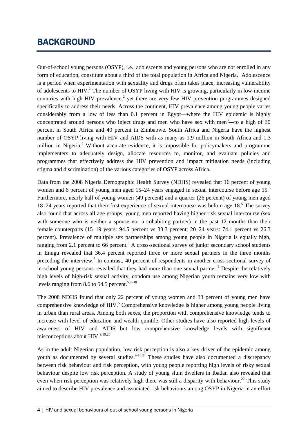# <span id="page-11-0"></span>BACKGROUND

Out-of-school young persons (OSYP), i.e., adolescents and young persons who are not enrolled in any form of education, constitute about a third of the total population in Africa and Nigeria.<sup>1</sup> Adolescence is a period when experimentation with sexuality and drugs often takes place, increasing vulnerability of adolescents to HIV. <sup>2</sup> The number of OSYP living with HIV is growing, particularly in low-income countries with high HIV prevalence,<sup>2</sup> yet there are very few HIV prevention programmes designed specifically to address their needs. Across the continent, HIV prevalence among young people varies considerably from a low of less than 0.1 percent in Egypt—where the HIV epidemic is highly concentrated around persons who inject drugs and men who have sex with men $3$ —to a high of 30 percent in South Africa and 40 percent in Zimbabwe. South Africa and Nigeria have the highest number of OSYP living with HIV and AIDS with as many as 1.9 million in South Africa and 1.3 million in Nigeria.<sup>4</sup> Without accurate evidence, it is impossible for policymakers and programme implementers to adequately design, allocate resources to, monitor, and evaluate policies and programmes that effectively address the HIV prevention and impact mitigation needs (including stigma and discrimination) of the various categories of OSYP across Africa.

Data from the 2008 Nigeria Demographic Health Survey (NDHS) revealed that 16 percent of young women and 6 percent of young men aged 15–24 years engaged in sexual intercourse before age 15.<sup>5</sup> Furthermore, nearly half of young women (49 percent) and a quarter (26 percent) of young men aged 18–24 years reported that their first experience of sexual intercourse was before age  $18<sup>5</sup>$ . The survey also found that across all age groups, young men reported having higher risk sexual intercourse (sex with someone who is neither a spouse nor a cohabiting partner) in the past 12 months than their female counterparts (15–19 years: 94.5 percent vs 33.3 percent; 20–24 years: 74.1 percent vs 26.3 percent). Prevalence of multiple sex partnerships among young people in Nigeria is equally high, ranging from 2.1 percent to 66 percent.<sup>6</sup> A cross-sectional survey of junior secondary school students in Enugu revealed that 36.4 percent reported three or more sexual partners in the three months preceding the interview.<sup>7</sup> In contrast, 40 percent of respondents in another cross-sectional survey of in-school young persons revealed that they had more than one sexual partner.<sup>8</sup> Despite the relatively high levels of high-risk sexual activity, condom use among Nigerian youth remains very low with levels ranging from 8.6 to 54.5 percent.<sup>5,9-18</sup>

The 2008 NDHS found that only 22 percent of young women and 33 percent of young men have comprehensive knowledge of HIV.<sup>5</sup> Comprehensive knowledge is higher among young people living in urban than rural areas. Among both sexes, the proportion with comprehensive knowledge tends to increase with level of education and wealth quintile. Other studies have also reported high levels of awareness of HIV and AIDS but low comprehensive knowledge levels with significant misconceptions about HIV.<sup>9,19,20</sup>

As in the adult Nigerian population, low risk perception is also a key driver of the epidemic among youth as documented by several studies.<sup>9-10,21</sup> These studies have also documented a discrepancy between risk behaviour and risk perception, with young people reporting high levels of risky sexual behaviour despite low risk perception. A study of young slum dwellers in Ibadan also revealed that even when risk perception was relatively high there was still a disparity with behaviour.<sup>22</sup> This study aimed to describe HIV prevalence and associated risk behaviours among OSYP in Nigeria in an effort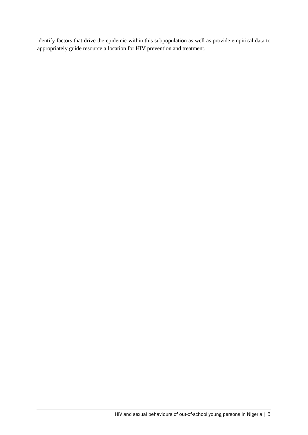identify factors that drive the epidemic within this subpopulation as well as provide empirical data to appropriately guide resource allocation for HIV prevention and treatment.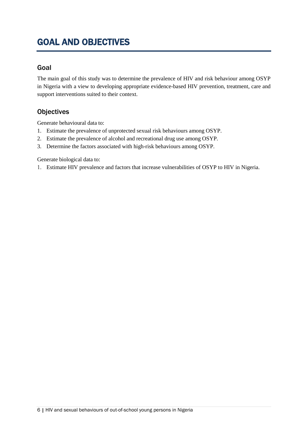# <span id="page-13-0"></span>GOAL AND OBJECTIVES

# <span id="page-13-1"></span>Goal

The main goal of this study was to determine the prevalence of HIV and risk behaviour among OSYP in Nigeria with a view to developing appropriate evidence-based HIV prevention, treatment, care and support interventions suited to their context.

# <span id="page-13-2"></span>**Objectives**

Generate behavioural data to:

- 1. Estimate the prevalence of unprotected sexual risk behaviours among OSYP.
- 2. Estimate the prevalence of alcohol and recreational drug use among OSYP.
- 3. Determine the factors associated with high-risk behaviours among OSYP.

Generate biological data to:

1. Estimate HIV prevalence and factors that increase vulnerabilities of OSYP to HIV in Nigeria.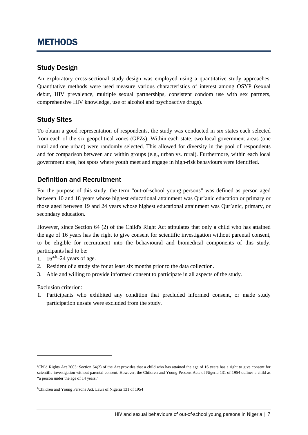# <span id="page-14-0"></span>METHODS

# <span id="page-14-1"></span>Study Design

An exploratory cross-sectional study design was employed using a quantitative study approaches. Quantitative methods were used measure various characteristics of interest among OSYP (sexual debut, HIV prevalence, multiple sexual partnerships, consistent condom use with sex partners, comprehensive HIV knowledge, use of alcohol and psychoactive drugs).

# <span id="page-14-2"></span>Study Sites

To obtain a good representation of respondents, the study was conducted in six states each selected from each of the six geopolitical zones (GPZs). Within each state, two local government areas (one rural and one urban) were randomly selected. This allowed for diversity in the pool of respondents and for comparison between and within groups (e.g., urban vs. rural). Furthermore, within each local government area, hot spots where youth meet and engage in high-risk behaviours were identified.

# <span id="page-14-3"></span>Definition and Recruitment

For the purpose of this study, the term "out-of-school young persons" was defined as person aged between 10 and 18 years whose highest educational attainment was Qur'anic education or primary or those aged between 19 and 24 years whose highest educational attainment was Qur'anic, primary, or secondary education.

However, since Section 64 (2) of the Child's Right Act stipulates that only a child who has attained the age of 16 years has the right to give consent for scientific investigation without parental consent, to be eligible for recruitment into the behavioural and biomedical components of this study, participants had to be:

- 1.  $16^{a,b} 24$  $16^{a,b} 24$  $16^{a,b} 24$  $16^{a,b} 24$  years of age.
- 2. Resident of a study site for at least six months prior to the data collection.
- 3. Able and willing to provide informed consent to participate in all aspects of the study.

Exclusion criterion:

-

1. Participants who exhibited any condition that precluded informed consent, or made study participation unsafe were excluded from the study.

<span id="page-14-4"></span>a Child Rights Act 2003: Section 64(2) of the Act provides that a child who has attained the age of 16 years has a right to give consent for scientific investigation without parental consent. However, the Children and Young Persons Acts of Nigeria 131 of 1954 defines a child as "a person under the age of 14 years."

<span id="page-14-5"></span>b Children and Young Persons Act, Laws of Nigeria 131 of 1954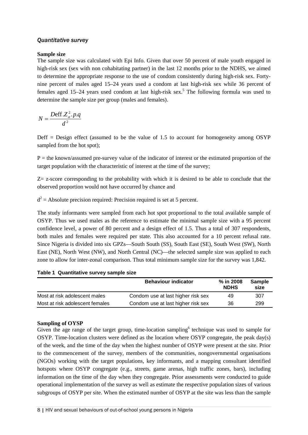#### *Quantitative survey*

#### **Sample size**

The sample size was calculated with Epi Info. Given that over 50 percent of male youth engaged in high-risk sex (sex with non cohabitating partner) in the last 12 months prior to the NDHS, we aimed to determine the appropriate response to the use of condom consistently during high-risk sex. Fortynine percent of males aged 15–24 years used a condom at last high-risk sex while 36 percent of females aged 15–24 years used condom at last high-risk sex.<sup>5</sup> The following formula was used to determine the sample size per group (males and females).

$$
N = \frac{Deff.Z_\alpha^2.p.q}{d^2}
$$

 $\text{Deff} = \text{Design effect}$  (assumed to be the value of 1.5 to account for homogeneity among OSYP sampled from the hot spot);

 $P =$  the known/assumed pre-survey value of the indicator of interest or the estimated proportion of the target population with the characteristic of interest at the time of the survey;

 $Z$  z-score corresponding to the probability with which it is desired to be able to conclude that the observed proportion would not have occurred by chance and

 $d^2$  = Absolute precision required: Precision required is set at 5 percent.

The study informants were sampled from each hot spot proportional to the total available sample of OSYP. Thus we used males as the reference to estimate the minimal sample size with a 95 percent confidence level, a power of 80 percent and a design effect of 1.5. Thus a total of 307 respondents, both males and females were required per state. This also accounted for a 10 percent refusal rate. Since Nigeria is divided into six GPZs—South South (SS), South East (SE), South West (SW), North East (NE), North West (NW), and North Central (NC)—the selected sample size was applied to each zone to allow for inter-zonal comparison. Thus total minimum sample size for the survey was 1,842.

**Table 1 Quantitative survey sample size**

|                                 | <b>Behaviour indicator</b>         | % in 2008<br><b>NDHS</b> | Sample<br>size |
|---------------------------------|------------------------------------|--------------------------|----------------|
| Most at risk adolescent males   | Condom use at last higher risk sex | 49                       | 307            |
| Most at risk adolescent females | Condom use at last higher risk sex | 36                       | 299            |

#### **Sampling of OYSP**

Given the age range of the target group, time-location sampling<sup>6</sup> technique was used to sample for OSYP. Time-location clusters were defined as the location where OSYP congregate, the peak day(s) of the week, and the time of the day when the highest number of OSYP were present at the site. Prior to the commencement of the survey, members of the communities, nongovernmental organisations (NGOs) working with the target populations, key informants, and a mapping consultant identified hotspots where OSYP congregate (e.g., streets, game arenas, high traffic zones, bars), including information on the time of the day when they congregate. Prior assessments were conducted to guide operational implementation of the survey as well as estimate the respective population sizes of various subgroups of OSYP per site. When the estimated number of OSYP at the site was less than the sample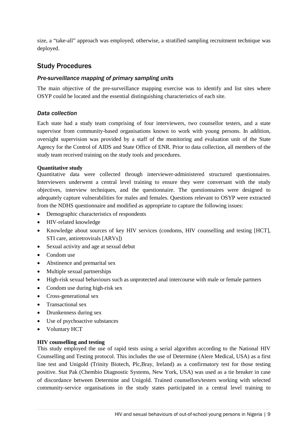size, a "take-all" approach was employed; otherwise, a stratified sampling recruitment technique was deployed.

# <span id="page-16-0"></span>Study Procedures

#### *Pre-surveillance mapping of primary sampling units*

The main objective of the pre-surveillance mapping exercise was to identify and list sites where OSYP could be located and the essential distinguishing characteristics of each site.

#### *Data collection*

Each state had a study team comprising of four interviewers, two counsellor testers, and a state supervisor from community-based organisations known to work with young persons. In addition, oversight supervision was provided by a staff of the monitoring and evaluation unit of the State Agency for the Control of AIDS and State Office of ENR. Prior to data collection, all members of the study team received training on the study tools and procedures.

#### **Quantitative study**

Quantitative data were collected through interviewer-administered structured questionnaires. Interviewers underwent a central level training to ensure they were conversant with the study objectives, interview techniques, and the questionnaire. The questionnaires were designed to adequately capture vulnerabilities for males and females. Questions relevant to OSYP were extracted from the NDHS questionnaire and modified as appropriate to capture the following issues:

- Demographic characteristics of respondents
- HIV-related knowledge
- Knowledge about sources of key HIV services (condoms, HIV counselling and testing [HCT], STI care, antiretrovirals [ARVs])
- Sexual activity and age at sexual debut
- Condom use
- Abstinence and premarital sex
- Multiple sexual partnerships
- High-risk sexual behaviours such as unprotected anal intercourse with male or female partners
- Condom use during high-risk sex
- Cross-generational sex
- Transactional sex
- Drunkenness during sex
- Use of psychoactive substances
- Voluntary HCT

#### **HIV counselling and testing**

This study employed the use of rapid tests using a serial algorithm according to the National HIV Counselling and Testing protocol. This includes the use of Determine (Alere Medical, USA) as a first line test and Unigold (Trinity Biotech, Plc,Bray, Ireland) as a confirmatory test for those testing positive. Stat Pak (Chembio Diagnostic Systems, New York, USA) was used as a tie breaker in case of discordance between Determine and Unigold. Trained counsellors/testers working with selected community-service organisations in the study states participated in a central level training to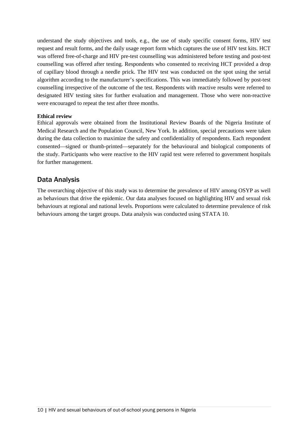understand the study objectives and tools, e.g., the use of study specific consent forms, HIV test request and result forms, and the daily usage report form which captures the use of HIV test kits. HCT was offered free-of-charge and HIV pre-test counselling was administered before testing and post-test counselling was offered after testing. Respondents who consented to receiving HCT provided a drop of capillary blood through a needle prick. The HIV test was conducted on the spot using the serial algorithm according to the manufacturer's specifications. This was immediately followed by post-test counselling irrespective of the outcome of the test. Respondents with reactive results were referred to designated HIV testing sites for further evaluation and management. Those who were non-reactive were encouraged to repeat the test after three months.

#### **Ethical review**

Ethical approvals were obtained from the Institutional Review Boards of the Nigeria Institute of Medical Research and the Population Council, New York. In addition, special precautions were taken during the data collection to maximize the safety and confidentiality of respondents. Each respondent consented—signed or thumb-printed—separately for the behavioural and biological components of the study. Participants who were reactive to the HIV rapid test were referred to government hospitals for further management.

### <span id="page-17-0"></span>Data Analysis

The overarching objective of this study was to determine the prevalence of HIV among OSYP as well as behaviours that drive the epidemic. Our data analyses focused on highlighting HIV and sexual risk behaviours at regional and national levels. Proportions were calculated to determine prevalence of risk behaviours among the target groups. Data analysis was conducted using STATA 10.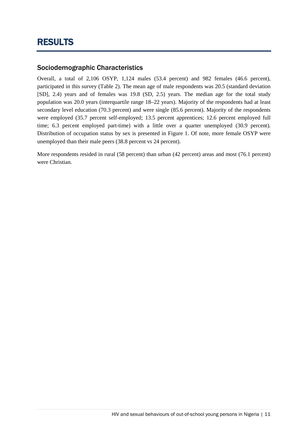# <span id="page-18-1"></span><span id="page-18-0"></span>Sociodemographic Characteristics

Overall, a total of 2,106 OSYP, 1,124 males (53.4 percent) and 982 females (46.6 percent), participated in this survey (Table 2). The mean age of male respondents was 20.5 (standard deviation [SD], 2.4) years and of females was 19.8 (SD, 2.5) years. The median age for the total study population was 20.0 years (interquartile range 18–22 years). Majority of the respondents had at least secondary level education (70.3 percent) and were single (85.6 percent). Majority of the respondents were employed (35.7 percent self-employed; 13.5 percent apprentices; 12.6 percent employed full time; 6.3 percent employed part-time) with a little over a quarter unemployed (30.9 percent). Distribution of occupation status by sex is presented in Figure 1. Of note, more female OSYP were unemployed than their male peers (38.8 percent vs 24 percent).

More respondents resided in rural (58 percent) than urban (42 percent) areas and most (76.1 percent) were Christian.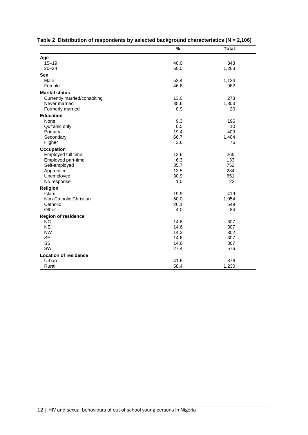|                                          | $\%$        | <b>Total</b> |
|------------------------------------------|-------------|--------------|
| Age                                      |             |              |
| $15 - 19$                                | 40.0        | 843          |
| $20 - 24$                                | 60.0        | 1,263        |
| Sex                                      |             |              |
| Male                                     | 53.4        | 1,124        |
| Female                                   | 46.6        | 982          |
| <b>Marital status</b>                    |             |              |
| Currently married/cohabiting             | 13.0        | 273          |
| Never married                            | 85.6        | 1,803        |
| Formerly married                         | 0.9         | 20           |
| <b>Education</b>                         |             |              |
| None                                     | 9.3         | 196          |
| Qur'anic only                            | 0.5         | 10           |
| Primary                                  | 19.4        | 409          |
| Secondary                                | 66.7        | 1,404<br>76  |
| Higher                                   | 3.6         |              |
| Occupation                               |             |              |
| Employed full time<br>Employed part-time | 12.6<br>6.3 | 265<br>133   |
| Self-employed                            | 35.7        | 752          |
| Apprentice                               | 13.5        | 284          |
| Unemployed                               | 30.9        | 651          |
| No response                              | 1.0         | 22           |
| Religion                                 |             |              |
| Islam                                    | 19.9        | 419          |
| Non-Catholic Christian                   | 50.0        | 1,054        |
| Catholic                                 | 26.1        | 549          |
| Other                                    | 4.0         | 84           |
| <b>Region of residence</b>               |             |              |
| <b>NC</b>                                | 14.6        | 307          |
| <b>NE</b>                                | 14.6        | 307          |
| <b>NW</b>                                | 14.3        | 302          |
| <b>SE</b>                                | 14.6        | 307          |
| SS<br>SW                                 | 14.6        | 307          |
|                                          | 27.4        | 576          |
| <b>Location of residence</b>             |             |              |
| Urban                                    | 41.6        | 876          |
| Rural                                    | 58.4        | 1,230        |

|  |  |  |  |  | Table 2 Distribution of respondents by selected background characteristics (N = 2,106) |  |
|--|--|--|--|--|----------------------------------------------------------------------------------------|--|
|--|--|--|--|--|----------------------------------------------------------------------------------------|--|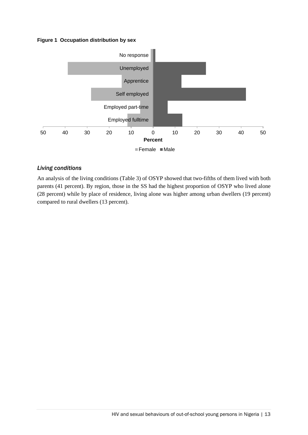#### **Figure 1 Occupation distribution by sex**



#### *Living conditions*

An analysis of the living conditions (Table 3) of OSYP showed that two-fifths of them lived with both parents (41 percent). By region, those in the SS had the highest proportion of OSYP who lived alone (28 percent) while by place of residence, living alone was higher among urban dwellers (19 percent) compared to rural dwellers (13 percent).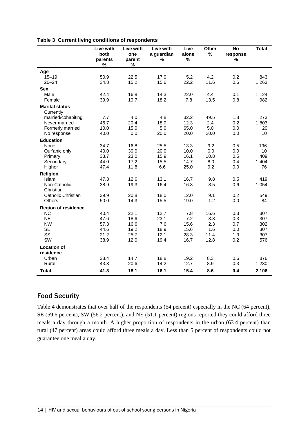|                                    | Live with<br>both<br>parents<br>$\%$ | Live with<br>one<br>parent<br>$\%$ | Live with<br>a guardian<br>% | Live<br>alone<br>% | Other<br>% | <b>No</b><br>response<br>% | <b>Total</b> |
|------------------------------------|--------------------------------------|------------------------------------|------------------------------|--------------------|------------|----------------------------|--------------|
| Age                                |                                      |                                    |                              |                    |            |                            |              |
| $15 - 19$                          | 50.9                                 | 22.5                               | 17.0                         | 5.2                | 4.2        | 0.2                        | 843          |
| $20 - 24$                          | 34.8                                 | 15.2                               | 15.6                         | 22.2               | 11.6       | 0.6                        | 1,263        |
| <b>Sex</b>                         |                                      |                                    |                              |                    |            |                            |              |
| Male                               | 42.4                                 | 16.8                               | 14.3                         | 22.0               | 4.4        | 0.1                        | 1,124        |
| Female                             | 39.9                                 | 19.7                               | 18.2                         | 7.8                | 13.5       | 0.8                        | 982          |
| <b>Marital status</b><br>Currently |                                      |                                    |                              |                    |            |                            |              |
| married/cohabiting                 | 7.7                                  | 4.0                                | 4.8                          | 32.2               | 49.5       | 1.8                        | 273          |
| Never married                      | 46.7                                 | 20.4                               | 18.0                         | 12.3               | 2.4        | 0.2                        | 1,803        |
| Formerly married                   | 10.0                                 | 15.0                               | 5.0                          | 65.0               | 5.0        | 0.0                        | 20           |
| No response                        | 40.0                                 | 0.0                                | 20.0                         | 20.0               | 20.0       | 0.0                        | 10           |
| <b>Education</b>                   |                                      |                                    |                              |                    |            |                            |              |
| None                               | 34.7                                 | 16.8                               | 25.5                         | 13.3               | 9.2        | 0.5                        | 196          |
| Qur'anic only                      | 40.0                                 | 30.0                               | 20.0                         | 10.0               | 0.0        | 0.0                        | 10           |
| Primary                            | 33.7                                 | 23.0                               | 15.9                         | 16.1               | 10.8       | 0.5                        | 409          |
| Secondary                          | 44.0                                 | 17.2                               | 15.5                         | 14.7               | 8.0        | 0.4                        | 1,404        |
| Higher                             | 47.4                                 | 11.8                               | 6.6                          | 25.0               | 9.2        | 0.0                        | 76           |
| Religion                           |                                      |                                    |                              |                    |            |                            |              |
| Islam                              | 47.3                                 | 12.6                               | 13.1                         | 16.7               | 9.8        | 0.5                        | 419          |
| Non-Catholic<br>Christian          | 38.9                                 | 19.3                               | 16.4                         | 16.3               | 8.5        | 0.6                        | 1,054        |
| Catholic Christian                 | 39.9                                 | 20.8                               | 18.0                         | 12.0               | 9.1        | 0.2                        | 549          |
| Others                             | 50.0                                 | 14.3                               | 15.5                         | 19.0               | 1.2        | 0.0                        | 84           |
| <b>Region of residence</b>         |                                      |                                    |                              |                    |            |                            |              |
| <b>NC</b>                          | 40.4                                 | 22.1                               | 12.7                         | 7.8                | 16.6       | 0.3                        | 307          |
| <b>NE</b>                          | 47.6                                 | 18.6                               | 23.1                         | 7.2                | 3.3        | 0.3                        | 307          |
| <b>NW</b>                          | 57.3                                 | 16.6                               | 7.6                          | 15.6               | 2.3        | 0.7                        | 302          |
| <b>SE</b>                          | 44.6                                 | 19.2                               | 18.9                         | 15.6               | 1.6        | 0.0                        | 307          |
| SS                                 | 21.2                                 | 25.7                               | 12.1                         | 28.3               | 11.4       | 1.3                        | 307          |
| SW                                 | 38.9                                 | 12.0                               | 19.4                         | 16.7               | 12.8       | 0.2                        | 576          |
| <b>Location of</b><br>residence    |                                      |                                    |                              |                    |            |                            |              |
| Urban                              | 38.4                                 | 14.7                               | 18.8                         | 19.2               | 8.3        | 0.6                        | 876          |
| Rural                              | 43.3                                 | 20.6                               | 14.2                         | 12.7               | 8.9        | 0.3                        | 1,230        |
| Total                              | 41.3                                 | 18.1                               | 16.1                         | 15.4               | 8.6        | 0.4                        | 2,106        |

#### **Table 3 Current living conditions of respondents**

### <span id="page-21-0"></span>Food Security

Table 4 demonstrates that over half of the respondents (54 percent) especially in the NC (64 percent), SE (59.6 percent), SW (56.2 percent), and NE (51.1 percent) regions reported they could afford three meals a day through a month. A higher proportion of respondents in the urban (63.4 percent) than rural (47 percent) areas could afford three meals a day. Less than 5 percent of respondents could not guarantee one meal a day.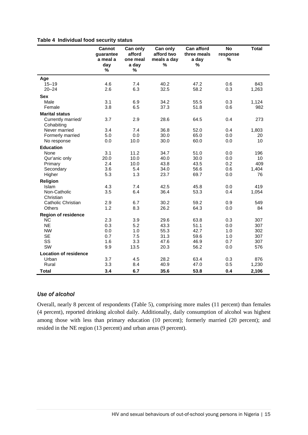#### **Table 4 Individual food security status**

|                              | Cannot<br>quarantee<br>a meal a<br>day<br>% | Can only<br>afford<br>one meal<br>a day<br>$\%$ | Can only<br>afford two<br>meals a day<br>% | <b>Can afford</b><br>three meals<br>a day<br>% | <b>No</b><br>response<br>% | <b>Total</b> |
|------------------------------|---------------------------------------------|-------------------------------------------------|--------------------------------------------|------------------------------------------------|----------------------------|--------------|
| Age                          |                                             |                                                 |                                            |                                                |                            |              |
| $15 - 19$                    | 4.6                                         | 7.4                                             | 40.2                                       | 47.2                                           | 0.6                        | 843          |
| $20 - 24$                    | 2.6                                         | 6.3                                             | 32.5                                       | 58.2                                           | 0.3                        | 1,263        |
| <b>Sex</b>                   |                                             |                                                 |                                            |                                                |                            |              |
| Male                         | 3.1                                         | 6.9                                             | 34.2                                       | 55.5                                           | 0.3                        | 1,124        |
| Female                       | 3.8                                         | 6.5                                             | 37.3                                       | 51.8                                           | 0.6                        | 982          |
| <b>Marital status</b>        |                                             |                                                 |                                            |                                                |                            |              |
| Currently married/           | 3.7                                         | 2.9                                             | 28.6                                       | 64.5                                           | 0.4                        | 273          |
| Cohabiting                   |                                             |                                                 |                                            |                                                |                            |              |
| Never married                | 3.4                                         | 7.4                                             | 36.8                                       | 52.0                                           | 0.4                        | 1,803        |
| Formerly married             | 5.0                                         | 0.0                                             | 30.0                                       | 65.0                                           | 0.0                        | 20           |
| No response                  | 0.0                                         | 10.0                                            | 30.0                                       | 60.0                                           | 0.0                        | 10           |
| <b>Education</b>             |                                             |                                                 |                                            |                                                |                            |              |
| None                         | 3.1                                         | 11.2                                            | 34.7                                       | 51.0                                           | 0.0                        | 196          |
| Qur'anic only                | 20.0                                        | 10.0                                            | 40.0                                       | 30.0                                           | 0.0                        | 10           |
| Primary                      | 2.4                                         | 10.0                                            | 43.8                                       | 43.5                                           | 0.2                        | 409          |
| Secondary                    | 3.6                                         | 5.4                                             | 34.0                                       | 56.6                                           | 0.6                        | 1,404        |
| Higher                       | 5.3                                         | 1.3                                             | 23.7                                       | 69.7                                           | 0.0                        | 76           |
| Religion                     |                                             |                                                 |                                            |                                                |                            |              |
| Islam                        | 4.3                                         | 7.4                                             | 42.5                                       | 45.8                                           | 0.0                        | 419          |
| Non-Catholic                 | 3.5                                         | 6.4                                             | 36.4                                       | 53.3                                           | 0.4                        | 1,054        |
| Christian                    |                                             |                                                 |                                            |                                                |                            |              |
| Catholic Christian           | 2.9                                         | 6.7                                             | 30.2                                       | 59.2                                           | 0.9                        | 549          |
| <b>Others</b>                | 1.2                                         | 8.3                                             | 26.2                                       | 64.3                                           | 0.0                        | 84           |
| <b>Region of residence</b>   |                                             |                                                 |                                            |                                                |                            |              |
| <b>NC</b>                    | 2.3                                         | 3.9                                             | 29.6                                       | 63.8                                           | 0.3                        | 307          |
| <b>NE</b>                    | 0.3                                         | 5.2                                             | 43.3                                       | 51.1                                           | 0.0                        | 307          |
| <b>NW</b>                    | 0.0                                         | 1.0                                             | 55.3                                       | 42.7                                           | 1.0                        | 302          |
| <b>SE</b>                    | 0.7                                         | 7.5                                             | 31.3                                       | 59.6                                           | 1.0                        | 307          |
| SS                           | 1.6                                         | 3.3                                             | 47.6                                       | 46.9                                           | 0.7                        | 307          |
| SW                           | 9.9                                         | 13.5                                            | 20.3                                       | 56.2                                           | 0.0                        | 576          |
| <b>Location of residence</b> |                                             |                                                 |                                            |                                                |                            |              |
| Urban                        | 3.7                                         | 4.5                                             | 28.2                                       | 63.4                                           | 0.3                        | 876          |
| Rural                        | 3.3                                         | 8.4                                             | 40.9                                       | 47.0                                           | 0.5                        | 1,230        |
| Total                        | 3.4                                         | 6.7                                             | 35.6                                       | 53.8                                           | 0.4                        | 2,106        |

#### *Use of alcohol*

Overall, nearly 8 percent of respondents (Table 5), comprising more males (11 percent) than females (4 percent), reported drinking alcohol daily. Additionally, daily consumption of alcohol was highest among those with less than primary education (10 percent); formerly married (20 percent); and resided in the NE region (13 percent) and urban areas (9 percent).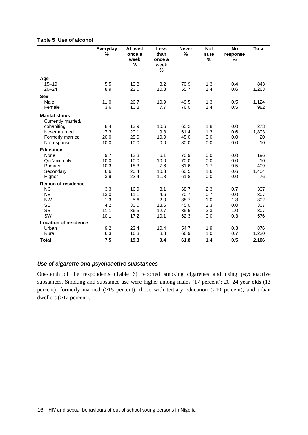|                                             | Everyday<br>% | At least<br>once a<br>week<br>$\%$ | Less<br>than<br>once a<br>week<br>% | <b>Never</b><br>% | <b>Not</b><br>sure<br>% | <b>No</b><br>response<br>% | <b>Total</b> |
|---------------------------------------------|---------------|------------------------------------|-------------------------------------|-------------------|-------------------------|----------------------------|--------------|
| Age                                         |               |                                    |                                     |                   |                         |                            |              |
| $15 - 19$                                   | 5.5           | 13.8                               | 8.2                                 | 70.9              | 1.3                     | 0.4                        | 843          |
| $20 - 24$                                   | 8.9           | 23.0                               | 10.3                                | 55.7              | 1.4                     | 0.6                        | 1,263        |
| <b>Sex</b>                                  |               |                                    |                                     |                   |                         |                            |              |
| Male                                        | 11.0          | 26.7                               | 10.9                                | 49.5              | 1.3                     | 0.5                        | 1,124        |
| Female                                      | 3.6           | 10.8                               | 7.7                                 | 76.0              | 1.4                     | 0.5                        | 982          |
| <b>Marital status</b><br>Currently married/ |               |                                    |                                     |                   |                         |                            |              |
| cohabiting                                  | 8.4           | 13.9                               | 10.6                                | 65.2              | 1.8                     | 0.0                        | 273          |
| Never married                               | 7.3           | 20.1                               | 9.3                                 | 61.4              | 1.3                     | 0.6                        | 1,803        |
| Formerly married                            | 20.0          | 25.0                               | 10.0                                | 45.0              | 0.0                     | 0.0                        | 20           |
| No response                                 | 10.0          | 10.0                               | 0.0                                 | 80.0              | 0.0                     | 0.0                        | 10           |
| <b>Education</b>                            |               |                                    |                                     |                   |                         |                            |              |
| None                                        | 9.7           | 13.3                               | 6.1                                 | 70.9              | 0.0                     | 0.0                        | 196          |
| Qur'anic only                               | 10.0          | 10.0                               | 10.0                                | 70.0              | 0.0                     | 0.0                        | 10           |
| Primary                                     | 10.3          | 18.3                               | 7.6                                 | 61.6              | 1.7                     | 0.5                        | 409          |
| Secondary                                   | 6.6           | 20.4                               | 10.3                                | 60.5              | 1.6                     | 0.6                        | 1,404        |
| Higher                                      | 3.9           | 22.4                               | 11.8                                | 61.8              | 0.0                     | 0.0                        | 76           |
| <b>Region of residence</b>                  |               |                                    |                                     |                   |                         |                            |              |
| <b>NC</b>                                   | 3.3           | 16.9                               | 8.1                                 | 68.7              | 2.3                     | 0.7                        | 307          |
| <b>NE</b>                                   | 13.0          | 11.1                               | 4.6                                 | 70.7              | 0.7                     | 0.0                        | 307          |
| <b>NW</b>                                   | 1.3           | 5.6                                | 2.0                                 | 88.7              | 1.0                     | 1.3                        | 302          |
| <b>SE</b>                                   | 4.2           | 30.0                               | 18.6                                | 45.0              | 2.3                     | 0.0                        | 307          |
| SS                                          | 11.1          | 36.5                               | 12.7                                | 35.5              | 3.3                     | 1.0                        | 307          |
| SW                                          | 10.1          | 17.2                               | 10.1                                | 62.3              | 0.0                     | 0.3                        | 576          |
| <b>Location of residence</b>                |               |                                    |                                     |                   |                         |                            |              |
| Urban                                       | 9.2           | 23.4                               | 10.4                                | 54.7              | 1.9                     | 0.3                        | 876          |
| Rural                                       | 6.3           | 16.3                               | 8.8                                 | 66.9              | 1.0                     | 0.7                        | 1,230        |
| <b>Total</b>                                | 7.5           | 19.3                               | 9.4                                 | 61.8              | 1.4                     | 0.5                        | 2,106        |

### *Use of cigarette and psychoactive substances*

One-tenth of the respondents (Table 6) reported smoking cigarettes and using psychoactive substances. Smoking and substance use were higher among males (17 percent); 20–24 year olds (13 percent); formerly married (>15 percent); those with tertiary education (>10 percent); and urban dwellers (>12 percent).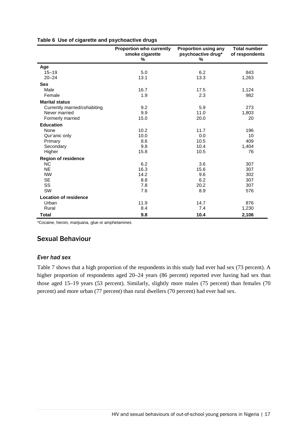|  |  |  |  | Table 6 Use of cigarette and psychoactive drugs |  |
|--|--|--|--|-------------------------------------------------|--|
|--|--|--|--|-------------------------------------------------|--|

|                              | <b>Proportion who currently</b><br>smoke cigarette<br>% | <b>Proportion using any</b><br>psychoactive drug*<br>$\%$ | <b>Total number</b><br>of respondents |
|------------------------------|---------------------------------------------------------|-----------------------------------------------------------|---------------------------------------|
| Age                          |                                                         |                                                           |                                       |
| $15 - 19$                    | 5.0                                                     | 6.2                                                       | 843                                   |
| $20 - 24$                    | 13.1                                                    | 13.3                                                      | 1,263                                 |
| <b>Sex</b>                   |                                                         |                                                           |                                       |
| Male                         | 16.7                                                    | 17.5                                                      | 1,124                                 |
| Female                       | 1.9                                                     | 2.3                                                       | 982                                   |
| <b>Marital status</b>        |                                                         |                                                           |                                       |
| Currently married/cohabiting | 9.2                                                     | 5.9                                                       | 273                                   |
| Never married                | 9.9                                                     | 11.0                                                      | 1,803                                 |
| Formerly married             | 15.0                                                    | 20.0                                                      | 20                                    |
| <b>Education</b>             |                                                         |                                                           |                                       |
| None                         | 10.2                                                    | 11.7                                                      | 196                                   |
| Qur'anic only                | 10.0                                                    | 0.0                                                       | 10                                    |
| Primary                      | 8.6                                                     | 10.5                                                      | 409                                   |
| Secondary                    | 9.8                                                     | 10.4                                                      | 1,404                                 |
| Higher                       | 15.8                                                    | 10.5                                                      | 76                                    |
| <b>Region of residence</b>   |                                                         |                                                           |                                       |
| <b>NC</b>                    | 6.2                                                     | 3.6                                                       | 307                                   |
| <b>NE</b>                    | 16.3                                                    | 15.6                                                      | 307                                   |
| <b>NW</b>                    | 14.2                                                    | 9.6                                                       | 302                                   |
| <b>SE</b>                    | 8.8                                                     | 6.2                                                       | 307                                   |
| SS                           | 7.8                                                     | 20.2                                                      | 307                                   |
| SW                           | 7.6                                                     | 8.9                                                       | 576                                   |
| <b>Location of residence</b> |                                                         |                                                           |                                       |
| Urban                        | 11.9                                                    | 14.7                                                      | 876                                   |
| Rural                        | 8.4                                                     | 7.4                                                       | 1,230                                 |
| <b>Total</b>                 | 9.8                                                     | 10.4                                                      | 2,106                                 |

\*Cocaine, heroin, marijuana, glue or amphetamines

# <span id="page-24-0"></span>Sexual Behaviour

#### *Ever had sex*

Table 7 shows that a high proportion of the respondents in this study had ever had sex (73 percent). A higher proportion of respondents aged 20–24 years (86 percent) reported ever having had sex than those aged 15–19 years (53 percent). Similarly, slightly more males (75 percent) than females (70 percent) and more urban (77 percent) than rural dwellers (70 percent) had ever had sex.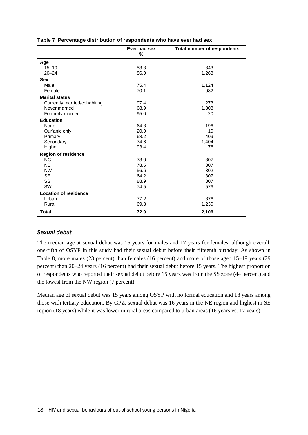|                              | Ever had sex<br>% | <b>Total number of respondents</b> |
|------------------------------|-------------------|------------------------------------|
| Age                          |                   |                                    |
| $15 - 19$                    | 53.3              | 843                                |
| $20 - 24$                    | 86.0              | 1,263                              |
| <b>Sex</b>                   |                   |                                    |
| Male                         | 75.4              | 1,124                              |
| Female                       | 70.1              | 982                                |
| <b>Marital status</b>        |                   |                                    |
| Currently married/cohabiting | 97.4              | 273                                |
| Never married                | 68.9              | 1,803                              |
| Formerly married             | 95.0              | 20                                 |
| <b>Education</b>             |                   |                                    |
| None                         | 64.8              | 196                                |
| Qur'anic only                | 20.0              | 10                                 |
| Primary                      | 68.2              | 409                                |
| Secondary                    | 74.6              | 1,404                              |
| Higher                       | 93.4              | 76                                 |
| <b>Region of residence</b>   |                   |                                    |
| <b>NC</b>                    | 73.0              | 307                                |
| <b>NE</b>                    | 78.5              | 307                                |
| <b>NW</b>                    | 56.6              | 302                                |
| <b>SE</b>                    | 64.2              | 307                                |
| SS                           | 88.9              | 307                                |
| <b>SW</b>                    | 74.5              | 576                                |
| <b>Location of residence</b> |                   |                                    |
| Urban                        | 77.2              | 876                                |
| Rural                        | 69.8              | 1,230                              |
| <b>Total</b>                 | 72.9              | 2,106                              |

#### *Sexual debut*

The median age at sexual debut was 16 years for males and 17 years for females, although overall, one-fifth of OSYP in this study had their sexual debut before their fifteenth birthday. As shown in Table 8, more males (23 percent) than females (16 percent) and more of those aged 15–19 years (29 percent) than 20–24 years (16 percent) had their sexual debut before 15 years. The highest proportion of respondents who reported their sexual debut before 15 years was from the SS zone (44 percent) and the lowest from the NW region (7 percent).

Median age of sexual debut was 15 years among OSYP with no formal education and 18 years among those with tertiary education. By GPZ, sexual debut was 16 years in the NE region and highest in SE region (18 years) while it was lower in rural areas compared to urban areas (16 years vs. 17 years).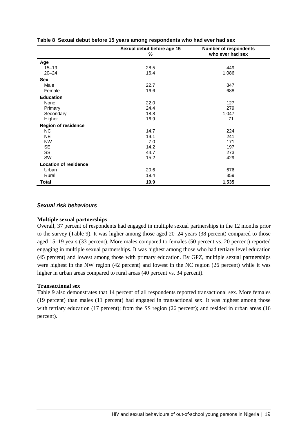|                              | Sexual debut before age 15<br>% | <b>Number of respondents</b><br>who ever had sex |
|------------------------------|---------------------------------|--------------------------------------------------|
| Age                          |                                 |                                                  |
| $15 - 19$                    | 28.5                            | 449                                              |
| $20 - 24$                    | 16.4                            | 1,086                                            |
| Sex                          |                                 |                                                  |
| Male                         | 22.7                            | 847                                              |
| Female                       | 16.6                            | 688                                              |
| <b>Education</b>             |                                 |                                                  |
| None                         | 22.0                            | 127                                              |
| Primary                      | 24.4                            | 279                                              |
| Secondary                    | 18.8                            | 1,047                                            |
| Higher                       | 16.9                            | 71                                               |
| <b>Region of residence</b>   |                                 |                                                  |
| NC.                          | 14.7                            | 224                                              |
| <b>NE</b>                    | 19.1                            | 241                                              |
| <b>NW</b>                    | 7.0                             | 171                                              |
| <b>SE</b>                    | 14.2                            | 197                                              |
| SS                           | 44.7                            | 273                                              |
| SW                           | 15.2                            | 429                                              |
| <b>Location of residence</b> |                                 |                                                  |
| Urban                        | 20.6                            | 676                                              |
| Rural                        | 19.4                            | 859                                              |
| Total                        | 19.9                            | 1,535                                            |

#### **Table 8 Sexual debut before 15 years among respondents who had ever had sex**

#### *Sexual risk behaviours*

#### **Multiple sexual partnerships**

Overall, 37 percent of respondents had engaged in multiple sexual partnerships in the 12 months prior to the survey (Table 9). It was higher among those aged 20–24 years (38 percent) compared to those aged 15–19 years (33 percent). More males compared to females (50 percent vs. 20 percent) reported engaging in multiple sexual partnerships. It was highest among those who had tertiary level education (45 percent) and lowest among those with primary education. By GPZ, multiple sexual partnerships were highest in the NW region (42 percent) and lowest in the NC region (26 percent) while it was higher in urban areas compared to rural areas (40 percent vs. 34 percent).

#### **Transactional sex**

Table 9 also demonstrates that 14 percent of all respondents reported transactional sex. More females (19 percent) than males (11 percent) had engaged in transactional sex. It was highest among those with tertiary education (17 percent); from the SS region (26 percent); and resided in urban areas (16 percent).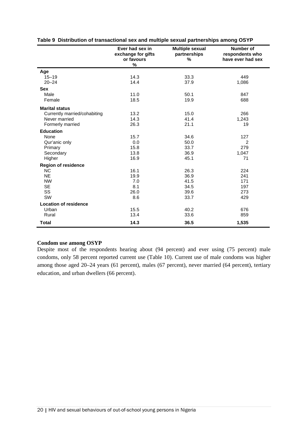|                              | Ever had sex in<br>exchange for gifts<br>or favours<br>$\%$ | <b>Multiple sexual</b><br>partnerships<br>$\%$ | Number of<br>respondents who<br>have ever had sex |
|------------------------------|-------------------------------------------------------------|------------------------------------------------|---------------------------------------------------|
| Age                          |                                                             |                                                |                                                   |
| $15 - 19$                    | 14.3                                                        | 33.3                                           | 449                                               |
| $20 - 24$                    | 14.4                                                        | 37.9                                           | 1,086                                             |
| <b>Sex</b>                   |                                                             |                                                |                                                   |
| Male                         | 11.0                                                        | 50.1                                           | 847                                               |
| Female                       | 18.5                                                        | 19.9                                           | 688                                               |
| <b>Marital status</b>        |                                                             |                                                |                                                   |
| Currently married/cohabiting | 13.2                                                        | 15.0                                           | 266                                               |
| Never married                | 14.3                                                        | 41.4                                           | 1,243                                             |
| Formerly married             | 26.3                                                        | 21.1                                           | 19                                                |
| <b>Education</b>             |                                                             |                                                |                                                   |
| None                         | 15.7                                                        | 34.6                                           | 127                                               |
| Qur'anic only                | 0.0                                                         | 50.0                                           | $\overline{2}$                                    |
| Primary                      | 15.8                                                        | 33.7                                           | 279                                               |
| Secondary                    | 13.8                                                        | 36.9                                           | 1,047                                             |
| Higher                       | 16.9                                                        | 45.1                                           | 71                                                |
| <b>Region of residence</b>   |                                                             |                                                |                                                   |
| N <sub>C</sub>               | 16.1                                                        | 26.3                                           | 224                                               |
| <b>NE</b>                    | 19.9                                                        | 36.9                                           | 241                                               |
| <b>NW</b>                    | 7.0                                                         | 41.5                                           | 171                                               |
| <b>SE</b>                    | 8.1                                                         | 34.5                                           | 197                                               |
| SS                           | 26.0                                                        | 39.6                                           | 273                                               |
| SW                           | 8.6                                                         | 33.7                                           | 429                                               |
| <b>Location of residence</b> |                                                             |                                                |                                                   |
| Urban                        | 15.5                                                        | 40.2                                           | 676                                               |
| Rural                        | 13.4                                                        | 33.6                                           | 859                                               |
| Total                        | 14.3                                                        | 36.5                                           | 1,535                                             |

#### **Table 9 Distribution of transactional sex and multiple sexual partnerships among OSYP**

#### **Condom use among OSYP**

Despite most of the respondents hearing about (94 percent) and ever using (75 percent) male condoms, only 58 percent reported current use (Table 10). Current use of male condoms was higher among those aged 20–24 years (61 percent), males (67 percent), never married (64 percent), tertiary education, and urban dwellers (66 percent).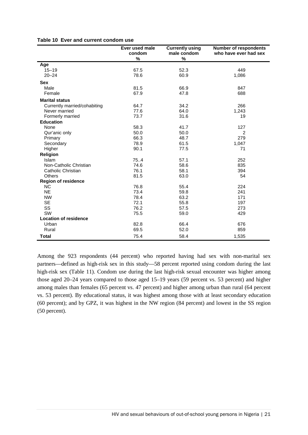|  | Table 10 Ever and current condom use |  |  |  |
|--|--------------------------------------|--|--|--|
|--|--------------------------------------|--|--|--|

|                              | Ever used male | <b>Currently using</b> | <b>Number of respondents</b> |
|------------------------------|----------------|------------------------|------------------------------|
|                              | condom         | male condom            | who have ever had sex        |
|                              | $\%$           | %                      |                              |
| Age                          |                |                        |                              |
| $15 - 19$                    | 67.5           | 52.3                   | 449                          |
| $20 - 24$                    | 78.6           | 60.9                   | 1,086                        |
| <b>Sex</b>                   |                |                        |                              |
| Male                         | 81.5           | 66.9                   | 847                          |
| Female                       | 67.9           | 47.8                   | 688                          |
| <b>Marital status</b>        |                |                        |                              |
| Currently married/cohabiting | 64.7           | 34.2                   | 266                          |
| Never married                | 77.6           | 64.0                   | 1,243                        |
| Formerly married             | 73.7           | 31.6                   | 19                           |
| <b>Education</b>             |                |                        |                              |
| None                         | 58.3           | 41.7                   | 127                          |
| Qur'anic only                | 50.0           | 50.0                   | $\overline{2}$               |
| Primary                      | 66.3           | 48.7                   | 279                          |
| Secondary                    | 78.9           | 61.5                   | 1,047                        |
| Higher                       | 90.1           | 77.5                   | 71                           |
| Religion                     |                |                        |                              |
| Islam                        | 75.4           | 57.1                   | 252                          |
| Non-Catholic Christian       | 74.6           | 58.6                   | 835                          |
| Catholic Christian           | 76.1           | 58.1                   | 394                          |
| Others                       | 81.5           | 63.0                   | 54                           |
| <b>Region of residence</b>   |                |                        |                              |
| <b>NC</b>                    | 76.8           | 55.4                   | 224                          |
| <b>NE</b>                    | 73.4           | 59.8                   | 241                          |
| <b>NW</b>                    | 78.4           | 63.2                   | 171                          |
| <b>SE</b>                    | 72.1           | 55.8                   | 197                          |
| SS                           | 76.2           | 57.5                   | 273                          |
| SW                           | 75.5           | 59.0                   | 429                          |
| <b>Location of residence</b> |                |                        |                              |
| Urban                        | 82.8           | 66.4                   | 676                          |
| Rural                        | 69.5           | 52.0                   | 859                          |
| <b>Total</b>                 | 75.4           | 58.4                   | 1,535                        |

Among the 923 respondents (44 percent) who reported having had sex with non-marital sex partners—defined as high-risk sex in this study—58 percent reported using condom during the last high-risk sex (Table 11). Condom use during the last high-risk sexual encounter was higher among those aged 20–24 years compared to those aged 15–19 years (59 percent vs. 53 percent) and higher among males than females (65 percent vs. 47 percent) and higher among urban than rural (64 percent vs. 53 percent). By educational status, it was highest among those with at least secondary education (60 percent); and by GPZ, it was highest in the NW region (84 percent) and lowest in the SS region (50 percent).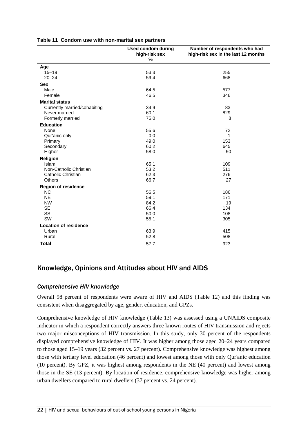|                              | <b>Used condom during</b><br>high-risk sex<br>% | Number of respondents who had<br>high-risk sex in the last 12 months |
|------------------------------|-------------------------------------------------|----------------------------------------------------------------------|
| Age                          |                                                 |                                                                      |
| $15 - 19$                    | 53.3                                            | 255                                                                  |
| $20 - 24$                    | 59.4                                            | 668                                                                  |
| <b>Sex</b>                   |                                                 |                                                                      |
| Male                         | 64.5                                            | 577                                                                  |
| Female                       | 46.5                                            | 346                                                                  |
| <b>Marital status</b>        |                                                 |                                                                      |
| Currently married/cohabiting | 34.9                                            | 83                                                                   |
| Never married                | 60.1                                            | 829                                                                  |
| Formerly married             | 75.0                                            | 8                                                                    |
| <b>Education</b>             |                                                 |                                                                      |
| None                         | 55.6                                            | 72                                                                   |
| Qur'anic only                | 0.0                                             | 1                                                                    |
| Primary                      | 49.0                                            | 153                                                                  |
| Secondary                    | 60.2                                            | 645                                                                  |
| Higher                       | 58.0                                            | 50                                                                   |
| Religion                     |                                                 |                                                                      |
| Islam                        | 65.1                                            | 109                                                                  |
| Non-Catholic Christian       | 53.2                                            | 511                                                                  |
| Catholic Christian           | 62.3                                            | 276                                                                  |
| <b>Others</b>                | 66.7                                            | 27                                                                   |
| <b>Region of residence</b>   |                                                 |                                                                      |
| <b>NC</b>                    | 56.5                                            | 186                                                                  |
| <b>NE</b>                    | 59.1                                            | 171                                                                  |
| <b>NW</b>                    | 84.2                                            | 19                                                                   |
| <b>SE</b>                    | 66.4                                            | 134                                                                  |
| SS                           | 50.0                                            | 108                                                                  |
| SW                           | 55.1                                            | 305                                                                  |
| <b>Location of residence</b> |                                                 |                                                                      |
| Urban                        | 63.9                                            | 415                                                                  |
| Rural                        | 52.8                                            | 508                                                                  |
| <b>Total</b>                 | 57.7                                            | 923                                                                  |

#### **Table 11 Condom use with non-marital sex partners**

# <span id="page-29-0"></span>Knowledge, Opinions and Attitudes about HIV and AIDS

#### *Comprehensive HIV knowledge*

Overall 98 percent of respondents were aware of HIV and AIDS (Table 12) and this finding was consistent when disaggregated by age, gender, education, and GPZs.

Comprehensive knowledge of HIV knowledge (Table 13) was assessed using a UNAIDS composite indicator in which a respondent correctly answers three known routes of HIV transmission and rejects two major misconceptions of HIV transmission. In this study, only 30 percent of the respondents displayed comprehensive knowledge of HIV. It was higher among those aged 20–24 years compared to those aged 15–19 years (32 percent vs. 27 percent). Comprehensive knowledge was highest among those with tertiary level education (46 percent) and lowest among those with only Qur'anic education (10 percent). By GPZ, it was highest among respondents in the NE (40 percent) and lowest among those in the SE (13 percent). By location of residence, comprehensive knowledge was higher among urban dwellers compared to rural dwellers (37 percent vs. 24 percent).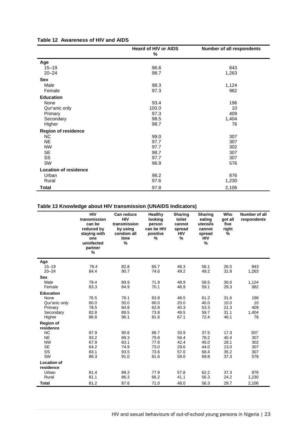#### **Table 12 Awareness of HIV and AIDS**

|                              | <b>Heard of HIV or AIDS</b><br>% | Number of all respondents |
|------------------------------|----------------------------------|---------------------------|
| Age                          |                                  |                           |
| $15 - 19$                    | 96.6                             | 843                       |
| $20 - 24$                    | 98.7                             | 1,263                     |
| Sex                          |                                  |                           |
| Male                         | 98.3                             | 1,124                     |
| Female                       | 97.3                             | 982                       |
| <b>Education</b>             |                                  |                           |
| None                         | 93.4                             | 196                       |
| Qur'anic only                | 100.0                            | 10                        |
| Primary                      | 97.3                             | 409                       |
| Secondary                    | 98.5                             | 1,404                     |
| Higher                       | 98.7                             | 76                        |
| <b>Region of residence</b>   |                                  |                           |
| NC                           | 99.0                             | 307                       |
| <b>NE</b>                    | 97.7                             | 307                       |
| <b>NW</b>                    | 97.7                             | 302                       |
| SE                           | 98.7                             | 307                       |
| SS                           | 97.7                             | 307                       |
| SW                           | 96.9                             | 576                       |
| <b>Location of residence</b> |                                  |                           |
| Urban                        | 98.2                             | 876                       |
| Rural                        | 97.6                             | 1,230                     |
| <b>Total</b>                 | 97.8                             | 2,106                     |

#### **Table 13 Knowledge about HIV transmission (UNAIDS Indicators)**

|                                 | <b>HIV</b><br>transmission<br>can be<br>reduced by<br>staying with<br>one<br>uninfected<br>partner<br>% | Can reduce<br><b>HIV</b><br>transmission<br>by using<br>condom all<br>time<br>% | Healthy<br>looking<br>person<br>can be HIV<br>positive<br>% | <b>Sharing</b><br>toilet<br>cannot<br>spread<br><b>HIV</b><br>% | <b>Sharing</b><br>eating<br>utensils<br>cannot<br>spread<br><b>HIV</b><br>% | Who<br>got all<br>five<br>right<br>% | Number of all<br>respondents |
|---------------------------------|---------------------------------------------------------------------------------------------------------|---------------------------------------------------------------------------------|-------------------------------------------------------------|-----------------------------------------------------------------|-----------------------------------------------------------------------------|--------------------------------------|------------------------------|
| Age                             |                                                                                                         |                                                                                 |                                                             |                                                                 |                                                                             |                                      |                              |
| $15 - 19$                       | 76.4                                                                                                    | 82.8                                                                            | 65.7                                                        | 46.3                                                            | 58.1                                                                        | 26.5                                 | 843                          |
| $20 - 24$                       | 84.4                                                                                                    | 90.7                                                                            | 74.6                                                        | 49.2                                                            | 49.2                                                                        | 31.8                                 | 1,263                        |
| <b>Sex</b>                      |                                                                                                         |                                                                                 |                                                             |                                                                 |                                                                             |                                      |                              |
| Male                            | 79.4                                                                                                    | 89.9                                                                            | 71.9                                                        | 48.9                                                            | 58.5                                                                        | 30.0                                 | 1,124                        |
| Female                          | 83.3                                                                                                    | 84.9                                                                            | 70.1                                                        | 46.9                                                            | 59.1                                                                        | 29.3                                 | 982                          |
| <b>Education</b>                |                                                                                                         |                                                                                 |                                                             |                                                                 |                                                                             |                                      |                              |
| None                            | 76.5                                                                                                    | 78.1                                                                            | 63.8                                                        | 48.5                                                            | 61.2                                                                        | 31.6                                 | 196                          |
| Qur'anic only                   | 60.0                                                                                                    | 50.0                                                                            | 60.0                                                        | 20.0                                                            | 40.0                                                                        | 10.0                                 | 10                           |
| Primary                         | 78.5                                                                                                    | 84.8                                                                            | 62.8                                                        | 40.3                                                            | 53.3                                                                        | 21.3                                 | 409                          |
| Secondary                       | 82.8                                                                                                    | 89.5                                                                            | 73.8                                                        | 49.5                                                            | 59.7                                                                        | 31.1                                 | 1,404                        |
| Higher                          | 86.8                                                                                                    | 96.1                                                                            | 81.6                                                        | 67.1                                                            | 72.4                                                                        | 46.1                                 | 76                           |
| <b>Region of</b>                |                                                                                                         |                                                                                 |                                                             |                                                                 |                                                                             |                                      |                              |
| residence                       |                                                                                                         |                                                                                 |                                                             |                                                                 |                                                                             |                                      |                              |
| <b>NC</b>                       | 87.9                                                                                                    | 90.6                                                                            | 68.7                                                        | 33.9                                                            | 37.5                                                                        | 17.3                                 | 307                          |
| <b>NE</b>                       | 93.2                                                                                                    | 89.3                                                                            | 79.8                                                        | 56.4                                                            | 78.2                                                                        | 40.4                                 | 307                          |
| <b>NW</b>                       | 67.9                                                                                                    | 83.1<br>74.9                                                                    | 77.8                                                        | 42.4                                                            | 45.0                                                                        | 28.1                                 | 302                          |
| <b>SE</b><br>SS                 | 64.2<br>83.1                                                                                            | 93.5                                                                            | 73.0<br>73.6                                                | 29.6<br>57.0                                                    | 44.0<br>68.4                                                                | 13.0<br>35.2                         | 307<br>307                   |
| SW                              | 86.3                                                                                                    | 91.0                                                                            | 61.6                                                        | 59.0                                                            | 69.8                                                                        | 37.3                                 | 576                          |
|                                 |                                                                                                         |                                                                                 |                                                             |                                                                 |                                                                             |                                      |                              |
| <b>Location of</b><br>residence |                                                                                                         |                                                                                 |                                                             |                                                                 |                                                                             |                                      |                              |
| Urban                           | 81.4                                                                                                    | 89.3                                                                            | 77.9                                                        | 57.8                                                            | 62.2                                                                        | 37.3                                 | 876                          |
| Rural                           | 81.1                                                                                                    | 86.3                                                                            | 66.2                                                        | 41.1                                                            | 56.3                                                                        | 24.2                                 | 1,230                        |
|                                 |                                                                                                         |                                                                                 |                                                             |                                                                 |                                                                             |                                      |                              |
| Total                           | 81.2                                                                                                    | 87.6                                                                            | 71.0                                                        | 48.0                                                            | 56.3                                                                        | 29.7                                 | 2,106                        |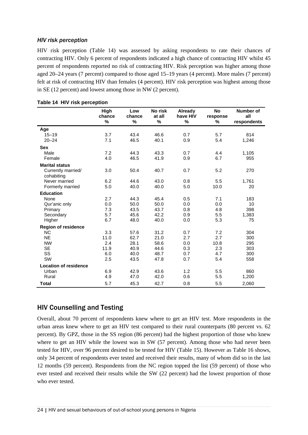#### *HIV risk perception*

HIV risk perception (Table 14) was assessed by asking respondents to rate their chances of contracting HIV. Only 6 percent of respondents indicated a high chance of contracting HIV whilst 45 percent of respondents reported no risk of contracting HIV. Risk perception was higher among those aged 20–24 years (7 percent) compared to those aged 15–19 years (4 percent). More males (7 percent) felt at risk of contracting HIV than females (4 percent). HIV risk perception was highest among those in SE (12 percent) and lowest among those in NW (2 percent).

|                              | High<br>chance<br>% | Low<br>chance<br>% | No risk<br>at all<br>% | Already<br>have HIV<br>% | <b>No</b><br>response<br>% | Number of<br>all<br>respondents |
|------------------------------|---------------------|--------------------|------------------------|--------------------------|----------------------------|---------------------------------|
| Age                          |                     |                    |                        |                          |                            |                                 |
| $15 - 19$                    | 3.7                 | 43.4               | 46.6                   | 0.7                      | 5.7                        | 814                             |
| $20 - 24$                    | 7.1                 | 46.5               | 40.1                   | 0.9                      | 5.4                        | 1,246                           |
| <b>Sex</b>                   |                     |                    |                        |                          |                            |                                 |
| Male                         | 7.2                 | 44.3               | 43.3                   | 0.7                      | 4.4                        | 1,105                           |
| Female                       | 4.0                 | 46.5               | 41.9                   | 0.9                      | 6.7                        | 955                             |
| <b>Marital status</b>        |                     |                    |                        |                          |                            |                                 |
| Currently married/           | 3.0                 | 50.4               | 40.7                   | 0.7                      | 5.2                        | 270                             |
| cohabiting<br>Never married  | 6.2                 | 44.6               | 43.0                   | 0.8                      | 5.5                        | 1,761                           |
| Formerly married             | 5.0                 | 40.0               | 40.0                   | 5.0                      | 10.0                       | 20                              |
| <b>Education</b>             |                     |                    |                        |                          |                            |                                 |
| None                         | 2.7                 | 44.3               | 45.4                   | 0.5                      | 7.1                        | 183                             |
| Qur'anic only                | 0.0                 | 50.0               | 50.0                   | 0.0                      | 0.0                        | 10                              |
| Primary                      | 7.3                 | 43.5               | 43.7                   | 0.8                      | 4.8                        | 398                             |
| Secondary                    | 5.7                 | 45.6               | 42.2                   | 0.9                      | 5.5                        | 1,383                           |
| Higher                       | 6.7                 | 48.0               | 40.0                   | 0.0                      | 5.3                        | 75                              |
| <b>Region of residence</b>   |                     |                    |                        |                          |                            |                                 |
| <b>NC</b>                    | 3.3                 | 57.6               | 31.2                   | 0.7                      | 7.2                        | 304                             |
| <b>NE</b>                    | 11.0                | 62.7               | 21.0                   | 2.7                      | 2.7                        | 300                             |
| <b>NW</b>                    | 2.4                 | 28.1               | 58.6                   | 0.0                      | 10.8                       | 295                             |
| <b>SE</b>                    | 11.9                | 40.9               | 44.6                   | 0.3                      | 2.3                        | 303                             |
| SS                           | 6.0                 | 40.0               | 48.7                   | 0.7                      | 4.7                        | 300                             |
| SW                           | 2.5                 | 43.5               | 47.8                   | 0.7                      | 5.4                        | 558                             |
| <b>Location of residence</b> |                     |                    |                        |                          |                            |                                 |
| Urban                        | 6.9                 | 42.9               | 43.6                   | 1.2                      | 5.5                        | 860                             |
| Rural                        | 4.9                 | 47.0               | 42.0                   | 0.6                      | 5.5                        | 1,200                           |
| <b>Total</b>                 | 5.7                 | 45.3               | 42.7                   | 0.8                      | 5.5                        | 2,060                           |

# <span id="page-31-0"></span>HIV Counselling and Testing

Overall, about 70 percent of respondents knew where to get an HIV test. More respondents in the urban areas knew where to get an HIV test compared to their rural counterparts (80 percent vs. 62 percent). By GPZ, those in the SS region (86 percent) had the highest proportion of those who knew where to get an HIV while the lowest was in SW (57 percent). Among those who had never been tested for HIV, over 96 percent desired to be tested for HIV (Table 15). However as Table 16 shows, only 34 percent of respondents ever tested and received their results, many of whom did so in the last 12 months (59 percent). Respondents from the NC region topped the list (59 percent) of those who ever tested and received their results while the SW (22 percent) had the lowest proportion of those who ever tested.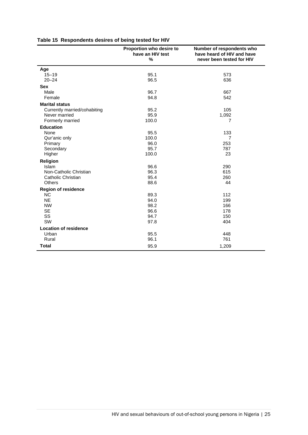|  | Table 15 Respondents desires of being tested for HIV |  |  |  |  |
|--|------------------------------------------------------|--|--|--|--|
|--|------------------------------------------------------|--|--|--|--|

|                                       | Proportion who desire to<br>have an HIV test<br>% | Number of respondents who<br>have heard of HIV and have<br>never been tested for HIV |
|---------------------------------------|---------------------------------------------------|--------------------------------------------------------------------------------------|
| Age                                   |                                                   |                                                                                      |
| $15 - 19$                             | 95.1                                              | 573                                                                                  |
| $20 - 24$                             | 96.5                                              | 636                                                                                  |
| <b>Sex</b>                            |                                                   |                                                                                      |
| Male                                  | 96.7                                              | 667                                                                                  |
| Female                                | 94.8                                              | 542                                                                                  |
| <b>Marital status</b>                 |                                                   |                                                                                      |
| Currently married/cohabiting          | 95.2                                              | 105                                                                                  |
| Never married                         | 95.9                                              | 1,092                                                                                |
| Formerly married                      | 100.0                                             | 7                                                                                    |
| <b>Education</b>                      |                                                   |                                                                                      |
| None                                  | 95.5                                              | 133                                                                                  |
| Qur'anic only                         | 100.0                                             | $\overline{7}$                                                                       |
| Primary                               | 96.0                                              | 253                                                                                  |
| Secondary                             | 95.7                                              | 787                                                                                  |
| Higher                                | 100.0                                             | 23                                                                                   |
| Religion                              |                                                   |                                                                                      |
| <b>Islam</b>                          | 96.6                                              | 290                                                                                  |
| Non-Catholic Christian                | 96.3                                              | 615                                                                                  |
| Catholic Christian                    | 95.4                                              | 260                                                                                  |
| <b>Others</b>                         | 88.6                                              | 44                                                                                   |
| <b>Region of residence</b>            |                                                   |                                                                                      |
| <b>NC</b>                             | 89.3                                              | 112                                                                                  |
| <b>NE</b>                             | 94.0                                              | 199                                                                                  |
| <b>NW</b>                             | 98.2                                              | 166                                                                                  |
| <b>SE</b><br>SS                       | 96.6<br>94.7                                      | 178                                                                                  |
| SW                                    | 97.8                                              | 150<br>404                                                                           |
|                                       |                                                   |                                                                                      |
| <b>Location of residence</b><br>Urban | 95.5                                              | 448                                                                                  |
| Rural                                 | 96.1                                              | 761                                                                                  |
|                                       |                                                   |                                                                                      |
| <b>Total</b>                          | 95.9                                              | 1,209                                                                                |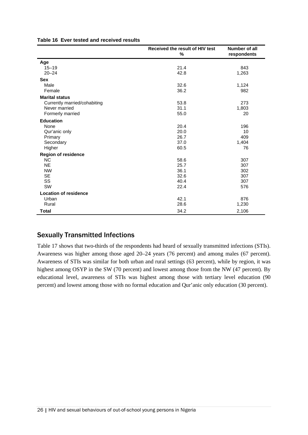|                              | Received the result of HIV test<br>% | Number of all<br>respondents |
|------------------------------|--------------------------------------|------------------------------|
| Age                          |                                      |                              |
| $15 - 19$                    | 21.4                                 | 843                          |
| $20 - 24$                    | 42.8                                 | 1,263                        |
| <b>Sex</b>                   |                                      |                              |
| Male                         | 32.6                                 | 1,124                        |
| Female                       | 36.2                                 | 982                          |
| <b>Marital status</b>        |                                      |                              |
| Currently married/cohabiting | 53.8                                 | 273                          |
| Never married                | 31.1                                 | 1,803                        |
| Formerly married             | 55.0                                 | 20                           |
| <b>Education</b>             |                                      |                              |
| None                         | 20.4                                 | 196                          |
| Qur'anic only                | 20.0                                 | 10                           |
| Primary                      | 26.7                                 | 409                          |
| Secondary                    | 37.0                                 | 1,404                        |
| Higher                       | 60.5                                 | 76                           |
| <b>Region of residence</b>   |                                      |                              |
| <b>NC</b>                    | 58.6                                 | 307                          |
| <b>NE</b>                    | 25.7                                 | 307                          |
| <b>NW</b>                    | 36.1                                 | 302                          |
| <b>SE</b>                    | 32.6                                 | 307                          |
| SS                           | 40.4                                 | 307                          |
| SW                           | 22.4                                 | 576                          |
| <b>Location of residence</b> |                                      |                              |
| Urban                        | 42.1                                 | 876                          |
| Rural                        | 28.6                                 | 1,230                        |
| <b>Total</b>                 | 34.2                                 | 2,106                        |

#### **Table 16 Ever tested and received results**

#### <span id="page-33-0"></span>Sexually Transmitted Infections

Table 17 shows that two-thirds of the respondents had heard of sexually transmitted infections (STIs). Awareness was higher among those aged 20–24 years (76 percent) and among males (67 percent). Awareness of STIs was similar for both urban and rural settings (63 percent), while by region, it was highest among OSYP in the SW (70 percent) and lowest among those from the NW (47 percent). By educational level, awareness of STIs was highest among those with tertiary level education (90 percent) and lowest among those with no formal education and Qur'anic only education (30 percent).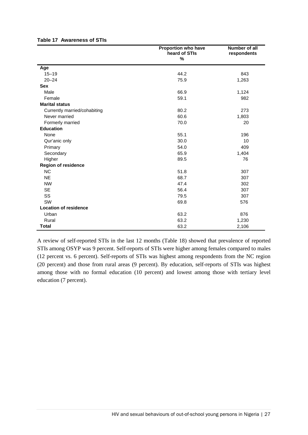|                              | Proportion who have<br>heard of STIs | Number of all<br>respondents |
|------------------------------|--------------------------------------|------------------------------|
|                              | %                                    |                              |
| Age                          |                                      |                              |
| $15 - 19$                    | 44.2                                 | 843                          |
| $20 - 24$                    | 75.9                                 | 1,263                        |
| <b>Sex</b>                   |                                      |                              |
| Male                         | 66.9                                 | 1,124                        |
| Female                       | 59.1                                 | 982                          |
| <b>Marital status</b>        |                                      |                              |
| Currently married/cohabiting | 80.2                                 | 273                          |
| Never married                | 60.6                                 | 1,803                        |
| Formerly married             | 70.0                                 | 20                           |
| <b>Education</b>             |                                      |                              |
| None                         | 55.1                                 | 196                          |
| Qur'anic only                | 30.0                                 | 10                           |
| Primary                      | 54.0                                 | 409                          |
| Secondary                    | 65.9                                 | 1,404                        |
| Higher                       | 89.5                                 | 76                           |
| <b>Region of residence</b>   |                                      |                              |
| <b>NC</b>                    | 51.8                                 | 307                          |
| <b>NE</b>                    | 68.7                                 | 307                          |
| <b>NW</b>                    | 47.4                                 | 302                          |
| <b>SE</b>                    | 56.4                                 | 307                          |
| SS                           | 79.5                                 | 307                          |
| SW                           | 69.8                                 | 576                          |
| <b>Location of residence</b> |                                      |                              |
| Urban                        | 63.2                                 | 876                          |
| Rural                        | 63.2                                 | 1,230                        |
| <b>Total</b>                 | 63.2                                 | 2,106                        |

#### **Table 17 Awareness of STIs**

A review of self-reported STIs in the last 12 months (Table 18) showed that prevalence of reported STIs among OSYP was 9 percent. Self-reports of STIs were higher among females compared to males (12 percent vs. 6 percent). Self-reports of STIs was highest among respondents from the NC region (20 percent) and those from rural areas (9 percent). By education, self-reports of STIs was highest among those with no formal education (10 percent) and lowest among those with tertiary level education (7 percent).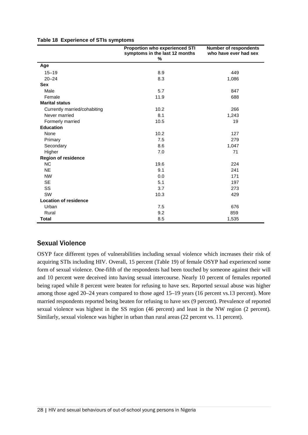|                              | <b>Proportion who experienced STI</b><br>symptoms in the last 12 months<br>% | <b>Number of respondents</b><br>who have ever had sex |
|------------------------------|------------------------------------------------------------------------------|-------------------------------------------------------|
| Age                          |                                                                              |                                                       |
| $15 - 19$                    | 8.9                                                                          | 449                                                   |
| $20 - 24$                    | 8.3                                                                          | 1,086                                                 |
| <b>Sex</b>                   |                                                                              |                                                       |
| Male                         | 5.7                                                                          | 847                                                   |
| Female                       | 11.9                                                                         | 688                                                   |
| <b>Marital status</b>        |                                                                              |                                                       |
| Currently married/cohabiting | 10.2                                                                         | 266                                                   |
| Never married                | 8.1                                                                          | 1,243                                                 |
| Formerly married             | 10.5                                                                         | 19                                                    |
| <b>Education</b>             |                                                                              |                                                       |
| None                         | 10.2                                                                         | 127                                                   |
| Primary                      | 7.5                                                                          | 279                                                   |
| Secondary                    | 8.6                                                                          | 1,047                                                 |
| Higher                       | 7.0                                                                          | 71                                                    |
| <b>Region of residence</b>   |                                                                              |                                                       |
| <b>NC</b>                    | 19.6                                                                         | 224                                                   |
| <b>NE</b>                    | 9.1                                                                          | 241                                                   |
| <b>NW</b>                    | 0.0                                                                          | 171                                                   |
| <b>SE</b>                    | 5.1                                                                          | 197                                                   |
| SS                           | 3.7                                                                          | 273                                                   |
| SW                           | 10.3                                                                         | 429                                                   |
| <b>Location of residence</b> |                                                                              |                                                       |
| Urban                        | 7.5                                                                          | 676                                                   |
| Rural                        | 9.2                                                                          | 859                                                   |
| <b>Total</b>                 | 8.5                                                                          | 1,535                                                 |

#### **Table 18 Experience of STIs symptoms**

# <span id="page-35-0"></span>Sexual Violence

OSYP face different types of vulnerabilities including sexual violence which increases their risk of acquiring STIs including HIV. Overall, 15 percent (Table 19) of female OSYP had experienced some form of sexual violence. One-fifth of the respondents had been touched by someone against their will and 10 percent were deceived into having sexual intercourse. Nearly 10 percent of females reported being raped while 8 percent were beaten for refusing to have sex. Reported sexual abuse was higher among those aged 20–24 years compared to those aged 15–19 years (16 percent vs.13 percent). More married respondents reported being beaten for refusing to have sex (9 percent). Prevalence of reported sexual violence was highest in the SS region (46 percent) and least in the NW region (2 percent). Similarly, sexual violence was higher in urban than rural areas (22 percent vs. 11 percent).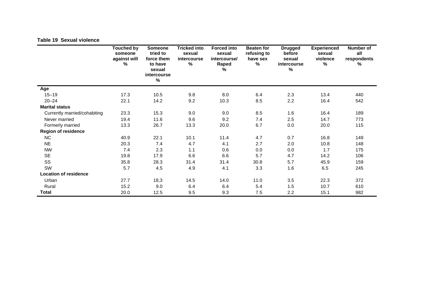#### **Table 19 Sexual violence**

|                              | <b>Touched by</b><br>someone<br>against will<br>% | <b>Someone</b><br>tried to<br>force them<br>to have<br>sexual<br>intercourse<br>$\%$ | <b>Tricked into</b><br>sexual<br>intercourse<br>% | <b>Forced into</b><br>sexual<br>intercourse/<br>Raped<br>% | <b>Beaten for</b><br>refusing to<br>have sex<br>% | <b>Drugged</b><br>before<br>sexual<br>intercourse<br>% | <b>Experienced</b><br>sexual<br>violence<br>% | Number of<br>all<br>respondents<br>% |
|------------------------------|---------------------------------------------------|--------------------------------------------------------------------------------------|---------------------------------------------------|------------------------------------------------------------|---------------------------------------------------|--------------------------------------------------------|-----------------------------------------------|--------------------------------------|
| Age                          |                                                   |                                                                                      |                                                   |                                                            |                                                   |                                                        |                                               |                                      |
| $15 - 19$                    | 17.3                                              | 10.5                                                                                 | 9.8                                               | 8.0                                                        | 6.4                                               | 2.3                                                    | 13.4                                          | 440                                  |
| $20 - 24$                    | 22.1                                              | 14.2                                                                                 | 9.2                                               | 10.3                                                       | 8.5                                               | 2.2                                                    | 16.4                                          | 542                                  |
| <b>Marital status</b>        |                                                   |                                                                                      |                                                   |                                                            |                                                   |                                                        |                                               |                                      |
| Currently married/cohabiting | 23.3                                              | 15.3                                                                                 | 9.0                                               | 9.0                                                        | 8.5                                               | 1.6                                                    | 16.4                                          | 189                                  |
| Never married                | 19.4                                              | 11.6                                                                                 | 9.6                                               | 9.2                                                        | 7.4                                               | 2.5                                                    | 14.7                                          | 773                                  |
| Formerly married             | 13.3                                              | 26.7                                                                                 | 13.3                                              | 20.0                                                       | 6.7                                               | 0.0                                                    | 20.0                                          | 115                                  |
| <b>Region of residence</b>   |                                                   |                                                                                      |                                                   |                                                            |                                                   |                                                        |                                               |                                      |
| <b>NC</b>                    | 40.9                                              | 22.1                                                                                 | 10.1                                              | 11.4                                                       | 4.7                                               | 0.7                                                    | 16.8                                          | 149                                  |
| <b>NE</b>                    | 20.3                                              | 7.4                                                                                  | 4.7                                               | 4.1                                                        | 2.7                                               | 2.0                                                    | 10.8                                          | 148                                  |
| <b>NW</b>                    | 7.4                                               | 2.3                                                                                  | 1.1                                               | 0.6                                                        | 0.0                                               | 0.0                                                    | 1.7                                           | 175                                  |
| <b>SE</b>                    | 19.8                                              | 17.9                                                                                 | 6.6                                               | 6.6                                                        | 5.7                                               | 4.7                                                    | 14.2                                          | 106                                  |
| SS                           | 35.8                                              | 28.3                                                                                 | 31.4                                              | 31.4                                                       | 30.8                                              | 5.7                                                    | 45.9                                          | 159                                  |
| SW                           | 5.7                                               | 4.5                                                                                  | 4.9                                               | 4.1                                                        | 3.3                                               | 1.6                                                    | 6.5                                           | 245                                  |
| <b>Location of residence</b> |                                                   |                                                                                      |                                                   |                                                            |                                                   |                                                        |                                               |                                      |
| Urban                        | 27.7                                              | 18,3                                                                                 | 14.5                                              | 14.0                                                       | 11.0                                              | 3.5                                                    | 22.3                                          | 372                                  |
| Rural                        | 15.2                                              | 9.0                                                                                  | 6.4                                               | 6.4                                                        | 5.4                                               | 1.5                                                    | 10.7                                          | 610                                  |
| Total                        | 20.0                                              | 12.5                                                                                 | 9.5                                               | 9.3                                                        | 7.5                                               | 2.2                                                    | 15.1                                          | 982                                  |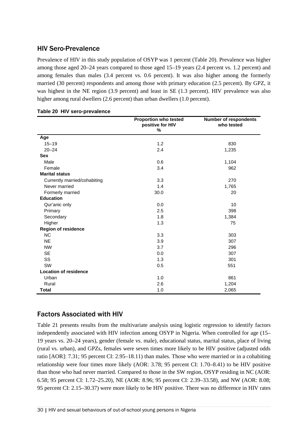### HIV Sero-Prevalence

Prevalence of HIV in this study population of OSYP was 1 percent (Table 20). Prevalence was higher among those aged 20–24 years compared to those aged 15–19 years (2.4 percent vs. 1.2 percent) and among females than males (3.4 percent vs. 0.6 percent). It was also higher among the formerly married (30 percent) respondents and among those with primary education (2.5 percent). By GPZ, it was highest in the NE region (3.9 percent) and least in SE (1.3 percent). HIV prevalence was also higher among rural dwellers (2.6 percent) than urban dwellers (1.0 percent).

|                              | <b>Proportion who tested</b><br>positive for HIV<br>% | <b>Number of respondents</b><br>who tested |
|------------------------------|-------------------------------------------------------|--------------------------------------------|
| Age                          |                                                       |                                            |
| $15 - 19$                    | 1.2                                                   | 830                                        |
| $20 - 24$                    | 2.4                                                   | 1,235                                      |
| <b>Sex</b>                   |                                                       |                                            |
| Male                         | 0.6                                                   | 1,104                                      |
| Female                       | 3.4                                                   | 962                                        |
| <b>Marital status</b>        |                                                       |                                            |
| Currently married/cohabiting | 3.3                                                   | 270                                        |
| Never married                | 1.4                                                   | 1,765                                      |
| Formerly married             | 30.0                                                  | 20                                         |
| <b>Education</b>             |                                                       |                                            |
| Qur'anic only                | 0.0                                                   | 10                                         |
| Primary                      | 2.5                                                   | 398                                        |
| Secondary                    | 1.8                                                   | 1,384                                      |
| Higher                       | 1.3                                                   | 75                                         |
| <b>Region of residence</b>   |                                                       |                                            |
| <b>NC</b>                    | 3.3                                                   | 303                                        |
| <b>NE</b>                    | 3.9                                                   | 307                                        |
| <b>NW</b>                    | 3.7                                                   | 296                                        |
| <b>SE</b>                    | 0.0                                                   | 307                                        |
| SS                           | 1.3                                                   | 301                                        |
| SW                           | 0.5                                                   | 551                                        |
| <b>Location of residence</b> |                                                       |                                            |
| Urban                        | 1.0                                                   | 861                                        |
| Rural                        | 2.6                                                   | 1,204                                      |
| <b>Total</b>                 | 1.0                                                   | 2,065                                      |

#### **Table 20 HIV sero-prevalence**

### Factors Associated with HIV

Table 21 presents results from the multivariate analysis using logistic regression to identify factors independently associated with HIV infection among OSYP in Nigeria. When controlled for age (15– 19 years vs. 20–24 years), gender (female vs. male), educational status, marital status, place of living (rural vs. urban), and GPZs, females were seven times more likely to be HIV positive (adjusted odds ratio [AOR]: 7.31; 95 percent CI: 2.95–18.11) than males. Those who were married or in a cohabiting relationship were four times more likely (AOR: 3.78; 95 percent CI: 1.70–8.41) to be HIV positive than those who had never married. Compared to those in the SW region, OSYP residing in NC (AOR: 6.58; 95 percent CI: 1.72–25.20), NE (AOR: 8.96; 95 percent CI: 2.39–33.58), and NW (AOR: 8.08; 95 percent CI: 2.15–30.37) were more likely to be HIV positive. There was no difference in HIV rates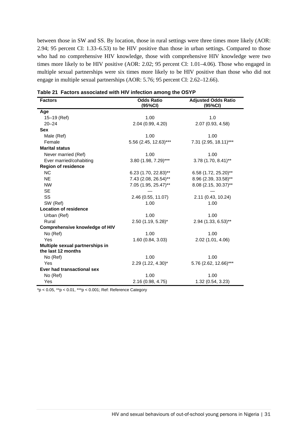between those in SW and SS. By location, those in rural settings were three times more likely (AOR: 2.94; 95 percent CI: 1.33–6.53) to be HIV positive than those in urban settings. Compared to those who had no comprehensive HIV knowledge, those with comprehensive HIV knowledge were two times more likely to be HIV positive (AOR: 2.02; 95 percent CI: 1.01–4.06). Those who engaged in multiple sexual partnerships were six times more likely to be HIV positive than those who did not engage in multiple sexual partnerships (AOR: 5.76; 95 percent CI: 2.62–12.66).

| <b>Factors</b>                                        | <b>Odds Ratio</b><br>(95%CI) | <b>Adjusted Odds Ratio</b><br>(95%CI) |
|-------------------------------------------------------|------------------------------|---------------------------------------|
| Age                                                   |                              |                                       |
| 15-19 (Ref)                                           | 1.00                         | 1.0                                   |
| $20 - 24$                                             | 2.04 (0.99, 4.20)            | 2.07 (0.93, 4.58)                     |
| <b>Sex</b>                                            |                              |                                       |
| Male (Ref)                                            | 1.00                         | 1.00                                  |
| Female                                                | 5.56 (2.45, 12.63)***        | 7.31 (2.95, 18.11)***                 |
| <b>Marital status</b>                                 |                              |                                       |
| Never married (Ref)                                   | 1.00                         | 1.00                                  |
| Ever married/cohabiting                               | 3.80 (1.98, 7.29)***         | 3.78 (1.70, 8.41)**                   |
| <b>Region of residence</b>                            |                              |                                       |
| <b>NC</b>                                             | $6.23$ (1.70, 22.83)**       | 6.58 (1.72, 25.20)**                  |
| <b>NE</b>                                             | 7.43 (2.08, 26.54)**         | 8.96 (2.39, 33.58)**                  |
| <b>NW</b>                                             | 7.05 (1.95, 25.47)**         | 8.08 (2.15, 30.37)**                  |
| <b>SE</b>                                             |                              |                                       |
| SS                                                    | 2.46 (0.55, 11.07)           | 2.11 (0.43, 10.24)                    |
| SW (Ref)                                              | 1.00                         | 1.00                                  |
| <b>Location of residence</b>                          |                              |                                       |
| Urban (Ref)                                           | 1.00                         | 1.00                                  |
| Rural                                                 | 2.50 (1.19, 5.28)*           | 2.94 (1.33, 6.53)**                   |
| <b>Comprehensive knowledge of HIV</b>                 |                              |                                       |
| No (Ref)                                              | 1.00                         | 1.00                                  |
| Yes                                                   | 1.60 (0.84, 3.03)            | 2.02 (1.01, 4.06)                     |
| Multiple sexual partnerships in<br>the last 12 months |                              |                                       |
| No (Ref)                                              | 1.00                         | 1.00                                  |
| Yes                                                   | 2.29 (1.22, 4.30)*           | 5.76 (2.62, 12.66)***                 |
| Ever had transactional sex                            |                              |                                       |
| No (Ref)                                              | 1.00                         | 1.00                                  |
| Yes                                                   | 2.16 (0.98, 4.75)            | 1.32 (0.54, 3.23)                     |

**Table 21 Factors associated with HIV infection among the OSYP**

\*p < 0.05, \*\*p < 0.01, \*\*\*p < 0.001; Ref: Reference Category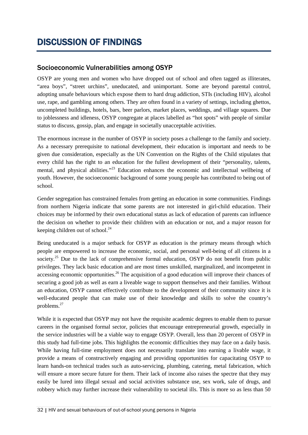# DISCUSSION OF FINDINGS

### Socioeconomic Vulnerabilities among OSYP

OSYP are young men and women who have dropped out of school and often tagged as illiterates, "area boys", "street urchins", uneducated, and unimportant. Some are beyond parental control, adopting unsafe behaviours which expose them to hard drug addiction, STIs (including HIV), alcohol use, rape, and gambling among others. They are often found in a variety of settings, including ghettos, uncompleted buildings, hotels, bars, beer parlors, market places, weddings, and village squares. Due to joblessness and idleness, OSYP congregate at places labelled as "hot spots" with people of similar status to discuss, gossip, plan, and engage in societally unacceptable activities.

The enormous increase in the number of OSYP in society poses a challenge to the family and society. As a necessary prerequisite to national development, their education is important and needs to be given due consideration, especially as the UN Convention on the Rights of the Child stipulates that every child has the right to an education for the fullest development of their "personality, talents, mental, and physical abilities."<sup>23</sup> Education enhances the economic and intellectual wellbeing of youth. However, the socioeconomic background of some young people has contributed to being out of school.

Gender segregation has constrained females from getting an education in some communities. Findings from northern Nigeria indicate that some parents are not interested in girl-child education. Their choices may be informed by their own educational status as lack of education of parents can influence the decision on whether to provide their children with an education or not, and a major reason for keeping children out of school.<sup>24</sup>

Being uneducated is a major setback for OSYP as education is the primary means through which people are empowered to increase the economic, social, and personal well-being of all citizens in a society.<sup>25</sup> Due to the lack of comprehensive formal education, OSYP do not benefit from public privileges. They lack basic education and are most times unskilled, marginalized, and incompetent in accessing economic opportunities.<sup>26</sup> The acquisition of a good education will improve their chances of securing a good job as well as earn a liveable wage to support themselves and their families. Without an education, OSYP cannot effectively contribute to the development of their community since it is well-educated people that can make use of their knowledge and skills to solve the country's problems.27

While it is expected that OSYP may not have the requisite academic degrees to enable them to pursue careers in the organised formal sector, policies that encourage entrepreneurial growth, especially in the service industries will be a viable way to engage OSYP. Overall, less than 20 percent of OSYP in this study had full-time jobs. This highlights the economic difficulties they may face on a daily basis. While having full-time employment does not necessarily translate into earning a livable wage, it provide a means of constructively engaging and providing opportunities for capacitating OSYP to learn hands-on technical trades such as auto-servicing, plumbing, catering, metal fabrication, which will ensure a more secure future for them. Their lack of income also raises the spectre that they may easily be lured into illegal sexual and social activities substance use, sex work, sale of drugs, and robbery which may further increase their vulnerability to societal ills. This is more so as less than 50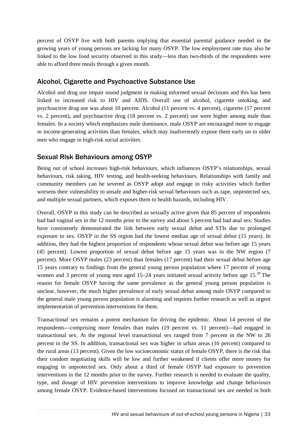percent of OSYP live with both parents implying that essential parental guidance needed in the growing years of young persons are lacking for many OSYP. The low employment rate may also be linked to the low food security observed in this study—less than two-thirds of the respondents were able to afford three meals through a given month.

### Alcohol, Cigarette and Psychoactive Substance Use

Alcohol and drug use impair sound judgment in making informed sexual decisions and this has been linked to increased risk to HIV and AIDS. Overall use of alcohol, cigarette smoking, and psychoactive drug use was about 10 percent. Alcohol (11 percent vs. 4 percent), cigarette (17 percent vs. 2 percent), and psychoactive drug (18 percent vs. 2 percent) use were higher among male than females. In a society which emphasizes male dominance, male OSYP are encouraged more to engage in income-generating activities than females, which may inadvertently expose them early on to older men who engage in high-risk social activities.

## Sexual Risk Behaviours among OSYP

Being out of school increases high-risk behaviours, which influences OSYP's relationships, sexual behaviours, risk taking, HIV testing, and health-seeking behaviours. Relationships with family and community members can be severed as OSYP adopt and engage in risky activities which further worsens their vulnerability to unsafe and higher-risk sexual behaviours such as rape, unprotected sex, and multiple sexual partners, which exposes them to health hazards, including HIV.

Overall, OSYP in this study can be described as sexually active given that 85 percent of respondents had had vaginal sex in the 12 months prior to the survey and about 5 percent had had anal sex. Studies have consistently demonstrated the link between early sexual debut and STIs due to prolonged exposure to sex. OSYP in the SS region had the lowest median age of sexual debut (15 years). In addition, they had the highest proportion of respondents whose sexual debut was before age 15 years (45 percent). Lowest proportion of sexual debut before age 15 years was in the NW region (7 percent). More OSYP males (23 percent) than females (17 percent) had their sexual debut before age 15 years contrary to findings from the general young person population where 17 percent of young women and 3 percent of young men aged  $15-24$  years initiated sexual activity before age  $15<sup>28</sup>$  The reason for female OSYP having the same prevalence as the general young person population is unclear, however, the much higher prevalence of early sexual debut among male OSYP compared to the general male young person population is alarming and requires further research as well as urgent implementation of prevention interventions for them.

Transactional sex remains a potent mechanism for driving the epidemic. About 14 percent of the respondents—comprising more females than males (19 percent vs. 11 percent)—had engaged in transactional sex. At the regional level transactional sex ranged from 7 percent in the NW to 26 percent in the SS. In addition, transactional sex was higher in urban areas (16 percent) compared to the rural areas (13 percent). Given the low socioeconomic status of female OSYP, there is the risk that their condom negotiating skills will be low and further weakened if clients offer more money for engaging in unprotected sex. Only about a third of female OSYP had exposure to prevention interventions in the 12 months prior to the survey. Further research is needed to evaluate the quality, type, and dosage of HIV prevention interventions to improve knowledge and change behaviours among female OSYP. Evidence-based interventions focused on transactional sex are needed in both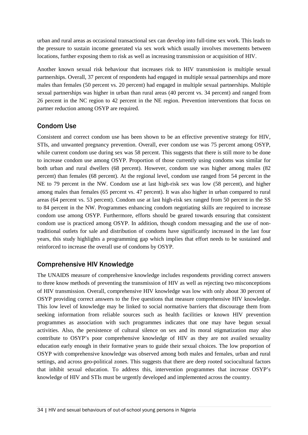urban and rural areas as occasional transactional sex can develop into full-time sex work. This leads to the pressure to sustain income generated via sex work which usually involves movements between locations, further exposing them to risk as well as increasing transmission or acquisition of HIV.

Another known sexual risk behaviour that increases risk to HIV transmission is multiple sexual partnerships. Overall, 37 percent of respondents had engaged in multiple sexual partnerships and more males than females (50 percent vs. 20 percent) had engaged in multiple sexual partnerships. Multiple sexual partnerships was higher in urban than rural areas (40 percent vs. 34 percent) and ranged from 26 percent in the NC region to 42 percent in the NE region. Prevention interventions that focus on partner reduction among OSYP are required.

## Condom Use

Consistent and correct condom use has been shown to be an effective preventive strategy for HIV, STIs, and unwanted pregnancy prevention. Overall, ever condom use was 75 percent among OSYP, while current condom use during sex was 58 percent. This suggests that there is still more to be done to increase condom use among OSYP. Proportion of those currently using condoms was similar for both urban and rural dwellers (68 percent). However, condom use was higher among males (82 percent) than females (68 percent). At the regional level, condom use ranged from 54 percent in the NE to 79 percent in the NW. Condom use at last high-risk sex was low (58 percent), and higher among males than females (65 percent vs. 47 percent). It was also higher in urban compared to rural areas (64 percent vs. 53 percent). Condom use at last high-risk sex ranged from 50 percent in the SS to 84 percent in the NW. Programmes enhancing condom negotiating skills are required to increase condom use among OSYP. Furthermore, efforts should be geared towards ensuring that consistent condom use is practiced among OSYP. In addition, though condom messaging and the use of nontraditional outlets for sale and distribution of condoms have significantly increased in the last four years, this study highlights a programming gap which implies that effort needs to be sustained and reinforced to increase the overall use of condoms by OSYP.

### Comprehensive HIV Knowledge

The UNAIDS measure of comprehensive knowledge includes respondents providing correct answers to three know methods of preventing the transmission of HIV as well as rejecting two misconceptions of HIV transmission. Overall, comprehensive HIV knowledge was low with only about 30 percent of OSYP providing correct answers to the five questions that measure comprehensive HIV knowledge. This low level of knowledge may be linked to social normative barriers that discourage them from seeking information from reliable sources such as health facilities or known HIV prevention programmes as association with such programmes indicates that one may have begun sexual activities. Also, the persistence of cultural silence on sex and its moral stigmatization may also contribute to OSYP's poor comprehensive knowledge of HIV as they are not availed sexuality education early enough in their formative years to guide their sexual choices. The low proportion of OSYP with comprehensive knowledge was observed among both males and females, urban and rural settings, and across geo-political zones. This suggests that there are deep rooted sociocultural factors that inhibit sexual education. To address this, intervention programmes that increase OSYP's knowledge of HIV and STIs must be urgently developed and implemented across the country.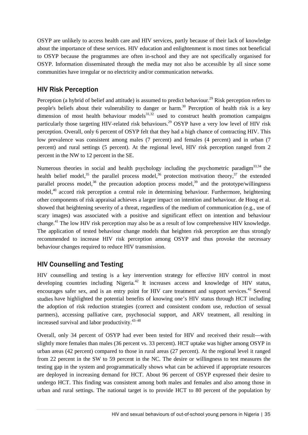OSYP are unlikely to access health care and HIV services, partly because of their lack of knowledge about the importance of these services. HIV education and enlightenment is most times not beneficial to OSYP because the programmes are often in-school and they are not specifically organised for OSYP. Information disseminated through the media may not also be accessible by all since some communities have irregular or no electricity and/or communication networks.

### HIV Risk Perception

Perception (a hybrid of belief and attitude) is assumed to predict behaviour.<sup>29</sup> Risk perception refers to people's beliefs about their vulnerability to danger or harm.<sup>30</sup> Perception of health risk is a key dimension of most health behaviour models $^{31,32}$  used to construct health promotion campaigns particularly those targeting HIV-related risk behaviours.<sup>29</sup> OSYP have a very low level of HIV risk perception. Overall, only 6 percent of OSYP felt that they had a high chance of contracting HIV. This low prevalence was consistent among males (7 percent) and females (4 percent) and in urban (7 percent) and rural settings (5 percent). At the regional level, HIV risk perception ranged from 2 percent in the NW to 12 percent in the SE.

Numerous theories in social and health psychology including the psychometric paradigm<sup>33,34</sup> the health belief model,<sup>35</sup> the parallel process model,<sup>36</sup> protection motivation theory,<sup>37</sup> the extended parallel process model,<sup>38</sup> the precaution adoption process model,<sup>39</sup> and the prototype/willingness model,<sup>40</sup> accord risk perception a central role in determining behaviour. Furthermore, heightening other components of risk appraisal achieves a larger impact on intention and behaviour. de Hoog et al. showed that heightening severity of a threat, regardless of the medium of communication (e.g., use of scary images) was associated with a positive and significant effect on intention and behaviour change.41 The low HIV risk perception may also be as a result of low comprehensive HIV knowledge. The application of tested behaviour change models that heighten risk perception are thus strongly recommended to increase HIV risk perception among OSYP and thus provoke the necessary behaviour changes required to reduce HIV transmission.

### HIV Counselling and Testing

HIV counselling and testing is a key intervention strategy for effective HIV control in most developing countries including Nigeria.<sup>42</sup> It increases access and knowledge of HIV status, encourages safer sex, and is an entry point for HIV care treatment and support services.<sup>42</sup> Several studies have highlighted the potential benefits of knowing one's HIV status through HCT including the adoption of risk reduction strategies (correct and consistent condom use, reduction of sexual partners), accessing palliative care, psychosocial support, and ARV treatment, all resulting in increased survival and labor productivity.43–48

Overall, only 34 percent of OSYP had ever been tested for HIV and received their result—with slightly more females than males (36 percent vs. 33 percent). HCT uptake was higher among OSYP in urban areas (42 percent) compared to those in rural areas (27 percent). At the regional level it ranged from 22 percent in the SW to 59 percent in the NC. The desire or willingness to test measures the testing gap in the system and programmatically shows what can be achieved if appropriate resources are deployed in increasing demand for HCT. About 96 percent of OSYP expressed their desire to undergo HCT. This finding was consistent among both males and females and also among those in urban and rural settings. The national target is to provide HCT to 80 percent of the population by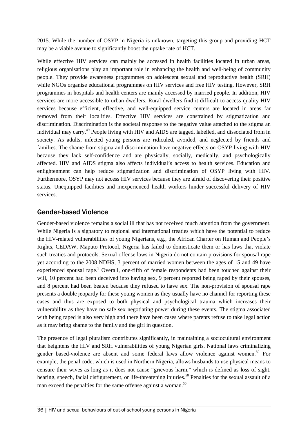2015. While the number of OSYP in Nigeria is unknown, targeting this group and providing HCT may be a viable avenue to significantly boost the uptake rate of HCT.

While effective HIV services can mainly be accessed in health facilities located in urban areas, religious organisations play an important role in enhancing the health and well-being of community people. They provide awareness programmes on adolescent sexual and reproductive health (SRH) while NGOs organise educational programmes on HIV services and free HIV testing. However, SRH programmes in hospitals and health centers are mainly accessed by married people. In addition, HIV services are more accessible to urban dwellers. Rural dwellers find it difficult to access quality HIV services because efficient, effective, and well-equipped service centers are located in areas far removed from their localities. Effective HIV services are constrained by stigmatization and discrimination. Discrimination is the societal response to the negative value attached to the stigma an individual may carry.<sup>49</sup> People living with HIV and AIDS are tagged, labelled, and dissociated from in society. As adults, infected young persons are ridiculed, avoided, and neglected by friends and families. The shame from stigma and discrimination have negative effects on OSYP living with HIV because they lack self-confidence and are physically, socially, medically, and psychologically affected. HIV and AIDS stigma also affects individual's access to health services. Education and enlightenment can help reduce stigmatization and discrimination of OSYP living with HIV. Furthermore, OSYP may not access HIV services because they are afraid of discovering their positive status. Unequipped facilities and inexperienced health workers hinder successful delivery of HIV services.

### Gender-based Violence

Gender-based violence remains a social ill that has not received much attention from the government. While Nigeria is a signatory to regional and international treaties which have the potential to reduce the HIV-related vulnerabilities of young Nigerians, e.g., the African Charter on Human and People's Rights, CEDAW, Maputo Protocol, Nigeria has failed to domesticate them or has laws that violate such treaties and protocols. Sexual offense laws in Nigeria do not contain provisions for spousal rape yet according to the 2008 NDHS, 3 percent of married women between the ages of 15 and 49 have experienced spousal rape.<sup>5</sup> Overall, one-fifth of female respondents had been touched against their will, 10 percent had been deceived into having sex, 9 percent reported being raped by their spouses, and 8 percent had been beaten because they refused to have sex. The non-provision of spousal rape presents a double jeopardy for these young women as they usually have no channel for reporting these cases and thus are exposed to both physical and psychological trauma which increases their vulnerability as they have no safe sex negotiating power during these events. The stigma associated with being raped is also very high and there have been cases where parents refuse to take legal action as it may bring shame to the family and the girl in question.

The presence of legal pluralism contributes significantly, in maintaining a sociocultural environment that heightens the HIV and SRH vulnerabilities of young Nigerian girls. National laws criminalizing gender based-violence are absent and some federal laws allow violence against women. <sup>50</sup> For example, the penal code, which is used in Northern Nigeria, allows husbands to use physical means to censure their wives as long as it does not cause "grievous harm," which is defined as loss of sight, hearing, speech, facial disfigurement, or life-threatening injuries.<sup>50</sup> Penalties for the sexual assault of a man exceed the penalties for the same offense against a woman.<sup>50</sup>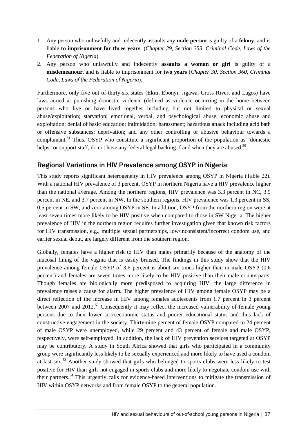- 1. Any person who unlawfully and indecently assaults any **male person** is guilty of a **felony**, and is liable **to imprisonment for three years**. (*Chapter 29, Section 353, Criminal Code, Laws of the Federation of Nigeria*).
- 2. Any person who unlawfully and indecently **assaults a woman or girl** is guilty of a **misdemeanour**, and is liable to imprisonment for **two years** (*Chapter 30, Section 360, Criminal Code, Laws of the Federation of Nigeria*).

Furthermore, only five out of thirty-six states (Ekiti, Ebonyi, Jigawa, Cross River, and Lagos) have laws aimed at punishing domestic violence (defined as violence occurring in the home between persons who live or have lived together including but not limited to physical or sexual abuse/exploitation; starvation; emotional, verbal, and psychological abuse; economic abuse and exploitation; denial of basic education; intimidation; harassment; hazardous attack including acid bath or offensive substances; deprivation; and any other controlling or abusive behaviour towards a complainant.<sup>51</sup> Thus, OSYP who constitute a significant proportion of the population as "domestic helps" or support staff, do not have any federal legal backing if and when they are abused.<sup>50</sup>

### Regional Variations in HIV Prevalence among OSYP in Nigeria

This study reports significant heterogeneity in HIV prevalence among OSYP in Nigeria (Table 22). With a national HIV prevalence of 3 percent, OSYP in northern Nigeria have a HIV prevalence higher than the national average. Among the northern regions, HIV prevalence was 3.3 percent in NC, 3.9 percent in NE, and 3.7 percent in NW. In the southern regions, HIV prevalence was 1.3 percent in SS, 0.5 percent in SW, and zero among OSYP in SE. In addition, OSYP from the northern region were at least seven times more likely to be HIV positive when compared to those in SW Nigeria. The higher prevalence of HIV in the northern region requires further investigation given that known risk factors for HIV transmission, e.g., multiple sexual partnerships, low/inconsistent/incorrect condom use, and earlier sexual debut, are largely different from the southern region.

Globally, females have a higher risk to HIV than males primarily because of the anatomy of the mucosal lining of the vagina that is easily bruised. The findings in this study show that the HIV prevalence among female OSYP of 3.6 percent is about six times higher than in male OSYP (0.6 percent) and females are seven times more likely to be HIV positive than their male counterparts. Though females are biologically more predisposed to acquiring HIV, the large difference in prevalence raises a cause for alarm. The higher prevalence of HIV among female OSYP may be a direct reflection of the increase in HIV among females adolescents from 1.7 percent in 3 percent between 2007 and 2012.<sup>52</sup> Consequently it may reflect the increased vulnerability of female young persons due to their lower socioeconomic status and poorer educational status and thus lack of constructive engagement in the society. Thirty-nine percent of female OSYP compared to 24 percent of male OSYP were unemployed, while 29 percent and 43 percent of female and male OSYP, respectively, were self-employed. In addition, the lack of HIV prevention services targeted at OSYP may be contributory. A study in South Africa showed that girls who participated in a community group were significantly less likely to be sexually experienced and more likely to have used a condom at last sex.<sup>53</sup> Another study showed that girls who belonged to sports clubs were less likely to test positive for HIV than girls not engaged in sports clubs and more likely to negotiate condom use with their partners.54 This urgently calls for evidence-based interventions to mitigate the transmission of HIV within OSYP networks and from female OSYP to the general population.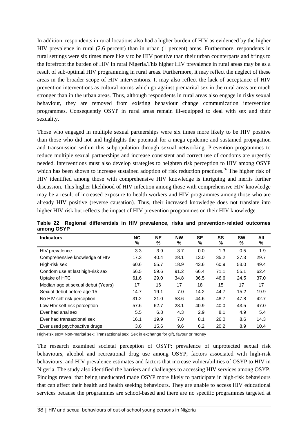In addition, respondents in rural locations also had a higher burden of HIV as evidenced by the higher HIV prevalence in rural (2.6 percent) than in urban (1 percent) areas. Furthermore, respondents in rural settings were six times more likely to be HIV positive than their urban counterparts and brings to the forefront the burden of HIV in rural Nigeria.This higher HIV prevalence in rural areas may be as a result of sub-optimal HIV programming in rural areas. Furthermore, it may reflect the neglect of these areas in the broader scope of HIV interventions. It may also reflect the lack of acceptance of HIV prevention interventions as cultural norms which go against premarital sex in the rural areas are much stronger than in the urban areas. Thus, although respondents in rural areas also engage in risky sexual behaviour, they are removed from existing behaviour change communication intervention programmes. Consequently OSYP in rural areas remain ill-equipped to deal with sex and their sexuality.

Those who engaged in multiple sexual partnerships were six times more likely to be HIV positive than those who did not and highlights the potential for a mega epidemic and sustained propagation and transmission within this subpopulation through sexual networking. Prevention programmes to reduce multiple sexual partnerships and increase consistent and correct use of condoms are urgently needed. Interventions must also develop strategies to heighten risk perception to HIV among OSYP which has been shown to increase sustained adoption of risk reduction practices.<sup>36</sup> The higher risk of HIV identified among those with comprehensive HIV knowledge is intriguing and merits further discussion. This higher likelihood of HIV infection among those with comprehensive HIV knowledge may be a result of increased exposure to health workers and HIV programmes among those who are already HIV positive (reverse causation). Thus, their increased knowledge does not translate into higher HIV risk but reflects the impact of HIV prevention programmes on their HIV knowledge.

| <b>Indicators</b>                  | <b>NC</b><br>% | <b>NE</b><br>% | <b>NW</b><br>% | <b>SE</b><br>% | SS<br>% | <b>SW</b><br>% | All<br>% |
|------------------------------------|----------------|----------------|----------------|----------------|---------|----------------|----------|
| HIV prevalence                     | 3.3            | 3.9            | 3.7            | 0.0            | 1.3     | 0.5            | 1.9      |
| Comprehensive knowledge of HIV     | 17.3           | 40.4           | 28.1           | 13.0           | 35.2    | 37.3           | 29.7     |
| High-risk sex                      | 60.6           | 55.7           | 18.9           | 43.6           | 60.9    | 53.0           | 49.4     |
| Condom use at last high-risk sex   | 56.5           | 59.6           | 91.2           | 66.4           | 71.1    | 55.1           | 62.4     |
| Uptake of HTC                      | 61.6           | 29.0           | 34.8           | 36.5           | 46.6    | 24.5           | 37.0     |
| Median age at sexual debut (Years) | 17             | 16             | 17             | 18             | 15      | 17             | 17       |
| Sexual debut before age 15         | 14.7           | 19.1           | 7.0            | 14.2           | 44.7    | 15.2           | 19.9     |
| No HIV self-risk perception        | 31.2           | 21.0           | 58.6           | 44.6           | 48.7    | 47.8           | 42.7     |
| Low HIV self-risk perception       | 57.6           | 62.7           | 28.1           | 40.9           | 40.0    | 43.5           | 47.0     |
| Ever had anal sex                  | 5.5            | 6.8            | 4.3            | 2.9            | 8.1     | 4.9            | 5.4      |
| Ever had transactional sex         | 16.1           | 19.9           | 7.0            | 8.1            | 26.0    | 8.6            | 14.3     |
| Ever used psychoactive drugs       | 3.6            | 15.6           | 9.6            | 6.2            | 20.2    | 8.9            | 10.4     |

**Table 22 Regional differentials in HIV prevalence, risks and prevention-related outcomes among OSYP**

High-risk sex= Non-marital sex; Transactional sex: Sex in exchange for gift, favour or money

The research examined societal perception of OSYP; prevalence of unprotected sexual risk behaviours, alcohol and recreational drug use among OSYP; factors associated with high-risk behaviours; and HIV prevalence estimates and factors that increase vulnerabilities of OSYP to HIV in Nigeria. The study also identified the barriers and challenges to accessing HIV services among OSYP. Findings reveal that being uneducated made OSYP more likely to participate in high-risk behaviours that can affect their health and health seeking behaviours. They are unable to access HIV educational services because the programmes are school-based and there are no specific programmes targeted at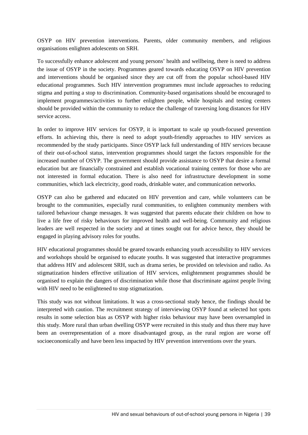OSYP on HIV prevention interventions. Parents, older community members, and religious organisations enlighten adolescents on SRH.

To successfully enhance adolescent and young persons' health and wellbeing, there is need to address the issue of OSYP in the society. Programmes geared towards educating OSYP on HIV prevention and interventions should be organised since they are cut off from the popular school-based HIV educational programmes. Such HIV intervention programmes must include approaches to reducing stigma and putting a stop to discrimination. Community-based organisations should be encouraged to implement programmes/activities to further enlighten people, while hospitals and testing centers should be provided within the community to reduce the challenge of traversing long distances for HIV service access.

In order to improve HIV services for OSYP, it is important to scale up youth-focused prevention efforts. In achieving this, there is need to adopt youth-friendly approaches to HIV services as recommended by the study participants. Since OSYP lack full understanding of HIV services because of their out-of-school status, intervention programmes should target the factors responsible for the increased number of OSYP. The government should provide assistance to OSYP that desire a formal education but are financially constrained and establish vocational training centers for those who are not interested in formal education. There is also need for infrastructure development in some communities, which lack electricity, good roads, drinkable water, and communication networks.

OSYP can also be gathered and educated on HIV prevention and care, while volunteers can be brought to the communities, especially rural communities, to enlighten community members with tailored behaviour change messages. It was suggested that parents educate their children on how to live a life free of risky behaviours for improved health and well-being. Community and religious leaders are well respected in the society and at times sought out for advice hence, they should be engaged in playing advisory roles for youths.

HIV educational programmes should be geared towards enhancing youth accessibility to HIV services and workshops should be organised to educate youths. It was suggested that interactive programmes that address HIV and adolescent SRH, such as drama series, be provided on television and radio. As stigmatization hinders effective utilization of HIV services, enlightenment programmes should be organised to explain the dangers of discrimination while those that discriminate against people living with HIV need to be enlightened to stop stigmatization.

This study was not without limitations. It was a cross-sectional study hence, the findings should be interpreted with caution. The recruitment strategy of interviewing OSYP found at selected hot spots results in some selection bias as OSYP with higher risks behaviour may have been oversampled in this study. More rural than urban dwelling OSYP were recruited in this study and thus there may have been an overrepresentation of a more disadvantaged group, as the rural region are worse off socioeconomically and have been less impacted by HIV prevention interventions over the years.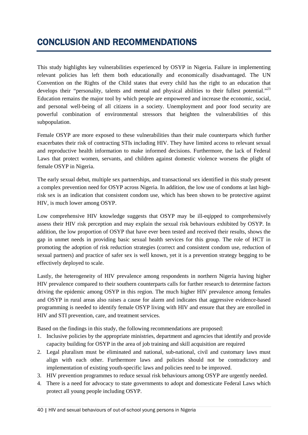# CONCLUSION AND RECOMMENDATIONS

This study highlights key vulnerabilities experienced by OSYP in Nigeria. Failure in implementing relevant policies has left them both educationally and economically disadvantaged. The UN Convention on the Rights of the Child states that every child has the right to an education that develops their "personality, talents and mental and physical abilities to their fullest potential."<sup>23</sup> Education remains the major tool by which people are empowered and increase the economic, social, and personal well-being of all citizens in a society. Unemployment and poor food security are powerful combination of environmental stressors that heighten the vulnerabilities of this subpopulation.

Female OSYP are more exposed to these vulnerabilities than their male counterparts which further exacerbates their risk of contracting STIs including HIV. They have limited access to relevant sexual and reproductive health information to make informed decisions. Furthermore, the lack of Federal Laws that protect women, servants, and children against domestic violence worsens the plight of female OSYP in Nigeria.

The early sexual debut, multiple sex partnerships, and transactional sex identified in this study present a complex prevention need for OSYP across Nigeria. In addition, the low use of condoms at last highrisk sex is an indication that consistent condom use, which has been shown to be protective against HIV, is much lower among OSYP.

Low comprehensive HIV knowledge suggests that OSYP may be ill-eqipped to comprehensively assess their HIV risk perception and may explain the sexual risk behaviours exhibited by OSYP. In addition, the low proportion of OSYP that have ever been tested and received their results, shows the gap in unmet needs in providing basic sexual health services for this group. The role of HCT in promoting the adoption of risk reduction strategies (correct and consistent condom use, reduction of sexual partners) and practice of safer sex is well known, yet it is a prevention strategy begging to be effectively deployed to scale.

Lastly, the heterogeneity of HIV prevalence among respondents in northern Nigeria having higher HIV prevalence compared to their southern counterparts calls for further research to determine factors driving the epidemic among OSYP in this region. The much higher HIV prevalence among females and OSYP in rural areas also raises a cause for alarm and indicates that aggressive evidence-based programming is needed to identify female OSYP living with HIV and ensure that they are enrolled in HIV and STI prevention, care, and treatment services.

Based on the findings in this study, the following recommendations are proposed:

- 1. Inclusive policies by the appropriate ministries, department and agencies that identify and provide capacity building for OSYP in the area of job training and skill acquisition are required
- 2. Legal pluralism must be eliminated and national, sub-national, civil and customary laws must align with each other. Furthermore laws and policies should not be contradictory and implementation of existing youth-specific laws and policies need to be improved.
- 3. HIV prevention programmes to reduce sexual risk behaviours among OSYP are urgently needed.
- 4. There is a need for advocacy to state governments to adopt and domesticate Federal Laws which protect all young people including OSYP.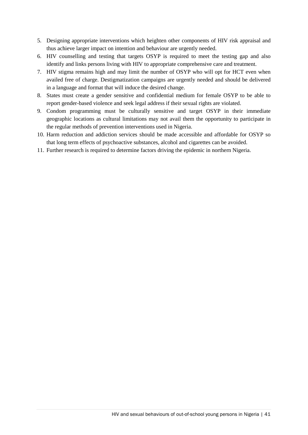- 5. Designing appropriate interventions which heighten other components of HIV risk appraisal and thus achieve larger impact on intention and behaviour are urgently needed.
- 6. HIV counselling and testing that targets OSYP is required to meet the testing gap and also identify and links persons living with HIV to appropriate comprehensive care and treatment.
- 7. HIV stigma remains high and may limit the number of OSYP who will opt for HCT even when availed free of charge. Destigmatization campaigns are urgently needed and should be delivered in a language and format that will induce the desired change.
- 8. States must create a gender sensitive and confidential medium for female OSYP to be able to report gender-based violence and seek legal address if their sexual rights are violated.
- 9. Condom programming must be culturally sensitive and target OSYP in their immediate geographic locations as cultural limitations may not avail them the opportunity to participate in the regular methods of prevention interventions used in Nigeria.
- 10. Harm reduction and addiction services should be made accessible and affordable for OSYP so that long term effects of psychoactive substances, alcohol and cigarettes can be avoided.
- 11. Further research is required to determine factors driving the epidemic in northern Nigeria.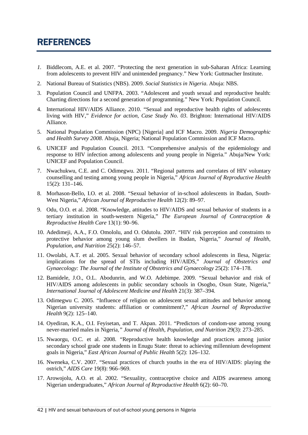# REFERENCES

- *1.* Biddlecom, A.E. et al. 2007. "Protecting the next generation in sub-Saharan Africa: Learning from adolescents to prevent HIV and unintended pregnancy." New York: Guttmacher Institute.
- 2. National Bureau of Statistics (NBS). 2009. *Social Statistics in Nigeria*. Abuja: NBS.
- 3. Population Council and UNFPA. 2003. "Adolescent and youth sexual and reproductive health: Charting directions for a second generation of programming." New York: Population Council.
- 4. International HIV/AIDS Alliance. 2010. "Sexual and reproductive health rights of adolescents living with HIV," *Evidence for action, Case Study No. 03*. Brighton: International HIV/AIDS Alliance.
- 5. National Population Commission (NPC) [Nigeria] and ICF Macro. 2009. *Nigeria Demographic and Health Survey 2008*. Abuja, Nigeria; National Population Commission and ICF Macro.
- 6. UNICEF and Population Council. 2013. "Comprehensive analysis of the epidemiology and response to HIV infection among adolescents and young people in Nigeria." Abuja/New York: UNICEF and Population Council.
- 7. Nwachukwu, C.E. and C. Odimegwu. 2011. "Regional patterns and correlates of HIV voluntary counselling and testing among young people in Nigeria," *African Journal of Reproductive Health* 15(2): 131–146.
- 8. Morhason-Bello, I.O. et al. 2008. "Sexual behavior of in-school adolescents in Ibadan, South-West Nigeria," *African Journal of Reproductive Health* 12(2): 89–97.
- 9. Odu, O.O. et al. 2008. "Knowledge, attitudes to HIV/AIDS and sexual behavior of students in a tertiary institution in south-western Nigeria," *The European Journal of Contraception & Reproductive Health Care* 13(1): 90–96.
- 10. Adedimeji, A.A., F.O. Omololu, and O. Odutolu. 2007. "HIV risk perception and constraints to protective behavior among young slum dwellers in Ibadan, Nigeria," *Journal of Health, Population, and Nutrition* 25(2): 146–57.
- 11. Owolabi, A.T*.* et al. 2005. Sexual behavior of secondary school adolescents in Ilesa, Nigeria: implications for the spread of STIs including HIV/AIDS," *Journal of Obstetrics and Gynaecology: The Journal of the Institute of Obstetrics and Gynaecology* 25(2): 174–178.
- 12. Bamidele, J.O., O.L. Abodunrin, and W.O. Adebimpe. 2009. "Sexual behavior and risk of HIV/AIDS among adolescents in public secondary schools in Osogbo, Osun State, Nigeria," *International Journal of Adolescent Medicine and Health* 21(3): 387–394.
- 13. Odimegwu C*.* 2005. "Influence of religion on adolescent sexual attitudes and behavior among Nigerian university students: affiliation or commitment?," *African Journal of Reproductive Health* 9(2): 125–140.
- 14. Oyediran, K.A., O.I. Feyisetan, and T. Akpan. 2011. "Predictors of condom-use among young never-married males in Nigeria*," Journal of Health, Population, and Nutrition* 29(3): 273–285.
- 15. Nwaorgu, O.C. et al. 2008. "Reproductive health knowledge and practices among junior secondary school grade one students in Enugu State: threat to achieving millennium development goals in Nigeria," *East African Journal of Public Health* 5(2): 126–132.
- 16. Nweneka, C.V. 2007. "Sexual practices of church youths in the era of HIV/AIDS: playing the ostrich," *AIDS Care* 19(8): 966–969.
- 17. Arowojolu, A.O. et al. 2002. "Sexuality, contraceptive choice and AIDS awareness among Nigerian undergraduates," *African Journal of Reproductive Health* 6(2): 60–70.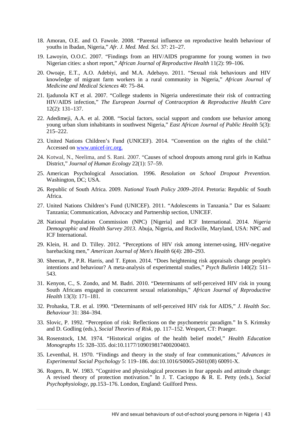- 18. Amoran, O.E. and O. Fawole. 2008. "Parental influence on reproductive health behaviour of youths in Ibadan, Nigeria," *Afr. J. Med. Med. Sci.* 37: 21–27.
- 19. Lawoyin, O.O.C. 2007. "Findings from an HIV/AIDS programme for young women in two Nigerian cities: a short report," *African Journal of Reproductive Health* 11(2): 99–106.
- 20. Owoaje, E.T., A.O. Adebiyi, and M.A. Adebayo. 2011. "Sexual risk behaviours and HIV knowledge of migrant farm workers in a rural community in Nigeria," *African Journal of Medicine and Medical Sciences* 40: 75–84.
- 21. Ijadunola KT et al. 2007. "College students in Nigeria underestimate their risk of contracting HIV/AIDS infection," *The European Journal of Contraception & Reproductive Health Care* 12(2): 131–137.
- 22. Adedimeji, A.A. et al. 2008. "Social factors, social support and condom use behavior among young urban slum inhabitants in southwest Nigeria," *East African Journal of Public Health* 5(3): 215–222.
- 23. United Nations Children's Fund (UNICEF). 2014. "Convention on the rights of the child." Accessed on [www.unicef-irc.org.](http://www.unicef-irc.org/)
- 24. Kotwal, N., Neelima, and S. Rani. 2007. "Causes of school dropouts among rural girls in Kathua District," *Journal of Human Ecology* 22(1): 57–59.
- 25. American Psychological Association. 1996. *Resolution on School Dropout Prevention.*  Washington, DC; USA.
- 26. Republic of South Africa. 2009. *National Youth Policy 2009–2014*. Pretoria: Republic of South Africa.
- 27. United Nations Children's Fund (UNICEF). 2011. "Adolescents in Tanzania." Dar es Salaam: Tanzania; Communication, Advocacy and Partnership section, UNICEF.
- *28.* National Population Commission (NPC) [Nigeria] and ICF International. 2014. *Nigeria Demographic and Health Survey 2013.* Abuja, Nigeria, and Rockville, Maryland, USA: NPC and ICF International.
- 29. Klein, H. and D. Tilley. 2012. "Perceptions of HIV risk among internet-using, HIV-negative barebacking men," *American Journal of Men's Health* 6(4): 280–293.
- 30. Sheeran, P., P.R. Harris, and T. Epton. 2014. "Does heightening risk appraisals change people's intentions and behaviour? A meta-analysis of experimental studies," *Psych Bulletin* 140(2): 511– 543.
- 31. Kenyon, C., S. Zondo, and M. Badri. 2010. "Determinants of self-perceived HIV risk in young South Africans engaged in concurrent sexual relationships," *African Journal of Reproductive Health* 13(3): 171–181.
- 32. Prohaska, T.R. et al. 1990. "Determinants of self-perceived HIV risk for AIDS," *J. Health Soc. Behaviour* 31: 384–394.
- 33. Slovic, P. 1992. "Perception of risk: Reflections on the psychometric paradigm." In S. Krimsky and D. Godling (eds.), *Social Theories of Risk,* pp. 117–152. Wesport, CT: Praeger.
- 34. Rosenstock, I.M. 1974. "Historical origins of the health belief model," *Health Education Monographs* 15: 328–335. doi:10.1177/109019817400200403.
- 35. Leventhal, H. 1970. "Findings and theory in the study of fear communications," *Advances in Experimental Social Psychology* 5: 119–186. doi:10.1016/S0065-2601(08) 60091-X.
- 36. Rogers, R. W. 1983. "Cognitive and physiological processes in fear appeals and attitude change: A revised theory of protection motivation." In J. T. Cacioppo & R. E. Petty (eds.), *Social Psychophysiology,* pp.153–176. London, England: Guilford Press.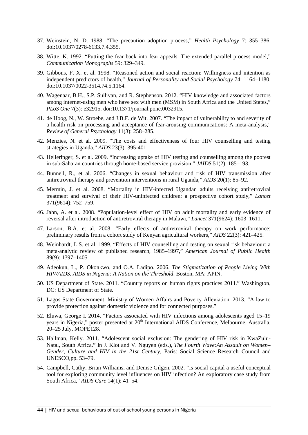- 37. Weinstein, N. D. 1988. "The precaution adoption process," *Health Psychology* 7: 355–386. doi:10.1037/0278-6133.7.4.355.
- 38. Witte, K. 1992. "Putting the fear back into fear appeals: The extended parallel process model," *Communication Monographs* 59: 329–349.
- 39. Gibbons, F. X. et al. 1998. "Reasoned action and social reaction: Willingness and intention as independent predictors of health," *Journal of Personality and Social Psychology* 74: 1164–1180. doi:10.1037/0022-3514.74.5.1164.
- 40. Wagenaar, B.H., S.P. Sullivan, and R. Stephenson. 2012. "HIV knowledge and associated factors among internet-using men who have sex with men (MSM) in South Africa and the United States," *PLoS One* 7(3): e32915. doi:10.1371/journal.pone.0032915.
- 41. de Hoog, N., W. Stroebe, and J.B.F. de Wit. 2007. "The impact of vulnerability to and severity of a health risk on processing and acceptance of fear-arousing communications: A meta-analysis," *Review of General Psychology* 11(3): 258–285.
- 42. Menzies, N. et al. 2009. "The costs and effectiveness of four HIV counselling and testing strategies in Uganda," *AIDS* 23(3): 395-401.
- 43. Helleringer, S. et al. 2009. "Increasing uptake of HIV testing and counselling among the poorest in sub-Saharan countries through home-based service provision," *JAIDS* 51(2): 185–193.
- 44. Bunnell, R., et al. 2006. "Changes in sexual behaviour and risk of HIV transmission after antiretroviral therapy and prevention interventions in rural Uganda," *AIDS* 20(1): 85–92.
- 45. Mermin, J. et al. 2008. "Mortality in HIV-infected Ugandan adults receiving antiretroviral treatment and survival of their HIV-uninfected children: a prospective cohort study," *Lancet* 371(9614): 752–759.
- 46. Jahn, A. et al. 2008. "Population-level effect of HIV on adult mortality and early evidence of reversal after introduction of antiretroviral therapy in Malawi," *Lancet* 371(9624): 1603–1611.
- 47. Larson, B.A. et al. 2008. "Early effects of antiretroviral therapy on work performance: preliminary results from a cohort study of Kenyan agricultural workers," *AIDS* 22(3): 421–425.
- 48. Weinhardt, L.S. et al. 1999. "Effects of HIV counselling and testing on sexual risk behaviour: a meta-analytic review of published research, 1985–1997," *American Journal of Public Health* 89(9): 1397–1405.
- 49. Adeokun, L., P. Okonkwo, and O.A. Ladipo. 2006. *The Stigmatization of People Living With HIV/AIDS. AIDS in Nigeria: A Nation on the Threshold*. Boston, MA: APIN.
- 50. US Department of State. 2011. "Country reports on human rights practices 2011." Washington, DC: US Department of State.
- 51. Lagos State Government, Ministry of Women Affairs and Poverty Alleviation. 2013. "A law to provide protection against domestic violence and for connected purposes."
- 52. Eluwa, George I. 2014. "Factors associated with HIV infections among adolescents aged 15–19 years in Nigeria," poster presented at 20<sup>th</sup> International AIDS Conference, Melbourne, Australia, 20–25 July, MOPE128.
- 53. Hallman, Kelly. 2011. "Adolescent social exclusion: The gendering of HIV risk in KwaZulu-Natal, South Africa." In J. Klot and V. Nguyen (eds.), *The Fourth Wave:An Assault on Women– Gender, Culture and HIV in the 21st Century*, Paris: Social Science Research Council and UNESCO,pp. 53–79.
- 54. Campbell, Cathy, Brian Williams, and Denise Gilgen. 2002. "Is social capital a useful conceptual tool for exploring community level influences on HIV infection? An exploratory case study from South Africa," *AIDS Care* 14(1): 41–54.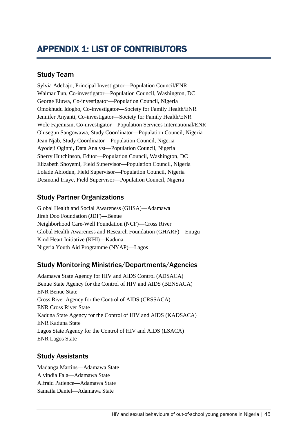## Study Team

Sylvia Adebajo, Principal Investigator—Population Council/ENR Waimar Tun, Co-investigator—Population Council, Washington, DC George Eluwa, Co-investigator—Population Council, Nigeria Omokhudu Idogho, Co-investigator—Society for Family Health/ENR Jennifer Anyanti, Co-investigator—Society for Family Health/ENR Wole Fajemisin, Co-investigator—Population Services International/ENR Olusegun Sangowawa, Study Coordinator—Population Council, Nigeria Jean Njab, Study Coordinator—Population Council, Nigeria Ayodeji Oginni, Data Analyst—Population Council, Nigeria Sherry Hutchinson, Editor—Population Council, Washington, DC Elizabeth Shoyemi, Field Supervisor—Population Council, Nigeria Lolade Abiodun, Field Supervisor—Population Council, Nigeria Desmond Iriaye, Field Supervisor—Population Council, Nigeria

## Study Partner Organizations

Global Health and Social Awareness (GHSA)—Adamawa Jireh Doo Foundation (JDF)—Benue Neighborhood Care-Well Foundation (NCF)—Cross River Global Health Awareness and Research Foundation (GHARF)—Enugu Kind Heart Initiative (KHI)—Kaduna Nigeria Youth Aid Programme (NYAP)—Lagos

## Study Monitoring Ministries/Departments/Agencies

Adamawa State Agency for HIV and AIDS Control (ADSACA) Benue State Agency for the Control of HIV and AIDS (BENSACA) ENR Benue State Cross River Agency for the Control of AIDS (CRSSACA) ENR Cross River State Kaduna State Agency for the Control of HIV and AIDS (KADSACA) ENR Kaduna State Lagos State Agency for the Control of HIV and AIDS (LSACA) ENR Lagos State

## Study Assistants

Madanga Martins—Adamawa State Alvindia Fala—Adamawa State Alfraid Patience—Adamawa State Samaila Daniel—Adamawa State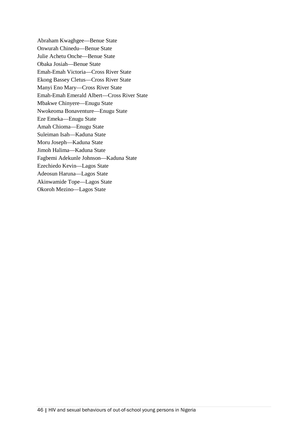Abraham Kwaghgee—Benue State Onwurah Chinedu—Benue State Julie Achetu Onche—Benue State Obaka Josiah—Benue State Emah-Emah Victoria—Cross River State Ekong Bassey Cletus—Cross River State Manyi Eno Mary—Cross River State Emah-Emah Emerald Albert—Cross River State Mbakwe Chinyere—Enugu State Nwokeoma Bonaventure—Enugu State Eze Emeka—Enugu State Amah Chioma—Enugu State Suleiman Isah—Kaduna State Moru Joseph—Kaduna State Jimoh Halima—Kaduna State Fagbemi Adekunle Johnson—Kaduna State Ezechiedo Kevin—Lagos State Adeosun Haruna—Lagos State Akinwamide Tope—Lagos State Okoroh Mezino—Lagos State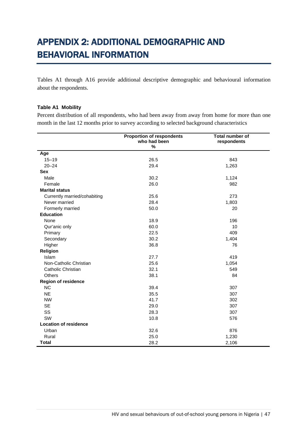# APPENDIX 2: ADDITIONAL DEMOGRAPHIC AND BEHAVIORAL INFORMATION

Tables A1 through A16 provide additional descriptive demographic and behavioural information about the respondents.

#### **Table A1 Mobility**

Percent distribution of all respondents, who had been away from away from home for more than one month in the last 12 months prior to survey according to selected background characteristics

|                              | <b>Proportion of respondents</b> | Total number of |
|------------------------------|----------------------------------|-----------------|
|                              | who had been                     | respondents     |
|                              | %                                |                 |
| Age                          |                                  |                 |
| $15 - 19$                    | 26.5                             | 843             |
| $20 - 24$                    | 29.4                             | 1,263           |
| <b>Sex</b>                   |                                  |                 |
| Male                         | 30.2                             | 1,124           |
| Female                       | 26.0                             | 982             |
| <b>Marital status</b>        |                                  |                 |
| Currently married/cohabiting | 25.6                             | 273             |
| Never married                | 28.4                             | 1,803           |
| Formerly married             | 50.0                             | 20              |
| <b>Education</b>             |                                  |                 |
| None                         | 18.9                             | 196             |
| Qur'anic only                | 60.0                             | 10              |
| Primary                      | 22.5                             | 409             |
| Secondary                    | 30.2                             | 1,404           |
| Higher                       | 36.8                             | 76              |
| Religion                     |                                  |                 |
| <b>Islam</b>                 | 27.7                             | 419             |
| Non-Catholic Christian       | 25.6                             | 1,054           |
| Catholic Christian           | 32.1                             | 549             |
| <b>Others</b>                | 38.1                             | 84              |
| <b>Region of residence</b>   |                                  |                 |
| <b>NC</b>                    | 39.4                             | 307             |
| <b>NE</b>                    | 35.5                             | 307             |
| <b>NW</b>                    | 41.7                             | 302             |
| <b>SE</b>                    | 29.0                             | 307             |
| SS                           | 28.3                             | 307             |
| SW                           | 10.8                             | 576             |
| <b>Location of residence</b> |                                  |                 |
| Urban                        | 32.6                             | 876             |
| Rural                        | 25.0                             | 1,230           |
| <b>Total</b>                 | 28.2                             | 2,106           |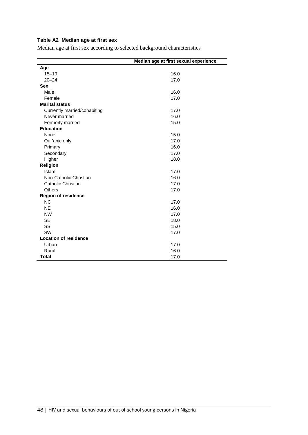### **Table A2 Median age at first sex**

Median age at first sex according to selected background characteristics

|                              | Median age at first sexual experience |
|------------------------------|---------------------------------------|
| Age                          |                                       |
| $15 - 19$                    | 16.0                                  |
| $20 - 24$                    | 17.0                                  |
| <b>Sex</b>                   |                                       |
| Male                         | 16.0                                  |
| Female                       | 17.0                                  |
| <b>Marital status</b>        |                                       |
| Currently married/cohabiting | 17.0                                  |
| Never married                | 16.0                                  |
| Formerly married             | 15.0                                  |
| <b>Education</b>             |                                       |
| None                         | 15.0                                  |
| Qur'anic only                | 17.0                                  |
| Primary                      | 16.0                                  |
| Secondary                    | 17.0                                  |
| Higher                       | 18.0                                  |
| Religion                     |                                       |
| Islam                        | 17.0                                  |
| Non-Catholic Christian       | 16.0                                  |
| Catholic Christian           | 17.0                                  |
| <b>Others</b>                | 17.0                                  |
| <b>Region of residence</b>   |                                       |
| <b>NC</b>                    | 17.0                                  |
| <b>NE</b>                    | 16.0                                  |
| <b>NW</b>                    | 17.0                                  |
| <b>SE</b>                    | 18.0                                  |
| SS                           | 15.0                                  |
| SW                           | 17.0                                  |
| <b>Location of residence</b> |                                       |
| Urban                        | 17.0                                  |
| Rural                        | 16.0                                  |
| <b>Total</b>                 | 17.0                                  |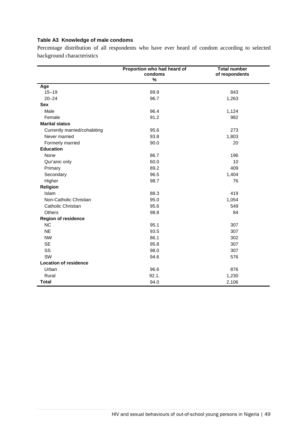#### **Table A3 Knowledge of male condoms**

Percentage distribution of all respondents who have ever heard of condom according to selected background characteristics

|                              | Proportion who had heard of<br>condoms<br>$\%$ | <b>Total number</b><br>of respondents |
|------------------------------|------------------------------------------------|---------------------------------------|
| Age                          |                                                |                                       |
| $15 - 19$                    | 89.9                                           | 843                                   |
| $20 - 24$                    | 96.7                                           | 1,263                                 |
| <b>Sex</b>                   |                                                |                                       |
| Male                         | 96.4                                           | 1,124                                 |
| Female                       | 91.2                                           | 982                                   |
| <b>Marital status</b>        |                                                |                                       |
| Currently married/cohabiting | 95.6                                           | 273                                   |
| Never married                | 93.8                                           | 1,803                                 |
| Formerly married             | 90.0                                           | 20                                    |
| <b>Education</b>             |                                                |                                       |
| None                         | 86.7                                           | 196                                   |
| Qur'anic only                | 60.0                                           | 10                                    |
| Primary                      | 89.2                                           | 409                                   |
| Secondary                    | 96.5                                           | 1,404                                 |
| Higher                       | 98.7                                           | 76                                    |
| Religion                     |                                                |                                       |
| Islam                        | 88.3                                           | 419                                   |
| Non-Catholic Christian       | 95.0                                           | 1,054                                 |
| Catholic Christian           | 95.6                                           | 549                                   |
| Others                       | 98.8                                           | 84                                    |
| <b>Region of residence</b>   |                                                |                                       |
| <b>NC</b>                    | 95.1                                           | 307                                   |
| <b>NE</b>                    | 93.5                                           | 307                                   |
| <b>NW</b>                    | 86.1                                           | 302                                   |
| <b>SE</b>                    | 95.8                                           | 307                                   |
| SS                           | 98.0                                           | 307                                   |
| SW                           | 94.6                                           | 576                                   |
| <b>Location of residence</b> |                                                |                                       |
| Urban                        | 96.6                                           | 876                                   |
| Rural                        | 92.1.                                          | 1,230                                 |
| <b>Total</b>                 | 94.0                                           | 2,106                                 |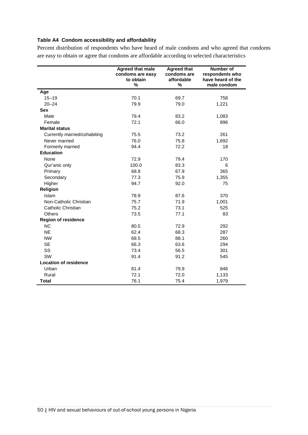#### **Table A4 Condom accessibility and affordability**

Percent distribution of respondents who have heard of male condoms and who agreed that condoms are easy to obtain or agree that condoms are affordable according to selected characteristics

|                              | <b>Agreed that male</b><br>condoms are easy<br>to obtain<br>% | <b>Agreed that</b><br>condoms are<br>affordable<br>% | Number of<br>respondents who<br>have heard of the<br>male condom |
|------------------------------|---------------------------------------------------------------|------------------------------------------------------|------------------------------------------------------------------|
| Age                          |                                                               |                                                      |                                                                  |
| $15 - 19$                    | 70.1                                                          | 69.7                                                 | 758                                                              |
| $20 - 24$                    | 79.9                                                          | 79.0                                                 | 1,221                                                            |
| <b>Sex</b>                   |                                                               |                                                      |                                                                  |
| Male                         | 79.4                                                          | 83.2                                                 | 1,083                                                            |
| Female                       | 72.1                                                          | 66.0                                                 | 896                                                              |
| <b>Marital status</b>        |                                                               |                                                      |                                                                  |
| Currently married/cohabiting | 75.5                                                          | 73.2                                                 | 261                                                              |
| Never married                | 76.0                                                          | 75.8                                                 | 1,692                                                            |
| Formerly married             | 94.4                                                          | 72.2                                                 | 18                                                               |
| <b>Education</b>             |                                                               |                                                      |                                                                  |
| None                         | 72.9                                                          | 79.4                                                 | 170                                                              |
| Qur'anic only                | 100.0                                                         | 83.3                                                 | 6                                                                |
| Primary                      | 68.8                                                          | 67.9                                                 | 365                                                              |
| Secondary                    | 77.3                                                          | 75.9                                                 | 1,355                                                            |
| Higher                       | 94.7                                                          | 92.0                                                 | 75                                                               |
| Religion                     |                                                               |                                                      |                                                                  |
| Islam                        | 78.9                                                          | 87.6                                                 | 370                                                              |
| Non-Catholic Christian       | 75.7                                                          | 71.9                                                 | 1,001                                                            |
| Catholic Christian           | 75.2                                                          | 73.1                                                 | 525                                                              |
| <b>Others</b>                | 73.5                                                          | 77.1                                                 | 83                                                               |
| <b>Region of residence</b>   |                                                               |                                                      |                                                                  |
| <b>NC</b>                    | 80.5                                                          | 72.9                                                 | 292                                                              |
| <b>NE</b>                    | 62.4                                                          | 68.3                                                 | 287                                                              |
| <b>NW</b>                    | 68.5                                                          | 88.1                                                 | 260                                                              |
| <b>SE</b>                    | 66.3                                                          | 63.6                                                 | 294                                                              |
| SS                           | 73.4                                                          | 56.5                                                 | 301                                                              |
| <b>SW</b>                    | 91.4                                                          | 91.2                                                 | 545                                                              |
| <b>Location of residence</b> |                                                               |                                                      |                                                                  |
| Urban                        | 81.4                                                          | 79.9                                                 | 846                                                              |
| Rural                        | 72.1                                                          | 72.0                                                 | 1,133                                                            |
| <b>Total</b>                 | 76.1                                                          | 75.4                                                 | 1,979                                                            |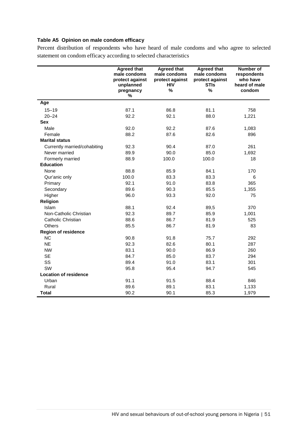### **Table A5 Opinion on male condom efficacy**

Percent distribution of respondents who have heard of male condoms and who agree to selected statement on condom efficacy according to selected characteristics

|                              | <b>Agreed that</b><br>male condoms<br>protect against<br>unplanned<br>pregnancy<br>% | <b>Agreed that</b><br>male condoms<br>protect against<br><b>HIV</b><br>% | <b>Agreed that</b><br>male condoms<br>protect against<br><b>STIs</b><br>% | Number of<br>respondents<br>who have<br>heard of male<br>condom |
|------------------------------|--------------------------------------------------------------------------------------|--------------------------------------------------------------------------|---------------------------------------------------------------------------|-----------------------------------------------------------------|
| Age                          |                                                                                      |                                                                          |                                                                           |                                                                 |
| $15 - 19$                    | 87.1                                                                                 | 86.8                                                                     | 81.1                                                                      | 758                                                             |
| $20 - 24$                    | 92.2                                                                                 | 92.1                                                                     | 88.0                                                                      | 1,221                                                           |
| <b>Sex</b>                   |                                                                                      |                                                                          |                                                                           |                                                                 |
| Male                         | 92.0                                                                                 | 92.2                                                                     | 87.6                                                                      | 1,083                                                           |
| Female                       | 88.2                                                                                 | 87.6                                                                     | 82.6                                                                      | 896                                                             |
| <b>Marital status</b>        |                                                                                      |                                                                          |                                                                           |                                                                 |
| Currently married/cohabiting | 92.3                                                                                 | 90.4                                                                     | 87.0                                                                      | 261                                                             |
| Never married                | 89.9                                                                                 | 90.0                                                                     | 85.0                                                                      | 1,692                                                           |
| Formerly married             | 88.9                                                                                 | 100.0                                                                    | 100.0                                                                     | 18                                                              |
| <b>Education</b>             |                                                                                      |                                                                          |                                                                           |                                                                 |
| None                         | 88.8                                                                                 | 85.9                                                                     | 84.1                                                                      | 170                                                             |
| Qur'anic only                | 100.0                                                                                | 83.3                                                                     | 83.3                                                                      | 6                                                               |
| Primary                      | 92.1                                                                                 | 91.0                                                                     | 83.8                                                                      | 365                                                             |
| Secondary                    | 89.6                                                                                 | 90.3                                                                     | 85.5                                                                      | 1,355                                                           |
| Higher                       | 96.0                                                                                 | 93.3                                                                     | 92.0                                                                      | 75                                                              |
| Religion                     |                                                                                      |                                                                          |                                                                           |                                                                 |
| Islam                        | 88.1                                                                                 | 92.4                                                                     | 89,5                                                                      | 370                                                             |
| Non-Catholic Christian       | 92.3                                                                                 | 89.7                                                                     | 85.9                                                                      | 1,001                                                           |
| Catholic Christian           | 88.6                                                                                 | 86.7                                                                     | 81.9                                                                      | 525                                                             |
| Others                       | 85.5                                                                                 | 86.7                                                                     | 81.9                                                                      | 83                                                              |
| <b>Region of residence</b>   |                                                                                      |                                                                          |                                                                           |                                                                 |
| <b>NC</b>                    | 90.8                                                                                 | 91.8                                                                     | 75.7                                                                      | 292                                                             |
| <b>NE</b>                    | 92.3                                                                                 | 82.6                                                                     | 80.1                                                                      | 287                                                             |
| <b>NW</b>                    | 83.1                                                                                 | 90.0                                                                     | 86.9                                                                      | 260                                                             |
| <b>SE</b>                    | 84.7                                                                                 | 85.0                                                                     | 83.7                                                                      | 294                                                             |
| SS                           | 89.4                                                                                 | 91.0                                                                     | 83.1                                                                      | 301                                                             |
| SW                           | 95.8                                                                                 | 95.4                                                                     | 94.7                                                                      | 545                                                             |
| <b>Location of residence</b> |                                                                                      |                                                                          |                                                                           |                                                                 |
| Urban                        | 91.1                                                                                 | 91.5                                                                     | 88.4                                                                      | 846                                                             |
| Rural                        | 89.6                                                                                 | 89.1                                                                     | 83.1                                                                      | 1,133                                                           |
| <b>Total</b>                 | 90.2                                                                                 | 90.1                                                                     | 85.3                                                                      | 1,979                                                           |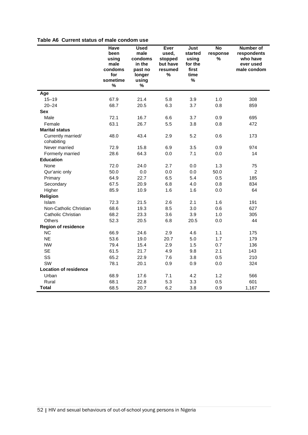#### **Table A6 Current status of male condom use**

|                                  | Have<br>been<br>using<br>male<br>condoms<br>for<br>sometime | <b>Used</b><br>male<br>condoms<br>in the<br>past no<br>longer<br>using | Ever<br>used,<br>stopped<br>but have<br>resumed<br>$\%$ | Just<br>started<br>using<br>for the<br>first<br>time<br>% | $\overline{N}$<br>response<br>$\%$ | Number of<br>respondents<br>who have<br>ever used<br>male condom |
|----------------------------------|-------------------------------------------------------------|------------------------------------------------------------------------|---------------------------------------------------------|-----------------------------------------------------------|------------------------------------|------------------------------------------------------------------|
|                                  | %                                                           | %                                                                      |                                                         |                                                           |                                    |                                                                  |
| Age                              |                                                             |                                                                        |                                                         |                                                           |                                    |                                                                  |
| $15 - 19$                        | 67.9                                                        | 21.4                                                                   | 5.8                                                     | 3.9                                                       | 1.0                                | 308                                                              |
| $20 - 24$                        | 68.7                                                        | 20.5                                                                   | 6.3                                                     | 3.7                                                       | 0.8                                | 859                                                              |
| <b>Sex</b>                       |                                                             |                                                                        |                                                         |                                                           |                                    |                                                                  |
| Male                             | 72.1                                                        | 16.7                                                                   | 6.6                                                     | 3.7                                                       | 0.9                                | 695                                                              |
| Female                           | 63.1                                                        | 26.7                                                                   | 5.5                                                     | 3.8                                                       | 0.8                                | 472                                                              |
| <b>Marital status</b>            |                                                             |                                                                        |                                                         |                                                           |                                    |                                                                  |
| Currently married/<br>cohabiting | 48.0                                                        | 43.4                                                                   | 2.9                                                     | 5.2                                                       | 0.6                                | 173                                                              |
| Never married                    | 72.9                                                        | 15.8                                                                   | 6.9                                                     | 3.5                                                       | 0.9                                | 974                                                              |
| Formerly married                 | 28.6                                                        | 64.3                                                                   | 0.0                                                     | 7.1                                                       | 0.0                                | 14                                                               |
| <b>Education</b>                 |                                                             |                                                                        |                                                         |                                                           |                                    |                                                                  |
| None                             | 72.0                                                        | 24.0                                                                   | 2.7                                                     | 0.0                                                       | 1.3                                | 75                                                               |
| Qur'anic only                    | 50.0                                                        | 0.0                                                                    | 0.0                                                     | 0.0                                                       | 50.0                               | $\overline{c}$                                                   |
| Primary                          | 64.9                                                        | 22.7                                                                   | 6.5                                                     | 5.4                                                       | 0.5                                | 185                                                              |
| Secondary                        | 67.5                                                        | 20.9                                                                   | 6.8                                                     | 4.0                                                       | 0.8                                | 834                                                              |
| Higher                           | 85.9                                                        | 10.9                                                                   | 1.6                                                     | 1.6                                                       | 0.0                                | 64                                                               |
| Religion                         |                                                             |                                                                        |                                                         |                                                           |                                    |                                                                  |
| Islam                            | 72.3                                                        | 21.5                                                                   | 2.6                                                     | 2.1                                                       | 1.6                                | 191                                                              |
| Non-Catholic Christian           | 68.6                                                        | 19.3                                                                   | 8.5                                                     | 3.0                                                       | 0.6                                | 627                                                              |
| Catholic Christian               | 68.2                                                        | 23.3                                                                   | 3.6                                                     | 3.9                                                       | 1.0                                | 305                                                              |
| Others                           | 52.3                                                        | 20.5                                                                   | 6.8                                                     | 20.5                                                      | 0.0                                | 44                                                               |
| <b>Region of residence</b>       |                                                             |                                                                        |                                                         |                                                           |                                    |                                                                  |
| NC                               | 66.9                                                        | 24.6                                                                   | 2.9                                                     | 4.6                                                       | 1.1                                | 175                                                              |
| <b>NE</b>                        | 53.6                                                        | 19.0                                                                   | 20.7                                                    | 5.0                                                       | 1.7                                | 179                                                              |
| <b>NW</b>                        | 79.4                                                        | 15.4                                                                   | 2.9                                                     | 1.5                                                       | 0.7                                | 136                                                              |
| <b>SE</b>                        | 61.5                                                        | 21.7                                                                   | 4.9                                                     | 9.8                                                       | 2.1                                | 143                                                              |
| SS                               | 65.2                                                        | 22.9                                                                   | 7.6                                                     | 3.8                                                       | 0.5                                | 210                                                              |
| SW                               | 78.1                                                        | 20.1                                                                   | 0.9                                                     | 0.9                                                       | 0.0                                | 324                                                              |
| <b>Location of residence</b>     |                                                             |                                                                        |                                                         |                                                           |                                    |                                                                  |
| Urban                            | 68.9                                                        | 17.6                                                                   | 7.1                                                     | 4.2                                                       | 1.2                                | 566                                                              |
| Rural                            | 68.1                                                        | 22.8                                                                   | 5.3                                                     | 3.3                                                       | 0.5                                | 601                                                              |
| <b>Total</b>                     | 68.5                                                        | 20.7                                                                   | 6.2                                                     | 3.8                                                       | 0.9                                | 1,167                                                            |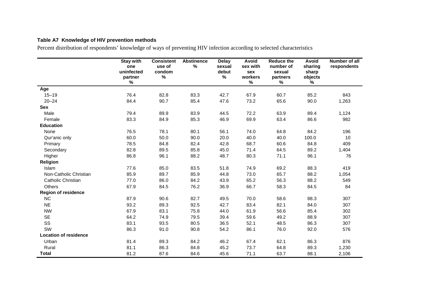### **Table A7 Knowledge of HIV prevention methods**

Percent distribution of respondents' knowledge of ways of preventing HIV infection according to selected characteristics

|                              | <b>Stay with</b><br>one<br>uninfected<br>partner<br>$\%$ | <b>Consistent</b><br>use of<br>condom<br>% | <b>Abstinence</b><br>$\%$ | <b>Delay</b><br>sexual<br>debut<br>% | Avoid<br>sex with<br>sex<br>workers<br>$\%$ | <b>Reduce the</b><br>number of<br>sexual<br>partners<br>$\%$ | <b>Avoid</b><br>sharing<br>sharp<br>objects<br>$\%$ | Number of all<br>respondents |
|------------------------------|----------------------------------------------------------|--------------------------------------------|---------------------------|--------------------------------------|---------------------------------------------|--------------------------------------------------------------|-----------------------------------------------------|------------------------------|
| Age                          |                                                          |                                            |                           |                                      |                                             |                                                              |                                                     |                              |
| $15 - 19$                    | 76.4                                                     | 82.8                                       | 83.3                      | 42.7                                 | 67.9                                        | 60.7                                                         | 85.2                                                | 843                          |
| $20 - 24$                    | 84.4                                                     | 90.7                                       | 85.4                      | 47.6                                 | 73.2                                        | 65.6                                                         | 90.0                                                | 1,263                        |
| Sex                          |                                                          |                                            |                           |                                      |                                             |                                                              |                                                     |                              |
| Male                         | 79.4                                                     | 89.9                                       | 83.9                      | 44.5                                 | 72.2                                        | 63.9                                                         | 89.4                                                | 1,124                        |
| Female                       | 83.3                                                     | 84.9                                       | 85.3                      | 46.9                                 | 69.9                                        | 63.4                                                         | 86.6                                                | 982                          |
| <b>Education</b>             |                                                          |                                            |                           |                                      |                                             |                                                              |                                                     |                              |
| None                         | 76.5                                                     | 78.1                                       | 80.1                      | 56.1                                 | 74.0                                        | 64.8                                                         | 84.2                                                | 196                          |
| Qur'anic only                | 60.0                                                     | 50.0                                       | 90.0                      | 20.0                                 | 40.0                                        | 40.0                                                         | 100.0                                               | 10                           |
| Primary                      | 78.5                                                     | 84.8                                       | 82.4                      | 42.8                                 | 68.7                                        | 60.6                                                         | 84.8                                                | 409                          |
| Secondary                    | 82.8                                                     | 89.5                                       | 85.8                      | 45.0                                 | 71.4                                        | 64.5                                                         | 89.2                                                | 1,404                        |
| Higher                       | 86.8                                                     | 96.1                                       | 88.2                      | 48.7                                 | 80.3                                        | 71.1                                                         | 96.1                                                | 76                           |
| Religion                     |                                                          |                                            |                           |                                      |                                             |                                                              |                                                     |                              |
| <b>Islam</b>                 | 77.6                                                     | 85.0                                       | 83.5                      | 51.8                                 | 74.9                                        | 69.2                                                         | 88.3                                                | 419                          |
| Non-Catholic Christian       | 85.9                                                     | 89.7                                       | 85.9                      | 44.8                                 | 73.0                                        | 65.7                                                         | 88.2                                                | 1,054                        |
| Catholic Christian           | 77.0                                                     | 86.0                                       | 84.2                      | 43.9                                 | 65.2                                        | 56.3                                                         | 88.2                                                | 549                          |
| <b>Others</b>                | 67.9                                                     | 84.5                                       | 76.2                      | 36.9                                 | 66.7                                        | 58.3                                                         | 84.5                                                | 84                           |
| <b>Region of residence</b>   |                                                          |                                            |                           |                                      |                                             |                                                              |                                                     |                              |
| <b>NC</b>                    | 87.9                                                     | 90.6                                       | 82.7                      | 49.5                                 | 70.0                                        | 58.6                                                         | 88.3                                                | 307                          |
| <b>NE</b>                    | 93.2                                                     | 89.3                                       | 92.5                      | 42.7                                 | 83.4                                        | 82.1                                                         | 84.0                                                | 307                          |
| <b>NW</b>                    | 67.9                                                     | 83.1                                       | 75.8                      | 44.0                                 | 61.9                                        | 56.6                                                         | 85.4                                                | 302                          |
| <b>SE</b>                    | 64.2                                                     | 74.9                                       | 79.5                      | 39.4                                 | 59.6                                        | 49.2                                                         | 88.9                                                | 307                          |
| SS                           | 83.1                                                     | 93.5                                       | 80.5                      | 36.5                                 | 52.1                                        | 48.5                                                         | 86.3                                                | 307                          |
| SW                           | 86.3                                                     | 91.0                                       | 90.8                      | 54.2                                 | 86.1                                        | 76.0                                                         | 92.0                                                | 576                          |
| <b>Location of residence</b> |                                                          |                                            |                           |                                      |                                             |                                                              |                                                     |                              |
| Urban                        | 81.4                                                     | 89.3                                       | 84.2                      | 46.2                                 | 67.4                                        | 62.1                                                         | 86.3                                                | 876                          |
| Rural                        | 81.1                                                     | 86.3                                       | 84.8                      | 45.2                                 | 73.7                                        | 64.8                                                         | 89.3                                                | 1,230                        |
| <b>Total</b>                 | 81.2                                                     | 87.6                                       | 84.6                      | 45.6                                 | 71.1                                        | 63.7                                                         | 88.1                                                | 2,106                        |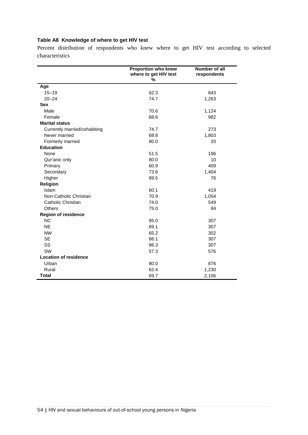### **Table A8 Knowledge of where to get HIV test**

Percent distribution of respondents who knew where to get HIV test according to selected characteristics

|                              | <b>Proportion who knew</b><br>where to get HIV test<br>% | Number of all<br>respondents |
|------------------------------|----------------------------------------------------------|------------------------------|
| Age                          |                                                          |                              |
| $15 - 19$                    | 62.3                                                     | 843                          |
| $20 - 24$                    | 74.7                                                     | 1,263                        |
| <b>Sex</b>                   |                                                          |                              |
| Male                         | 70.6                                                     | 1,124                        |
| Female                       | 68.6                                                     | 982                          |
| <b>Marital status</b>        |                                                          |                              |
| Currently married/cohabiting | 74.7                                                     | 273                          |
| Never married                | 68.8                                                     | 1,803                        |
| Formerly married             | 80.0                                                     | 20                           |
| <b>Education</b>             |                                                          |                              |
| None                         | 51.5                                                     | 196                          |
| Qur'anic only                | 80.0                                                     | 10                           |
| Primary                      | 60.9                                                     | 409                          |
| Secondary                    | 73.6                                                     | 1,404                        |
| Higher                       | 89.5                                                     | 76                           |
| Religion                     |                                                          |                              |
| Islam                        | 60.1                                                     | 419                          |
| Non-Catholic Christian       | 70.9                                                     | 1,054                        |
| Catholic Christian           | 74.0                                                     | 549                          |
| <b>Others</b>                | 75.0                                                     | 84                           |
| <b>Region of residence</b>   |                                                          |                              |
| <b>NC</b>                    | 85.0                                                     | 307                          |
| <b>NE</b>                    | 69.1                                                     | 307                          |
| <b>NW</b>                    | 65.2                                                     | 302                          |
| <b>SE</b>                    | 66.1                                                     | 307                          |
| SS                           | 86.3                                                     | 307                          |
| SW                           | 57.3                                                     | 576                          |
| <b>Location of residence</b> |                                                          |                              |
| Urban                        | 80.0                                                     | 876                          |
| Rural                        | 62.4                                                     | 1,230                        |
| <b>Total</b>                 | 69.7                                                     | 2,106                        |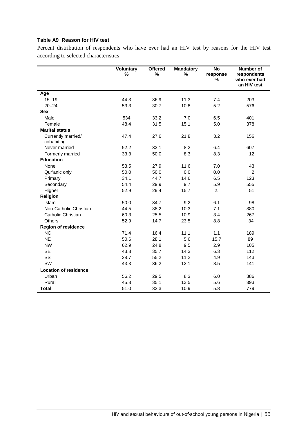#### **Table A9 Reason for HIV test**

Percent distribution of respondents who have ever had an HIV test by reasons for the HIV test according to selected characteristics

|                                  | <b>Voluntary</b><br>% | <b>Offered</b><br>% | <b>Mandatory</b><br>$\%$ | <b>No</b><br>response<br>% | Number of<br>respondents<br>who ever had<br>an HIV test |
|----------------------------------|-----------------------|---------------------|--------------------------|----------------------------|---------------------------------------------------------|
|                                  |                       |                     |                          |                            |                                                         |
| Age                              |                       |                     |                          |                            |                                                         |
| $15 - 19$                        | 44.3                  | 36.9                | 11.3                     | 7.4                        | 203                                                     |
| $20 - 24$                        | 53.3                  | 30.7                | 10.8                     | 5.2                        | 576                                                     |
| <b>Sex</b>                       |                       |                     |                          |                            |                                                         |
| Male                             | 534                   | 33.2                | 7.0                      | 6.5                        | 401                                                     |
| Female                           | 48.4                  | 31.5                | 15.1                     | 5.0                        | 378                                                     |
| <b>Marital status</b>            |                       |                     |                          |                            |                                                         |
| Currently married/<br>cohabiting | 47.4                  | 27.6                | 21.8                     | 3.2                        | 156                                                     |
| Never married                    | 52.2                  | 33.1                | 8.2                      | 6.4                        | 607                                                     |
| Formerly married                 | 33.3                  | 50.0                | 8.3                      | 8.3                        | 12                                                      |
| <b>Education</b>                 |                       |                     |                          |                            |                                                         |
| None                             | 53.5                  | 27.9                | 11.6                     | 7.0                        | 43                                                      |
| Qur'anic only                    | 50.0                  | 50.0                | 0.0                      | 0.0                        | $\overline{c}$                                          |
| Primary                          | 34.1                  | 44.7                | 14.6                     | 6.5                        | 123                                                     |
| Secondary                        | 54.4                  | 29.9                | 9.7                      | 5.9                        | 555                                                     |
| Higher                           | 52.9                  | 29.4                | 15.7                     | 2.                         | 51                                                      |
| Religion                         |                       |                     |                          |                            |                                                         |
| Islam                            | 50.0                  | 34.7                | 9.2                      | 6.1                        | 98                                                      |
| Non-Catholic Christian           | 44.5                  | 38.2                | 10.3                     | 7.1                        | 380                                                     |
| Catholic Christian               | 60.3                  | 25.5                | 10.9                     | 3.4                        | 267                                                     |
| <b>Others</b>                    | 52.9                  | 14.7                | 23.5                     | 8.8                        | 34                                                      |
| <b>Region of residence</b>       |                       |                     |                          |                            |                                                         |
| <b>NC</b>                        | 71.4                  | 16.4                | 11.1                     | 1.1                        | 189                                                     |
| <b>NE</b>                        | 50.6                  | 28.1                | 5.6                      | 15.7                       | 89                                                      |
| <b>NW</b>                        | 62.9                  | 24.8                | 9.5                      | 2.9                        | 105                                                     |
| <b>SE</b>                        | 43.8                  | 35.7                | 14.3                     | 6.3                        | 112                                                     |
| SS                               | 28.7                  | 55.2                | 11.2                     | 4.9                        | 143                                                     |
| SW                               | 43.3                  | 36.2                | 12.1                     | 8.5                        | 141                                                     |
| <b>Location of residence</b>     |                       |                     |                          |                            |                                                         |
| Urban                            | 56.2                  | 29.5                | 8.3                      | 6.0                        | 386                                                     |
| Rural                            | 45.8                  | 35.1                | 13.5                     | 5.6                        | 393                                                     |
| <b>Total</b>                     | 51.0                  | 32.3                | 10.9                     | 5.8                        | 779                                                     |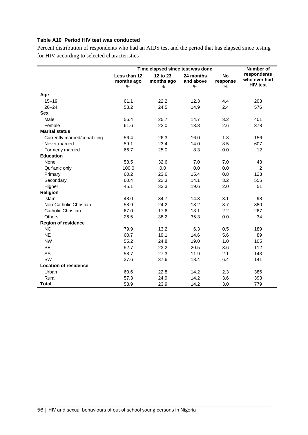#### **Table A10 Period HIV test was conducted**

Percent distribution of respondents who had an AIDS test and the period that has elapsed since testing for HIV according to selected characteristics

|                              | Time elapsed since test was done   | <b>Number of</b>            |                             |                            |                                                |
|------------------------------|------------------------------------|-----------------------------|-----------------------------|----------------------------|------------------------------------------------|
|                              | Less than 12<br>months ago<br>$\%$ | 12 to 23<br>months ago<br>℅ | 24 months<br>and above<br>% | <b>No</b><br>response<br>% | respondents<br>who ever had<br><b>HIV test</b> |
| Age                          |                                    |                             |                             |                            |                                                |
| $15 - 19$                    | 61.1                               | 22.2                        | 12.3                        | 4.4                        | 203                                            |
| $20 - 24$                    | 58.2                               | 24.5                        | 14.9                        | 2.4                        | 576                                            |
| <b>Sex</b>                   |                                    |                             |                             |                            |                                                |
| Male                         | 56.4                               | 25.7                        | 14.7                        | 3.2                        | 401                                            |
| Female                       | 61.6                               | 22.0                        | 13.8                        | 2.6                        | 378                                            |
| <b>Marital status</b>        |                                    |                             |                             |                            |                                                |
| Currently married/cohabiting | 56.4                               | 26.3                        | 16.0                        | 1.3                        | 156                                            |
| Never married                | 59.1                               | 23.4                        | 14.0                        | 3.5                        | 607                                            |
| Formerly married             | 66.7                               | 25.0                        | 8.3                         | 0.0                        | 12                                             |
| <b>Education</b>             |                                    |                             |                             |                            |                                                |
| None                         | 53.5                               | 32.6                        | 7.0                         | 7.0                        | 43                                             |
| Qur'anic only                | 100.0                              | 0.0                         | 0.0                         | 0.0                        | $\overline{2}$                                 |
| Primary                      | 60.2                               | 23.6                        | 15.4                        | 0.8                        | 123                                            |
| Secondary                    | 60.4                               | 22.3                        | 14.1                        | 3.2                        | 555                                            |
| Higher                       | 45.1                               | 33.3                        | 19.6                        | 2.0                        | 51                                             |
| Religion                     |                                    |                             |                             |                            |                                                |
| Islam                        | 48.0                               | 34.7                        | 14.3                        | 3.1                        | 98                                             |
| Non-Catholic Christian       | 58.9                               | 24.2                        | 13.2                        | 3.7                        | 380                                            |
| Catholic Christian           | 67.0                               | 17.6                        | 13.1                        | 2.2                        | 267                                            |
| <b>Others</b>                | 26.5                               | 38.2                        | 35.3                        | 0.0                        | 34                                             |
| <b>Region of residence</b>   |                                    |                             |                             |                            |                                                |
| <b>NC</b>                    | 79.9                               | 13.2                        | 6.3                         | 0.5                        | 189                                            |
| <b>NE</b>                    | 60.7                               | 19.1                        | 14.6                        | 5.6                        | 89                                             |
| <b>NW</b>                    | 55.2                               | 24.8                        | 19.0                        | 1.0                        | 105                                            |
| <b>SE</b>                    | 52.7                               | 23.2                        | 20.5                        | 3.6                        | 112                                            |
| SS                           | 58.7                               | 27.3                        | 11.9                        | 2.1                        | 143                                            |
| SW                           | 37.6                               | 37.6                        | 18.4                        | 6.4                        | 141                                            |
| <b>Location of residence</b> |                                    |                             |                             |                            |                                                |
| Urban                        | 60.6                               | 22.8                        | 14.2                        | 2.3                        | 386                                            |
| Rural                        | 57.3                               | 24.9                        | 14.2                        | 3.6                        | 393                                            |
| <b>Total</b>                 | 58.9                               | 23.9                        | 14.2                        | 3.0                        | 779                                            |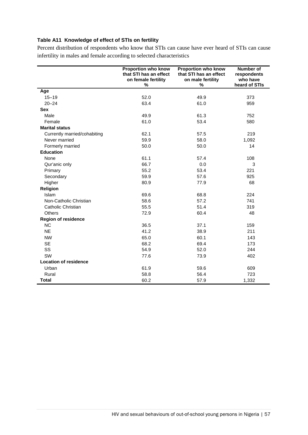### **Table A11 Knowledge of effect of STIs on fertility**

Percent distribution of respondents who know that STIs can cause have ever heard of STIs can cause infertility in males and female according to selected characteristics

|                              | <b>Proportion who know</b><br>that STI has an effect<br>on female fertility<br>% | <b>Proportion who know</b><br>that STI has an effect<br>on male fertility<br>% | Number of<br>respondents<br>who have<br>heard of STIs |
|------------------------------|----------------------------------------------------------------------------------|--------------------------------------------------------------------------------|-------------------------------------------------------|
| Age                          |                                                                                  |                                                                                |                                                       |
| $15 - 19$                    | 52.0                                                                             | 49.9                                                                           | 373                                                   |
| $20 - 24$                    | 63.4                                                                             | 61.0                                                                           | 959                                                   |
| <b>Sex</b>                   |                                                                                  |                                                                                |                                                       |
| Male                         | 49.9                                                                             | 61.3                                                                           | 752                                                   |
| Female                       | 61.0                                                                             | 53.4                                                                           | 580                                                   |
| <b>Marital status</b>        |                                                                                  |                                                                                |                                                       |
| Currently married/cohabiting | 62.1                                                                             | 57.5                                                                           | 219                                                   |
| Never married                | 59.9                                                                             | 58.0                                                                           | 1,092                                                 |
| Formerly married             | 50.0                                                                             | 50.0                                                                           | 14                                                    |
| <b>Education</b>             |                                                                                  |                                                                                |                                                       |
| None                         | 61.1                                                                             | 57.4                                                                           | 108                                                   |
| Qur'anic only                | 66.7                                                                             | 0.0                                                                            | 3                                                     |
| Primary                      | 55.2                                                                             | 53.4                                                                           | 221                                                   |
| Secondary                    | 59.9                                                                             | 57.6                                                                           | 925                                                   |
| Higher                       | 80.9                                                                             | 77.9                                                                           | 68                                                    |
| <b>Religion</b>              |                                                                                  |                                                                                |                                                       |
| Islam                        | 69.6                                                                             | 68.8                                                                           | 224                                                   |
| Non-Catholic Christian       | 58.6                                                                             | 57.2                                                                           | 741                                                   |
| Catholic Christian           | 55.5                                                                             | 51.4                                                                           | 319                                                   |
| Others                       | 72.9                                                                             | 60.4                                                                           | 48                                                    |
| <b>Region of residence</b>   |                                                                                  |                                                                                |                                                       |
| <b>NC</b>                    | 36.5                                                                             | 37.1                                                                           | 159                                                   |
| <b>NE</b>                    | 41.2                                                                             | 38.9                                                                           | 211                                                   |
| <b>NW</b>                    | 65.0                                                                             | 60.1                                                                           | 143                                                   |
| <b>SE</b>                    | 68.2                                                                             | 69.4                                                                           | 173                                                   |
| SS                           | 54.9                                                                             | 52.0                                                                           | 244                                                   |
| SW                           | 77.6                                                                             | 73.9                                                                           | 402                                                   |
| <b>Location of residence</b> |                                                                                  |                                                                                |                                                       |
| Urban                        | 61.9                                                                             | 59.6                                                                           | 609                                                   |
| Rural                        | 58.8                                                                             | 56.4                                                                           | 723                                                   |
| <b>Total</b>                 | 60.2                                                                             | 57.9                                                                           | 1,332                                                 |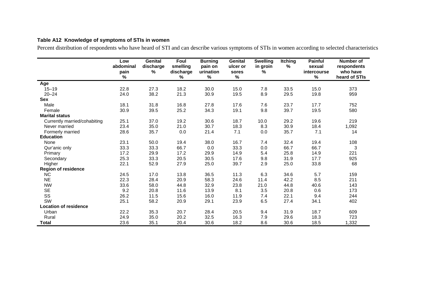#### **Table A12 Knowledge of symptoms of STIs in women**

Percent distribution of respondents who have heard of STI and can describe various symptoms of STIs in women according to selected characteristics

|                              | Low<br>abdominal<br>pain<br>% | <b>Genital</b><br>discharge<br>% | Foul<br>smelling<br>discharge<br>% | <b>Burning</b><br>pain on<br>urination<br>% | Genital<br>ulcer or<br>sores<br>$\%$ | <b>Swelling</b><br>in groin<br>% | <b>Itching</b><br>% | <b>Painful</b><br>sexual<br>intercourse<br>% | Number of<br>respondents<br>who have<br>heard of STIs |
|------------------------------|-------------------------------|----------------------------------|------------------------------------|---------------------------------------------|--------------------------------------|----------------------------------|---------------------|----------------------------------------------|-------------------------------------------------------|
| Age                          |                               |                                  |                                    |                                             |                                      |                                  |                     |                                              |                                                       |
| $15 - 19$                    | 22.8                          | 27.3                             | 18.2                               | 30.0                                        | 15.0                                 | 7.8                              | 33.5                | 15.0                                         | 373                                                   |
| $20 - 24$                    | 24.0                          | 38.2                             | 21.3                               | 30.9                                        | 19.5                                 | 8.9                              | 29.5                | 19.8                                         | 959                                                   |
| <b>Sex</b>                   |                               |                                  |                                    |                                             |                                      |                                  |                     |                                              |                                                       |
| Male                         | 18.1                          | 31.8                             | 16.8                               | 27.8                                        | 17.6                                 | 7.6                              | 23.7                | 17.7                                         | 752                                                   |
| Female                       | 30.9                          | 39.5                             | 25.2                               | 34.3                                        | 19.1                                 | 9.8                              | 39.7                | 19.5                                         | 580                                                   |
| <b>Marital status</b>        |                               |                                  |                                    |                                             |                                      |                                  |                     |                                              |                                                       |
| Currently married/cohabiting | 25.1                          | 37.0                             | 19.2                               | 30.6                                        | 18.7                                 | 10.0                             | 29.2                | 19.6                                         | 219                                                   |
| Never married                | 23.4                          | 35.0                             | 21.0                               | 30.7                                        | 18.3                                 | 8.3                              | 30.9                | 18.4                                         | 1,092                                                 |
| Formerly married             | 28.6                          | 35.7                             | $0.0\,$                            | 21.4                                        | 7.1                                  | 0.0                              | 35.7                | 7.1                                          | 14                                                    |
| <b>Education</b>             |                               |                                  |                                    |                                             |                                      |                                  |                     |                                              |                                                       |
| None                         | 23.1                          | 50.0                             | 19.4                               | 38.0                                        | 16.7                                 | 7.4                              | 32.4                | 19.4                                         | 108                                                   |
| Qur'anic only                | 33.3                          | 33.3                             | 66.7                               | 0.0                                         | 33.3                                 | 0.0                              | 66.7                | 66.7                                         | 3                                                     |
| Primary                      | 17.2                          | 29.9                             | 17.2                               | 29.9                                        | 14.9                                 | 5.4                              | 25.8                | 14.9                                         | 221                                                   |
| Secondary                    | 25.3                          | 33.3                             | 20.5                               | 30.5                                        | 17.6                                 | 9.8                              | 31.9                | 17.7                                         | 925                                                   |
| Higher                       | 22.1                          | 52.9                             | 27.9                               | 25.0                                        | 39.7                                 | 2.9                              | 25.0                | 33.8                                         | 68                                                    |
| <b>Region of residence</b>   |                               |                                  |                                    |                                             |                                      |                                  |                     |                                              |                                                       |
| <b>NC</b>                    | 24.5                          | 17.0                             | 13.8                               | 36.5                                        | 11.3                                 | 6.3                              | 34.6                | 5.7                                          | 159                                                   |
| <b>NE</b>                    | 22.3                          | 28.4                             | 20.9                               | 58.3                                        | 24.6                                 | 11.4                             | 42.2                | 8.5                                          | 211                                                   |
| <b>NW</b>                    | 33.6                          | 58.0                             | 44.8                               | 32.9                                        | 23.8                                 | 21.0                             | 44.8                | 40.6                                         | 143                                                   |
| <b>SE</b>                    | 9.2                           | 20.8                             | 11.6                               | 13.9                                        | 8.1                                  | 3.5                              | 20.8                | 0.6                                          | 173                                                   |
| SS                           | 26.2                          | 11.5                             | 15.6                               | 16.0                                        | 11.9                                 | 7.4                              | 22.1                | 9.4                                          | 244                                                   |
| SW                           | 25.1                          | 58.2                             | 20.9                               | 29.1                                        | 23.9                                 | 6.5                              | 27.4                | 34.1                                         | 402                                                   |
| <b>Location of residence</b> |                               |                                  |                                    |                                             |                                      |                                  |                     |                                              |                                                       |
| Urban                        | 22.2                          | 35.3                             | 20.7                               | 28.4                                        | 20.5                                 | 9.4                              | 31.9                | 18.7                                         | 609                                                   |
| Rural                        | 24.9                          | 35.0                             | 20.2                               | 32.5                                        | 16.3                                 | 7.9                              | 29.6                | 18.3                                         | 723                                                   |
| Total                        | 23.6                          | 35.1                             | 20.4                               | 30.6                                        | 18.2                                 | 8.6                              | 30.6                | 18.5                                         | 1,332                                                 |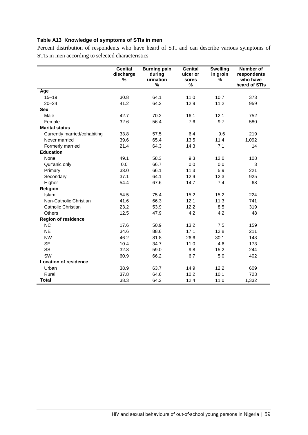### **Table A13 Knowledge of symptoms of STIs in men**

Percent distribution of respondents who have heard of STI and can describe various symptoms of STIs in men according to selected characteristics

|                              | Genital<br>discharge<br>% | <b>Burning pain</b><br>during<br>urination<br>% | Genital<br>ulcer or<br>sores<br>% | <b>Swelling</b><br>in groin<br>% | Number of<br>respondents<br>who have<br>heard of STIs |
|------------------------------|---------------------------|-------------------------------------------------|-----------------------------------|----------------------------------|-------------------------------------------------------|
| Age                          |                           |                                                 |                                   |                                  |                                                       |
| $15 - 19$                    | 30.8                      | 64.1                                            | 11.0                              | 10.7                             | 373                                                   |
| $20 - 24$                    | 41.2                      | 64.2                                            | 12.9                              | 11.2                             | 959                                                   |
| <b>Sex</b>                   |                           |                                                 |                                   |                                  |                                                       |
| Male                         | 42.7                      | 70.2                                            | 16.1                              | 12.1                             | 752                                                   |
| Female                       | 32.6                      | 56.4                                            | 7.6                               | 9.7                              | 580                                                   |
| <b>Marital status</b>        |                           |                                                 |                                   |                                  |                                                       |
| Currently married/cohabiting | 33.8                      | 57.5                                            | 6.4                               | 9.6                              | 219                                                   |
| Never married                | 39.6                      | 65.4                                            | 13.5                              | 11.4                             | 1,092                                                 |
| Formerly married             | 21.4                      | 64.3                                            | 14.3                              | 7.1                              | 14                                                    |
| <b>Education</b>             |                           |                                                 |                                   |                                  |                                                       |
| None                         | 49.1                      | 58.3                                            | 9.3                               | 12.0                             | 108                                                   |
| Qur'anic only                | 0.0                       | 66.7                                            | 0.0                               | 0.0                              | 3                                                     |
| Primary                      | 33.0                      | 66.1                                            | 11.3                              | 5.9                              | 221                                                   |
| Secondary                    | 37.1                      | 64.1                                            | 12.9                              | 12.3                             | 925                                                   |
| Higher                       | 54.4                      | 67.6                                            | 14.7                              | 7.4                              | 68                                                    |
| Religion                     |                           |                                                 |                                   |                                  |                                                       |
| Islam                        | 54.5                      | 75.4                                            | 15.2                              | 15.2                             | 224                                                   |
| Non-Catholic Christian       | 41.6                      | 66.3                                            | 12.1                              | 11.3                             | 741                                                   |
| Catholic Christian           | 23.2                      | 53.9                                            | 12.2                              | 8.5                              | 319                                                   |
| Others                       | 12.5                      | 47.9                                            | 4.2                               | 4.2                              | 48                                                    |
| <b>Region of residence</b>   |                           |                                                 |                                   |                                  |                                                       |
| <b>NC</b>                    | 17.6                      | 50.9                                            | 13.2                              | 7.5                              | 159                                                   |
| <b>NE</b>                    | 34.6                      | 88.6                                            | 17.1                              | 12.8                             | 211                                                   |
| <b>NW</b>                    | 46.2                      | 81.8                                            | 26.6                              | 30.1                             | 143                                                   |
| <b>SE</b>                    | 10.4                      | 34.7                                            | 11.0                              | 4.6                              | 173                                                   |
| SS                           | 32.8                      | 59.0                                            | 9.8                               | 15.2                             | 244                                                   |
| SW                           | 60.9                      | 66.2                                            | 6.7                               | 5.0                              | 402                                                   |
| <b>Location of residence</b> |                           |                                                 |                                   |                                  |                                                       |
| Urban                        | 38.9                      | 63.7                                            | 14.9                              | 12.2                             | 609                                                   |
| Rural                        | 37.8                      | 64.6                                            | 10.2                              | 10.1                             | 723                                                   |
| <b>Total</b>                 | 38.3                      | 64.2                                            | 12.4                              | 11.0                             | 1,332                                                 |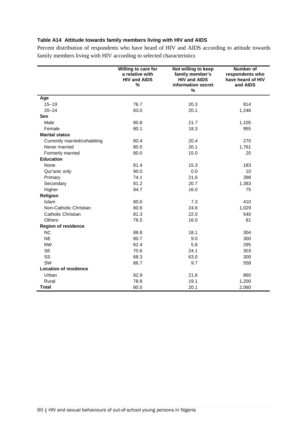#### **Table A14 Attitude towards family members living with HIV and AIDS**

Percent distribution of respondents who have heard of HIV and AIDS according to attitude towards family members living with HIV according to selected characteristics

|                              | Willing to care for<br>a relative with<br><b>HIV and AIDS</b><br>% | Not willing to keep<br>family member's<br><b>HIV and AIDS</b><br>information secret<br>% | Number of<br>respondents who<br>have heard of HIV<br>and AIDS |
|------------------------------|--------------------------------------------------------------------|------------------------------------------------------------------------------------------|---------------------------------------------------------------|
| Age                          |                                                                    |                                                                                          |                                                               |
| $15 - 19$                    | 76.7                                                               | 20.3                                                                                     | 814                                                           |
| $20 - 24$                    | 83.0                                                               | 20.1                                                                                     | 1,246                                                         |
| <b>Sex</b>                   |                                                                    |                                                                                          |                                                               |
| Male                         | 80.8                                                               | 21.7                                                                                     | 1,105                                                         |
| Female                       | 80.1                                                               | 18.3                                                                                     | 955                                                           |
| <b>Marital status</b>        |                                                                    |                                                                                          |                                                               |
| Currently married/cohabiting | 80.4                                                               | 20.4                                                                                     | 270                                                           |
| Never married                | 80.5                                                               | 20.1                                                                                     | 1,761                                                         |
| Formerly married             | 80.0                                                               | 15.0                                                                                     | 20                                                            |
| <b>Education</b>             |                                                                    |                                                                                          |                                                               |
| None                         | 81.4                                                               | 15.3                                                                                     | 183                                                           |
| Qur'anic only                | 90.0                                                               | 0.0                                                                                      | 10                                                            |
| Primary                      | 74.1                                                               | 21.6                                                                                     | 398                                                           |
| Secondary                    | 81.2                                                               | 20.7                                                                                     | 1,383                                                         |
| Higher                       | 94.7                                                               | 16.0                                                                                     | 75                                                            |
| Religion                     |                                                                    |                                                                                          |                                                               |
| Islam                        | 80.0                                                               | 7.3                                                                                      | 410                                                           |
| Non-Catholic Christian       | 80.6                                                               | 24.6                                                                                     | 1,029                                                         |
| Catholic Christian           | 81.3                                                               | 22.0                                                                                     | 540                                                           |
| <b>Others</b>                | 76.5                                                               | 16.0                                                                                     | 81                                                            |
| <b>Region of residence</b>   |                                                                    |                                                                                          |                                                               |
| <b>NC</b>                    | 88.8                                                               | 18.1                                                                                     | 304                                                           |
| <b>NE</b>                    | 80.7                                                               | 9.0                                                                                      | 300                                                           |
| <b>NW</b>                    | 82.4                                                               | 5.8                                                                                      | 295                                                           |
| <b>SE</b>                    | 70.6                                                               | 24.1                                                                                     | 303                                                           |
| SS                           | 68.3                                                               | 63.0                                                                                     | 300                                                           |
| SW                           | 86.7                                                               | 9.7                                                                                      | 558                                                           |
| <b>Location of residence</b> |                                                                    |                                                                                          |                                                               |
| Urban                        | 82.9                                                               | 21.6                                                                                     | 860                                                           |
| Rural                        | 78.8                                                               | 19.1                                                                                     | 1,200                                                         |
| <b>Total</b>                 | 80.5                                                               | 20.1                                                                                     | 2,060                                                         |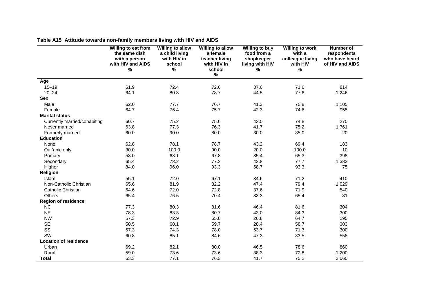|                              | Willing to eat from<br>the same dish<br>with a person<br>with HIV and AIDS<br>$\%$ | <b>Willing to allow</b><br>a child living<br>with HIV in<br>school<br>$\%$ | <b>Willing to allow</b><br>a female<br>teacher living<br>with HIV in<br>school<br>$\%$ | <b>Willing to buy</b><br>food from a<br>shopkeeper<br>living with HIV<br>$\%$ | <b>Willing to work</b><br>with a<br>colleague living<br>with HIV<br>% | <b>Number of</b><br>respondents<br>who have heard<br>of HIV and AIDS |
|------------------------------|------------------------------------------------------------------------------------|----------------------------------------------------------------------------|----------------------------------------------------------------------------------------|-------------------------------------------------------------------------------|-----------------------------------------------------------------------|----------------------------------------------------------------------|
| Age                          |                                                                                    |                                                                            |                                                                                        |                                                                               |                                                                       |                                                                      |
| $15 - 19$                    | 61.9                                                                               | 72.4                                                                       | 72.6                                                                                   | 37.6                                                                          | 71.6                                                                  | 814                                                                  |
| $20 - 24$                    | 64.1                                                                               | 80.3                                                                       | 78.7                                                                                   | 44.5                                                                          | 77.6                                                                  | 1,246                                                                |
| <b>Sex</b>                   |                                                                                    |                                                                            |                                                                                        |                                                                               |                                                                       |                                                                      |
| Male                         | 62.0                                                                               | 77.7                                                                       | 76.7                                                                                   | 41.3                                                                          | 75.8                                                                  | 1,105                                                                |
| Female                       | 64.7                                                                               | 76.4                                                                       | 75.7                                                                                   | 42.3                                                                          | 74.6                                                                  | 955                                                                  |
| <b>Marital status</b>        |                                                                                    |                                                                            |                                                                                        |                                                                               |                                                                       |                                                                      |
| Currently married/cohabiting | 60.7                                                                               | 75.2                                                                       | 75.6                                                                                   | 43.0                                                                          | 74.8                                                                  | 270                                                                  |
| Never married                | 63.8                                                                               | 77.3                                                                       | 76.3                                                                                   | 41.7                                                                          | 75.2                                                                  | 1,761                                                                |
| Formerly married             | 60.0                                                                               | 90.0                                                                       | 80.0                                                                                   | 30.0                                                                          | 85.0                                                                  | 20                                                                   |
| <b>Education</b>             |                                                                                    |                                                                            |                                                                                        |                                                                               |                                                                       |                                                                      |
| None                         | 62.8                                                                               | 78.1                                                                       | 78,7                                                                                   | 43.2                                                                          | 69.4                                                                  | 183                                                                  |
| Qur'anic only                | 30.0                                                                               | 100.0                                                                      | 90.0                                                                                   | 20.0                                                                          | 100.0                                                                 | 10                                                                   |
| Primary                      | 53.0                                                                               | 68.1                                                                       | 67.8                                                                                   | 35.4                                                                          | 65.3                                                                  | 398                                                                  |
| Secondary                    | 65.4                                                                               | 78.2                                                                       | 77.2                                                                                   | 42.8                                                                          | 77.7                                                                  | 1,383                                                                |
| Higher                       | 84.0                                                                               | 96.0                                                                       | 93.3                                                                                   | 58.7                                                                          | 93.3                                                                  | 75                                                                   |
| Religion                     |                                                                                    |                                                                            |                                                                                        |                                                                               |                                                                       |                                                                      |
| Islam                        | 55.1                                                                               | 72.0                                                                       | 67.1                                                                                   | 34.6                                                                          | 71.2                                                                  | 410                                                                  |
| Non-Catholic Christian       | 65.6                                                                               | 81.9                                                                       | 82.2                                                                                   | 47.4                                                                          | 79.4                                                                  | 1,029                                                                |
| Catholic Christian           | 64.6                                                                               | 72.0                                                                       | 72.8                                                                                   | 37.6                                                                          | 71.9                                                                  | 540                                                                  |
| Others                       | 65.4                                                                               | 76.5                                                                       | 70.4                                                                                   | 33.3                                                                          | 65.4                                                                  | 81                                                                   |
| <b>Region of residence</b>   |                                                                                    |                                                                            |                                                                                        |                                                                               |                                                                       |                                                                      |
| NC                           | 77.3                                                                               | 80.3                                                                       | 81.6                                                                                   | 46.4                                                                          | 81.6                                                                  | 304                                                                  |
| <b>NE</b>                    | 78.3                                                                               | 83.3                                                                       | 80.7                                                                                   | 43.0                                                                          | 84.3                                                                  | 300                                                                  |
| <b>NW</b>                    | 57.3                                                                               | 72.9                                                                       | 65.8                                                                                   | 26.8                                                                          | 64.7                                                                  | 295                                                                  |
| <b>SE</b>                    | 50.5                                                                               | 60.1                                                                       | 59.7                                                                                   | 28.4                                                                          | 58.7                                                                  | 303                                                                  |
| SS                           | 57.3                                                                               | 74.3                                                                       | 78.0                                                                                   | 53.7                                                                          | 71.3                                                                  | 300                                                                  |
| SW                           | 60.8                                                                               | 85.1                                                                       | 84.6                                                                                   | 47.3                                                                          | 83.5                                                                  | 558                                                                  |
| <b>Location of residence</b> |                                                                                    |                                                                            |                                                                                        |                                                                               |                                                                       |                                                                      |
| Urban                        | 69.2                                                                               | 82.1                                                                       | 80.0                                                                                   | 46.5                                                                          | 78.6                                                                  | 860                                                                  |
| Rural                        | 59.0                                                                               | 73.6                                                                       | 73.6                                                                                   | 38.3                                                                          | 72.8                                                                  | 1,200                                                                |
| <b>Total</b>                 | 63.3                                                                               | 77.1                                                                       | 76.3                                                                                   | 41.7                                                                          | 75.2                                                                  | 2,060                                                                |

**Table A15 Attitude towards non-family members living with HIV and AIDS**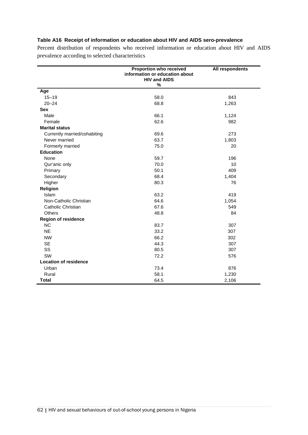#### **Table A16 Receipt of information or education about HIV and AIDS sero-prevalence**

Percent distribution of respondents who received information or education about HIV and AIDS prevalence according to selected characteristics

|                              | Proportion who received<br>information or education about<br><b>HIV and AIDS</b><br>$\%$ | All respondents |
|------------------------------|------------------------------------------------------------------------------------------|-----------------|
| Age                          |                                                                                          |                 |
| $15 - 19$                    | 58.0                                                                                     | 843             |
| $20 - 24$                    | 68.8                                                                                     | 1,263           |
| <b>Sex</b>                   |                                                                                          |                 |
| Male                         | 66.1                                                                                     | 1,124           |
| Female                       | 62.6                                                                                     | 982             |
| <b>Marital status</b>        |                                                                                          |                 |
| Currently married/cohabiting | 69.6                                                                                     | 273             |
| Never married                | 63.7                                                                                     | 1,803           |
| Formerly married             | 75.0                                                                                     | 20              |
| <b>Education</b>             |                                                                                          |                 |
| None                         | 59.7                                                                                     | 196             |
| Qur'anic only                | 70.0                                                                                     | 10              |
| Primary                      | 50.1                                                                                     | 409             |
| Secondary                    | 68.4                                                                                     | 1,404           |
| Higher                       | 80.3                                                                                     | 76              |
| Religion                     |                                                                                          |                 |
| Islam                        | 63.2                                                                                     | 419             |
| Non-Catholic Christian       | 64.6                                                                                     | 1,054           |
| Catholic Christian           | 67.6                                                                                     | 549             |
| Others                       | 48.8                                                                                     | 84              |
| <b>Region of residence</b>   |                                                                                          |                 |
| NC                           | 83.7                                                                                     | 307             |
| <b>NE</b>                    | 33.2                                                                                     | 307             |
| <b>NW</b>                    | 66.2                                                                                     | 302             |
| <b>SE</b>                    | 44.3                                                                                     | 307             |
| SS                           | 80.5                                                                                     | 307             |
| SW                           | 72.2                                                                                     | 576             |
| <b>Location of residence</b> |                                                                                          |                 |
| Urban                        | 73.4                                                                                     | 876             |
| Rural                        | 58.1                                                                                     | 1,230           |
| <b>Total</b>                 | 64.5                                                                                     | 2,106           |